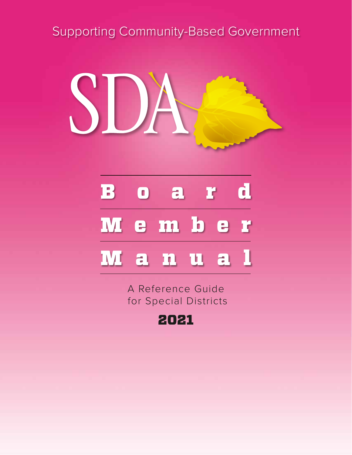# Supporting Community-Based Government



# Board Member

# Manual

A Reference Guide for Special Districts

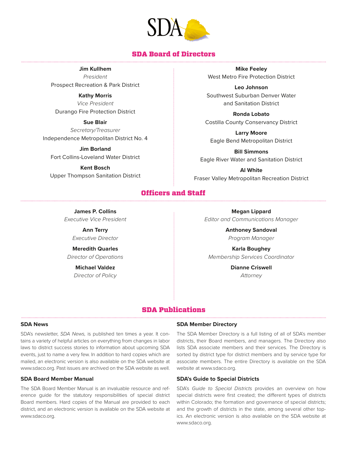

#### SDA Board of Directors

**Jim Kullhem**

*President* Prospect Recreation & Park District

**Kathy Morris** *Vice President* Durango Fire Protection District

**Sue Blair** *Secretary/Treasurer*  Independence Metropolitan District No. 4

**Jim Borland** Fort Collins-Loveland Water District

**Kent Bosch** Upper Thompson Sanitation District

**Mike Feeley** West Metro Fire Protection District

**Leo Johnson** Southwest Suburban Denver Water and Sanitation District

**Ronda Lobato** Costilla County Conservancy District

**Larry Moore**  Eagle Bend Metropolitan District

**Bill Simmons** Eagle River Water and Sanitation District

**Al White** Fraser Valley Metropolitan Recreation District

#### Officers and Staff

**James P. Collins** *Executive Vice President*

> **Ann Terry** *Executive Director*

**Meredith Quarles** *Director of Operations*

> **Michael Valdez** *Director of Policy*

**Megan Lippard** *Editor and Communications Manager*

> **Anthoney Sandoval** *Program Manager*

**Karla Boughey** *Membership Services Coordinator*

> **Dianne Criswell** *Attorney*

#### SDA Publications

#### **SDA News**

SDA's newsletter, *SDA News,* is published ten times a year. It contains a variety of helpful articles on everything from changes in labor laws to district success stories to information about upcoming SDA events, just to name a very few. In addition to hard copies which are mailed, an electronic version is also available on the SDA website at www.sdaco.org. Past issues are archived on the SDA website as well.

#### **SDA Board Member Manual**

The SDA Board Member Manual is an invaluable resource and reference guide for the statutory responsibilities of special district Board members. Hard copies of the Manual are provided to each district, and an electronic version is available on the SDA website at www.sdaco.org.

#### **SDA Member Directory**

The SDA Member Directory is a full listing of all of SDA's member districts, their Board members, and managers. The Directory also lists SDA associate members and their services. The Directory is sorted by district type for district members and by service type for associate members. The entire Directory is available on the SDA website at www.sdaco.org.

#### **SDA's Guide to Special Districts**

SDA's *Guide to Special Districts* provides an overview on how special districts were first created; the different types of districts within Colorado; the formation and governance of special districts; and the growth of districts in the state, among several other topics. An electronic version is also available on the SDA website at www.sdaco.org.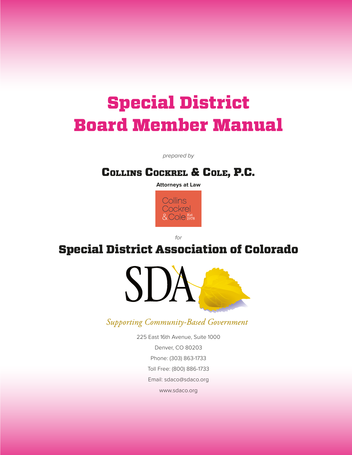# Special District Board Member Manual

*prepared by*

### Collins Cockrel & Cole, P.C.

**Attorneys at Law**



*for* 

### Special District Association of Colorado



Supporting Community-Based Government

225 East 16th Avenue, Suite 1000 Denver, CO 80203 Phone: (303) 863-1733 Toll Free: (800) 886-1733 Email: sdaco@sdaco.org www.sdaco.org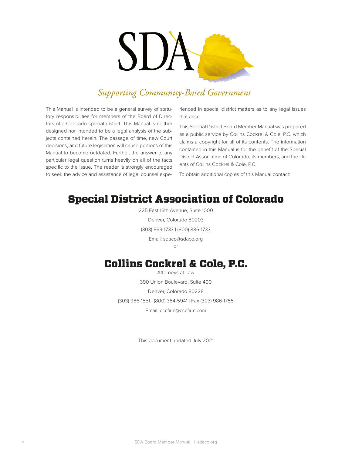

### **Supporting Community-Based Government**

This Manual is intended to be a general survey of statutory responsibilities for members of the Board of Directors of a Colorado special district. This Manual is neither designed nor intended to be a legal analysis of the subjects contained herein. The passage of time, new Court decisions, and future legislation will cause portions of this Manual to become outdated. Further, the answer to any particular legal question turns heavily on all of the facts specific to the issue. The reader is strongly encouraged to seek the advice and assistance of legal counsel experienced in special district matters as to any legal issues that arise.

This Special District Board Member Manual was prepared as a public service by Collins Cockrel & Cole, P.C. which claims a copyright for all of its contents. The information contained in this Manual is for the benefit of the Special District Association of Colorado, its members, and the clients of Collins Cockrel & Cole, P.C.

To obtain additional copies of this Manual contact:

### Special District Association of Colorado

225 East 16th Avenue, Suite 1000 Denver, Colorado 80203 (303) 863-1733 | (800) 886-1733 Email: sdaco@sdaco.org or

### Collins Cockrel & Cole, P.C.

Attorneys at Law 390 Union Boulevard, Suite 400 Denver, Colorado 80228 (303) 986-1551 | (800) 354-5941 | Fax (303) 986-1755 Email: cccfirm@cccfirm.com

This document updated July 2021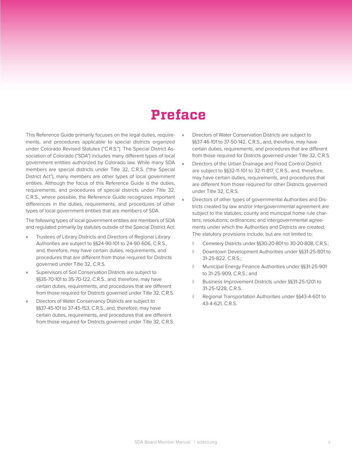## **Preface**

This Reference Guide primarily focuses on the legal duties, requirements, and procedures applicable to special districts organized under Colorado Revised Statutes ("C.R.S."). The Special District Association of Colorado ("SDA") includes many different types of local government entities authorized by Colorado law. While many SDA members are special districts under Title 32, C.R.S. ("the Special District Act"), many members are other types of local government entities. Although the focus of this Reference Guide is the duties, requirements, and procedures of special districts under Title 32, C.R.S., where possible, the Reference Guide recognizes important differences in the duties, requirements, and procedures of other types of local government entities that are members of SDA.

The following types of local government entities are members of SDA and regulated primarily by statutes outside of the Special District Act:

- » Trustees of Library Districts and Directors of Regional Library Authorities are subject to §§24-90-101 to 24-90-606, C.R.S., and, therefore, may have certain duties, requirements, and procedures that are different from those required for Districts governed under Title 32, C.R.S.
- » Supervisors of Soil Conservation Districts are subject to §§35-70-101 to 35-70-122, C.R.S., and, therefore, may have certain duties, requirements, and procedures that are different from those required for Districts governed under Title 32, C.R.S.
- » Directors of Water Conservancy Districts are subject to §§37-45-101 to 37-45-153, C.R.S., and, therefore, may have certain duties, requirements, and procedures that are different from those required for Districts governed under Title 32, C.R.S.
- » Directors of Water Conservation Districts are subject to §§37-46-101 to 37-50-142, C.R.S., and, therefore, may have certain duties, requirements, and procedures that are different from those required for Districts governed under Title 32, C.R.S.
- » Directors of the Urban Drainage and Flood Control District are subject to §§32-11-101 to 32-11-817, C.R.S., and, therefore, may have certain duties, requirements, and procedures that are different from those required for other Districts governed under Title 32, C.R.S.
- » Directors of other types of governmental Authorities and Districts created by law and/or intergovernmental agreement are subject to the statutes; county and municipal home rule charters; resolutions; ordinances; and intergovernmental agreements under which the Authorities and Districts are created. The statutory provisions include, but are not limited to:
	- ◊ Cemetery Districts under §§30-20-801 to 30-20-808, C.R.S.;
	- ◊ Downtown Development Authorities under §§31-25-801 to 31-25-822, C.R.S.;
	- ◊ Municipal Energy Finance Authorities under §§31-25-901 to 31-25-909, C.R.S.; and
	- ◊ Business Improvement Districts under §§31-25-1201 to 31-25-1228, C.R.S.
	- Regional Transportation Authorities under §§43-4-601 to 43-4-621, C.R.S.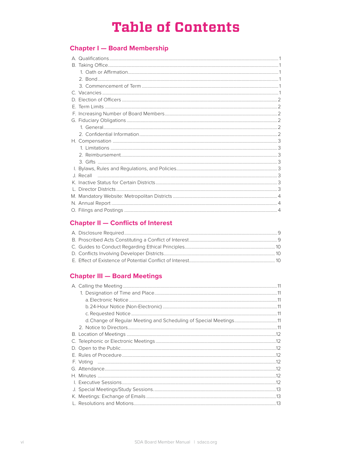# **Table of Contents**

### **Chapter I - Board Membership**

| D. |  |
|----|--|
|    |  |
|    |  |
|    |  |
|    |  |
|    |  |
|    |  |
|    |  |
|    |  |
|    |  |
|    |  |
|    |  |
|    |  |
|    |  |
|    |  |
|    |  |
|    |  |

### **Chapter II - Conflicts of Interest**

### **Chapter III - Board Meetings**

| d. Change of Regular Meeting and Scheduling of Special Meetings11 |  |
|-------------------------------------------------------------------|--|
|                                                                   |  |
|                                                                   |  |
|                                                                   |  |
|                                                                   |  |
|                                                                   |  |
|                                                                   |  |
|                                                                   |  |
|                                                                   |  |
|                                                                   |  |
|                                                                   |  |
|                                                                   |  |
|                                                                   |  |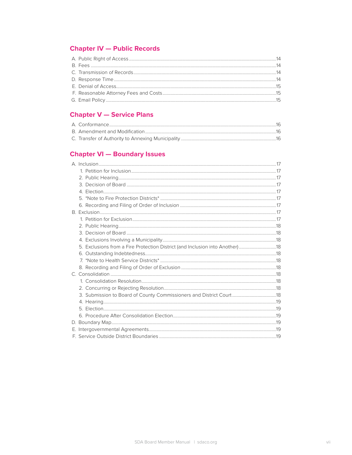### **Chapter IV - Public Records**

### **Chapter V - Service Plans**

### **Chapter VI - Boundary Issues**

| 5. Exclusions from a Fire Protection District (and Inclusion into Another)  18 |  |
|--------------------------------------------------------------------------------|--|
|                                                                                |  |
|                                                                                |  |
|                                                                                |  |
|                                                                                |  |
|                                                                                |  |
|                                                                                |  |
| 3. Submission to Board of County Commissioners and District Court 18           |  |
|                                                                                |  |
|                                                                                |  |
|                                                                                |  |
|                                                                                |  |
|                                                                                |  |
|                                                                                |  |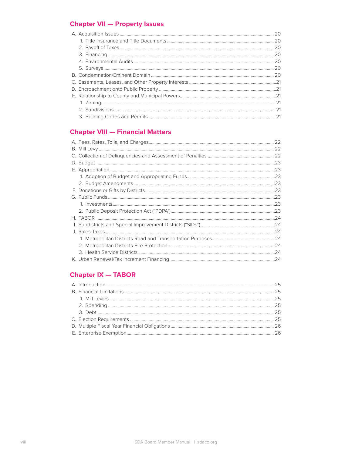### **Chapter VII - Property Issues**

### **Chapter VIII - Financial Matters**

### **Chapter IX - TABOR**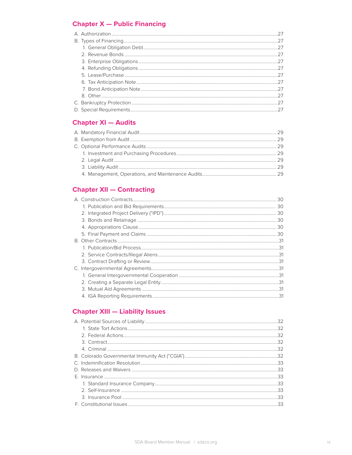### **Chapter X - Public Financing**

### **Chapter XI - Audits**

### **Chapter XII - Contracting**

| C. |  |
|----|--|
|    |  |
|    |  |
|    |  |
|    |  |

### **Chapter XIII - Liability Issues**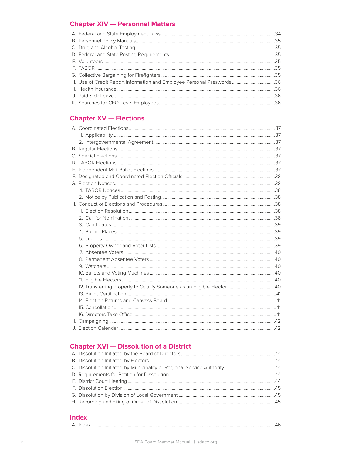### **Chapter XIV - Personnel Matters**

### **Chapter XV - Elections**

### **Chapter XVI - Dissolution of a District**

#### **Index**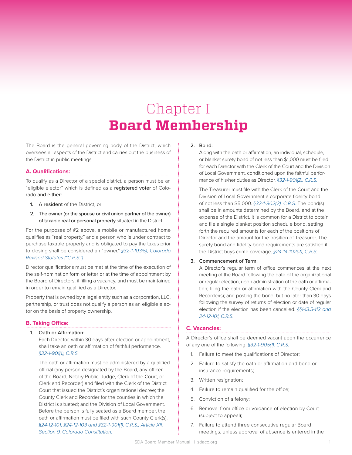# Chapter I **Board Membership**

The Board is the general governing body of the District, which oversees all aspects of the District and carries out the business of the District in public meetings.

#### **A. Qualifications:**

To qualify as a Director of a special district, a person must be an "eligible elector" which is defined as a registered voter of Colorado and either:

- 1. A resident of the District, or
- 2. The owner (or the spouse or civil union partner of the owner) of taxable real or personal property situated in the District.

For the purposes of #2 above, a mobile or manufactured home qualifies as "real property," and a person who is under contract to purchase taxable property and is obligated to pay the taxes prior to closing shall be considered an "owner." *§32-1-103(5), Colorado Revised Statutes ("C.R.S.")*

Director qualifications must be met at the time of the execution of the self-nomination form or letter or at the time of appointment by the Board of Directors, if filling a vacancy, and must be maintained in order to remain qualified as a Director.

Property that is owned by a legal entity such as a corporation, LLC, partnership, or trust does not qualify a person as an eligible elector on the basis of property ownership.

#### **B. Taking Office:**

#### 1. Oath or Affirmation:

Each Director, within 30 days after election or appointment, shall take an oath or affirmation of faithful performance. *§32-1-901(1), C.R.S.*

The oath or affirmation must be administered by a qualified official (any person designated by the Board, any officer of the Board, Notary Public, Judge, Clerk of the Court, or Clerk and Recorder) and filed with the Clerk of the District Court that issued the District's organizational decree; the County Clerk and Recorder for the counties in which the District is situated; and the Division of Local Government. Before the person is fully seated as a Board member, the oath or affirmation must be filed with such County Clerk(s). *§24-12-101, §24-12-103 and §32-1-901(1), C.R.S.; Article XII, Section 9, Colorado Constitution.*

#### 2. Bond:

Along with the oath or affirmation, an individual, schedule, or blanket surety bond of not less than \$1,000 must be filed for each Director with the Clerk of the Court and the Division of Local Government, conditioned upon the faithful performance of his/her duties as Director. *§32-1-901(2), C.R.S.*

The Treasurer must file with the Clerk of the Court and the Division of Local Government a corporate fidelity bond of not less than \$5,000. *§32-1-902(2), C.R.S.* The bond(s) shall be in amounts determined by the Board, and at the expense of the District. It is common for a District to obtain and file a single blanket position schedule bond, setting forth the required amounts for each of the positions of Director and the amount for the position of Treasurer. The surety bond and fidelity bond requirements are satisfied if the District buys crime coverage. *§24-14-102(2), C.R.S.*

#### 3. Commencement of Term:

A Director's regular term of office commences at the next meeting of the Board following the date of the organizational or regular election, upon administration of the oath or affirmation; filing the oath or affirmation with the County Clerk and Recorder(s); and posting the bond, but no later than 30 days following the survey of returns of election or date of regular election if the election has been cancelled. *§§1-13.5-112 and 24-12-101, C.R.S.*

#### **C. Vacancies:**

A Director's office shall be deemed vacant upon the occurrence of any one of the following: *§32-1-905(1), C.R.S.*

- 1. Failure to meet the qualifications of Director;
- 2. Failure to satisfy the oath or affirmation and bond or insurance requirements;
- 3. Written resignation;
- 4. Failure to remain qualified for the office;
- 5. Conviction of a felony;
- 6. Removal from office or voidance of election by Court (subject to appeal);
- 7. Failure to attend three consecutive regular Board meetings, unless approval of absence is entered in the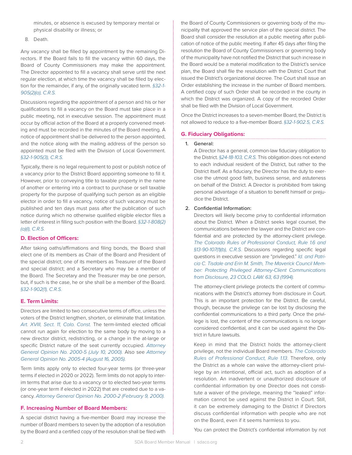minutes, or absence is excused by temporary mental or physical disability or illness; or

8. Death.

Any vacancy shall be filled by appointment by the remaining Directors. If the Board fails to fill the vacancy within 60 days, the Board of County Commissioners may make the appointment. The Director appointed to fill a vacancy shall serve until the next regular election, at which time the vacancy shall be filled by election for the remainder, if any, of the originally vacated term. *§32-1- 905(2)(a), C.R.S.*

Discussions regarding the appointment of a person and his or her qualifications to fill a vacancy on the Board must take place in a public meeting, not in executive session. The appointment must occur by official action of the Board at a properly convened meeting and must be recorded in the minutes of the Board meeting. A notice of appointment shall be delivered to the person appointed, and the notice along with the mailing address of the person so appointed must be filed with the Division of Local Government. *§32-1-905(3), C.R.S.* 

Typically, there is no legal requirement to post or publish notice of a vacancy prior to the District Board appointing someone to fill it. However, prior to conveying title to taxable property in the name of another or entering into a contract to purchase or sell taxable property for the purpose of qualifying such person as an eligible elector in order to fill a vacancy, notice of such vacancy must be published and ten days must pass after the publication of such notice during which no otherwise qualified eligible elector files a letter of interest in filling such position with the Board. *§32-1-808(2) (a)(I), C.R.S.*

#### **D. Election of Officers:**

After taking oaths/affirmations and filing bonds, the Board shall elect one of its members as Chair of the Board and President of the special district; one of its members as Treasurer of the Board and special district; and a Secretary who may be a member of the Board. The Secretary and the Treasurer may be one person, but, if such is the case, he or she shall be a member of the Board. *§32-1-902(1), C.R.S.*

#### **E. Term Limits:**

Directors are limited to two consecutive terms of office, unless the voters of the District lengthen, shorten, or eliminate that limitation. *Art. XVIII, Sect. 11, Colo. Const.* The term-limited elected official cannot run again for election to the same body by moving to a new director district, redistricting, or a change in the at-large or specific District nature of the seat currently occupied. *Attorney General Opinion No. 2000-5 (July 10, 2000).* Also see *Attorney General Opinion No. 2005-4 (August 16, 2005).*

Term limits apply only to elected four-year terms (or three-year terms if elected in 2020 or 2022). Term limits do not apply to interim terms that arise due to a vacancy or to elected two-year terms (or one-year term if elected in 2022) that are created due to a vacancy. *Attorney General Opinion No. 2000-2 (February 9, 2000).*

#### **F. Increasing Number of Board Members:**

A special district having a five-member Board may increase the number of Board members to seven by the adoption of a resolution by the Board and a certified copy of the resolution shall be filed with the Board of County Commissioners or governing body of the municipality that approved the service plan of the special district. The Board shall consider the resolution at a public meeting after publication of notice of the public meeting. If after 45 days after filing the resolution the Board of County Commissioners or governing body of the municipality have not notified the District that such increase in the Board would be a material modification to the District's service plan, the Board shall file the resolution with the District Court that issued the District's organizational decree. The Court shall issue an Order establishing the increase in the number of Board members. A certified copy of such Order shall be recorded in the county in which the District was organized. A copy of the recorded Order shall be filed with the Division of Local Government.

Once the District increases to a seven-member Board, the District is not allowed to reduce to a five-member Board. *§32-1-902.5, C.R.S.*

#### **G. Fiduciary Obligations:**

#### 1. General:

A Director has a general, common-law fiduciary obligation to the District. *§24-18-103, C.R.S.* This obligation does not extend to each individual resident of the District, but rather to the District itself. As a fiduciary, the Director has the duty to exercise the utmost good faith, business sense, and astuteness on behalf of the District. A Director is prohibited from taking personal advantage of a situation to benefit himself or prejudice the District.

#### 2. Confidential Information:

Directors will likely become privy to confidential information about the District. When a District seeks legal counsel, the communications between the lawyer and the District are confidential and are protected by the attorney-client privilege. *The Colorado Rules of Professional Conduct, Rule 1.6 and §13-90-107(1)(b), C.R.S.* Discussions regarding specific legal questions in executive session are "privileged." *Id. and Patricia C. Tisdale and Erin M. Smith, The Maverick Council Member: Protecting Privileged Attorney-Client Communications from Disclosure, 23 COLO. LAW. 63, 63 (1994).*

The attorney-client privilege protects the content of communications with the District's attorney from disclosure in Court. This is an important protection for the District. Be careful, though, because the privilege can be lost by disclosing the confidential communications to a third party. Once the privilege is lost, the content of the communications is no longer considered confidential, and it can be used against the District in future lawsuits.

Keep in mind that the District holds the attorney-client privilege, not the individual Board members. *The Colorado Rules of Professional Conduct, Rule 1.13.* Therefore, only the District as a whole can waive the attorney-client privilege by an intentional, official act, such as adoption of a resolution. An inadvertent or unauthorized disclosure of confidential information by one Director does not constitute a waiver of the privilege, meaning the "leaked" information cannot be used against the District in Court. Still, it can be extremely damaging to the District if Directors discuss confidential information with people who are not on the Board, even if it seems harmless to you.

You can protect the District's confidential information by not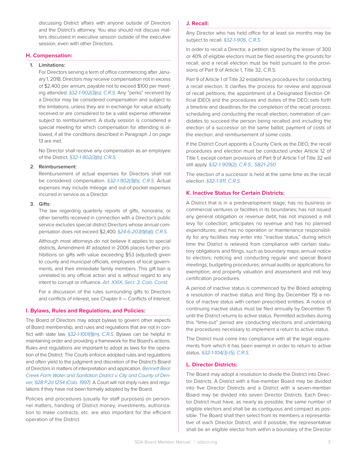discussing District affairs with anyone outside of Directors and the District's attorney. You also should not discuss matters discussed in executive session outside of the executive session, even with other Directors.

#### **H. Compensation:**

#### 1. Limitations:

For Directors serving a term of office commencing after January 1, 2018, Directors may receive compensation not in excess of \$2,400 per annum, payable not to exceed \$100 per meeting attended. *§32-1-902(3)(a), C.R.S.* Any "perks" received by a Director may be considered compensation and subject to the limitations, unless they are in exchange for value actually received or are considered to be a valid expense otherwise subject to reimbursement. A study session is considered a special meeting for which compensation for attending is allowed, if all the conditions described in Paragraph J on page 13 are met.

No Director shall receive any compensation as an employee of the District. *§32-1-902(3)(b), C.R.S.*

#### 2. Reimbursement:

Reimbursement of actual expenses for Directors shall not be considered compensation. *§32-1-902(3)(b), C.R.S.* Actual expenses may include mileage and out-of-pocket expenses incurred in service as a Director.

#### 3. Gifts:

The law regarding quarterly reports of gifts, honoraria, or other benefits received in connection with a Director's public service excludes special district Directors whose annual compensation does not exceed \$2,400. *§24-6-203(1)(b)(l), C.R.S.*

Although most attorneys do not believe it applies to special districts, Amendment 41 adopted in 2006 places further prohibitions on gifts with value exceeding \$53 (adjusted) given to county and municipal officials, employees of local governments, and their immediate family members. This gift ban is unrelated to any official action and is without regard to any intent to corrupt or influence. *Art. XXIX, Sect. 3, Colo. Const.*

For a discussion of the rules surrounding gifts to Directors and conflicts of interest, see Chapter II — Conflicts of Interest.

#### **I. Bylaws, Rules and Regulations, and Policies:**

The Board of Directors may adopt bylaws to govern other aspects of Board membership, and rules and regulations that are not in conflict with state law. *§32-1-1001(1)(m), C.R.S.* Bylaws can be helpful in maintaining order and providing a framework for the Board's actions. Rules and regulations are important to adopt as laws for the operation of the District. The Courts enforce adopted rules and regulations and often yield to the judgment and discretion of the District's Board of Directors in matters of interpretation and application. *Bennett Bear Creek Farm Water and Sanitation District v. City and County of Denver, 928 P.2d 1254 (Colo. 1997).* A Court will not imply rules and regulations if they have not been formally adopted by the Board.

Policies and procedures (usually for staff purposes) on personnel matters, handling of District money, investments, authorization to make contracts, etc. are also important for the efficient operation of the District.

#### **J. Recall:**

Any Director who has held office for at least six months may be subject to recall. *§32-1-906, C.R.S.*

In order to recall a Director, a petition signed by the lesser of 300 or 40% of eligible electors must be filed asserting the grounds for recall, and a recall election must be held pursuant to the provisions of Part 9 of Article 1, Title 32, C.R.S.

Part 9 of Article 1 of Title 32 establishes procedures for conducting a recall election. It clarifies the process for review and approval of recall petitions; the appointment of a Designated Election Official (DEO) and the procedures and duties of the DEO; sets forth a timeline and deadlines for the completion of the recall process; scheduling and conducting the recall election; nomination of candidates to succeed the person being recalled and including the election of a successor on the same ballot; payment of costs of the election; and reimbursement of some costs.

If the District Court appoints a County Clerk as the DEO, the recall procedures and election must be conducted under Article 12 of Title 1, except certain provisions of Part 9 of Article 1 of Title 32 will still apply. *§32-1-909(2), C.R.S.; SB21-250*

The election of a successor is held at the same time as the recall election. *§32-1-911, C.R.S.*

#### **K. Inactive Status for Certain Districts:**

A District that is in a predevelopment stage; has no business or commercial ventures or facilities in its boundaries; has not issued any general obligation or revenue debt; has not imposed a mill levy for collection; anticipates no revenue and has no planned expenditures; and has no operation or maintenance responsibility for any facilities may enter into "inactive status," during which time the District is relieved from compliance with certain statutory obligations and filings, such as boundary maps; annual notice to electors; noticing and conducting regular and special Board meetings; budgeting procedures; annual audits or applications for exemption; and property valuation and assessment and mill levy certification procedures.

A period of inactive status is commenced by the Board adopting a resolution of inactive status and filing (by December 15) a notice of inactive status with certain prescribed entities. A notice of continuing inactive status must be filed annually by December 15 until the District returns to active status. Permitted activities during this "time-out" period are conducting elections and undertaking the procedures necessary to implement a return to active status.

The District must come into compliance with all the legal requirements from which it has been exempt in order to return to active status. *§32-1-104(3)-(5), C.R.S.*

#### **L. Director Districts:**

The Board may adopt a resolution to divide the District into Director Districts. A District with a five-member Board may be divided into five Director Districts and a District with a seven-member Board may be divided into seven Director Districts. Each Director District must have, as nearly as possible, the same number of eligible electors and shall be as contiguous and compact as possible. The Board shall then select from its members a representative of each Director District, and if possible, the representative shall be an eligible elector from within a boundary of the Director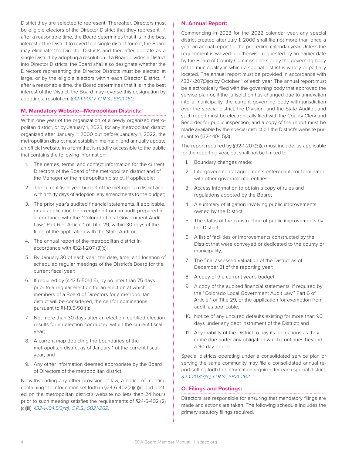District they are selected to represent. Thereafter, Directors must be eligible electors of the Director District that they represent. If, after a reasonable time, the Board determines that it is in the best interest of the District to revert to a single district format, the Board may eliminate the Director Districts and thereafter operate as a single District by adopting a resolution. If a Board divides a District into Director Districts, the Board shall also designate whether the Directors representing the Director Districts must be elected at large, or by the eligible electors within each Director District. If, after a reasonable time, the Board determines that it is in the best interest of the District, the Board may reverse this designation by adopting a resolution. *§32-1-902.7, C.R.S.; SB21-160.*

#### **M. Mandatory Website—Metropolitan Districts:**

Within one year of the organization of a newly organized metropolitan district, or by January 1, 2023, for any metropolitan district organized after January 1, 2000 but before January 1, 2022, the metropolitan district must establish, maintain, and annually update an official website in a form that is readily accessible to the public that contains the following information:

- 1. The names, terms, and contact information for the current Directors of the Board of the metropolitan district and of the Manager of the metropolitan district, if applicable;
- 2. The current fiscal year budget of the metropolitan district and, within thirty days of adoption, any amendments to the budget;
- 3. The prior year's audited financial statements, if applicable, or an application for exemption from an audit prepared in accordance with the "Colorado Local Government Audit Law," Part 6 of Article 1 of Title 29, within 30 days of the filing of the application with the State Auditor;
- 4. The annual report of the metropolitan district in accordance with §32-1-207 (3)(c);
- 5. By January 30 of each year, the date, time, and location of scheduled regular meetings of the District's Board for the current fiscal year;
- 6. If required by §1-13.5-501(1.5), by no later than 75 days prior to a regular election for an election at which members of a Board of Directors for a metropolitan district will be considered, the call for nominations pursuant to §1-13.5-501(1);
- 7. Not more than 30 days after an election, certified election results for an election conducted within the current fiscal year;
- 8. A current map depicting the boundaries of the metropolitan district as of January 1 of the current fiscal year; and
- 9. Any other information deemed appropriate by the Board of Directors of the metropolitan district.

Notwithstanding any other provision of law, a notice of meeting containing the information set forth in §24-6-402(2)(c)(iii) and posted on the metropolitan district's website no less than 24 hours prior to such meeting satisfies the requirements of *§*24-6-402 (2) (c)(iii). *§32-1-104.5(3)(a), C.R.S.; SB21-262.*

#### **N. Annual Report:**

Commencing in 2023 for the 2022 calendar year, any special district created after July 1, 2000 shall file not more than once a year an annual report for the preceding calendar year. Unless the requirement is waived or otherwise requested by an earlier date by the Board of County Commissioners or by the governing body of the municipality in which a special district is wholly or partially located. The annual report must be provided in accordance with §32-1-207(3)(c) by October 1 of each year. The annual report must be electronically filed with the governing body that approved the service plan or, if the jurisdiction has changed due to annexation into a municipality, the current governing body with jurisdiction over the special district, the Division, and the State Auditor, and such report must be electronically filed with the County Clerk and Recorder for public inspection, and a copy of the report must be made available by the special district on the District's website pursuant to §32-1-104.5(3).

The report required by §32-1-207(3)(c) must include, as applicable for the reporting year, but shall not be limited to:

- 1. Boundary changes made;
- 2. Intergovernmental agreements entered into or terminated with other governmental entities;
- 3. Access information to obtain a copy of rules and regulations adopted by the Board;
- 4. A summary of litigation involving public improvements owned by the District;
- 5. The status of the construction of public improvements by the District;
- 6. A list of facilities or improvements constructed by the District that were conveyed or dedicated to the county or municipality;
- 7. The final assessed valuation of the District as of December 31 of the reporting year;
- 8. A copy of the current year's budget;
- 9. A copy of the audited financial statements, if required by the "Colorado Local Government Audit Law," Part 6 of Article 1 of Title 29, or the application for exemption from audit, as applicable;
- 10. Notice of any uncured defaults existing for more than 90 days under any debt instrument of the District; and
- 11. Any inability of the District to pay its obligations as they come due under any obligation which continues beyond a 90 day period.

Special districts operating under a consolidated service plan or serving the same community may file a consolidated annual report setting forth the information required for each special district. *32-1-207(3)(c), C.R.S.; SB21-262.*

#### **O. Filings and Postings:**

Directors are responsible for ensuring that mandatory filings are made and actions are taken. The following schedule includes the primary statutory filings required.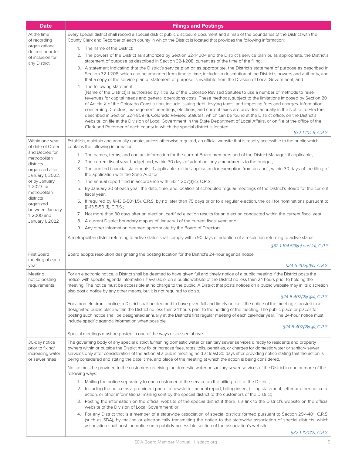| <b>Date</b>                                            | <b>Filings and Postings</b>                                                                                                                                                                                                                                                                                                                                                                                                                                                                                                                                                                                                                                                                                                                                                                                                                                                               |
|--------------------------------------------------------|-------------------------------------------------------------------------------------------------------------------------------------------------------------------------------------------------------------------------------------------------------------------------------------------------------------------------------------------------------------------------------------------------------------------------------------------------------------------------------------------------------------------------------------------------------------------------------------------------------------------------------------------------------------------------------------------------------------------------------------------------------------------------------------------------------------------------------------------------------------------------------------------|
| At the time<br>of recording                            | Every special district shall record a special district public disclosure document and a map of the boundaries of the District with the<br>County Clerk and Recorder of each county in which the District is located that provides the following information:                                                                                                                                                                                                                                                                                                                                                                                                                                                                                                                                                                                                                              |
| organizational                                         | 1. The name of the District;                                                                                                                                                                                                                                                                                                                                                                                                                                                                                                                                                                                                                                                                                                                                                                                                                                                              |
| decree or order<br>of inclusion for<br>any District    | 2. The powers of the District as authorized by Section 32-1-1004 and the District's service plan or, as appropriate, the District's<br>statement of purpose as described in Section 32-1-208, current as of the time of the filing;                                                                                                                                                                                                                                                                                                                                                                                                                                                                                                                                                                                                                                                       |
|                                                        | 3. A statement indicating that the District's service plan or, as appropriate, the District's statement of purpose as described in<br>Section 32-1-208, which can be amended from time to time, includes a description of the District's powers and authority, and<br>that a copy of the service plan or statement of purpose is available from the Division of Local Government; and                                                                                                                                                                                                                                                                                                                                                                                                                                                                                                     |
|                                                        | 4. The following statement:<br>[Name of the District] is authorized by Title 32 of the Colorado Revised Statutes to use a number of methods to raise<br>revenues for capital needs and general operations costs. These methods, subject to the limitations imposed by Section 20<br>of Article X of the Colorado Constitution, include issuing debt, levying taxes, and imposing fees and charges. Information<br>concerning Directors, management, meetings, elections, and current taxes are provided annually in the Notice to Electors<br>described in Section 32-1-809 (1), Colorado Revised Statutes, which can be found at the District office, on the District's<br>website, on file at the Division of Local Government in the State Department of Local Affairs, or on file at the office of the<br>Clerk and Recorder of each county in which the special district is located. |
|                                                        | §32-1-104.8, C.R.S.                                                                                                                                                                                                                                                                                                                                                                                                                                                                                                                                                                                                                                                                                                                                                                                                                                                                       |
| Within one year<br>of date of Order                    | Establish, maintain and annually update, unless otherwise required, an official website that is readily accessible to the public which<br>contains the following information:                                                                                                                                                                                                                                                                                                                                                                                                                                                                                                                                                                                                                                                                                                             |
| and Decree for<br>metropolitan                         | The names, terms, and contact information for the current Board members and of the District Manager, if applicable;<br>1.                                                                                                                                                                                                                                                                                                                                                                                                                                                                                                                                                                                                                                                                                                                                                                 |
| districts                                              | 2. The current fiscal year budget and, within 30 days of adoption, any amendments to the budget;                                                                                                                                                                                                                                                                                                                                                                                                                                                                                                                                                                                                                                                                                                                                                                                          |
| organized after<br>January 1, 2022,                    | 3. The audited financial statements, if applicable, or the application for exemption from an audit, within 30 days of the filing of<br>the application with the State Auditor;                                                                                                                                                                                                                                                                                                                                                                                                                                                                                                                                                                                                                                                                                                            |
| or by January<br>1, 2023 for                           | 4. The annual report filed in accordance with §32-1-207(3)(c), C.R.S.;                                                                                                                                                                                                                                                                                                                                                                                                                                                                                                                                                                                                                                                                                                                                                                                                                    |
| metropolitan<br>districts                              | By January 30 of each year, the date, time, and location of scheduled regular meetings of the District's Board for the current<br>5.<br>fiscal year;                                                                                                                                                                                                                                                                                                                                                                                                                                                                                                                                                                                                                                                                                                                                      |
| organized<br>between January                           | 6. If required by §1-13.5-501(1.5), C.R.S. by no later than 75 days prior to a regular election, the call for nominations pursuant to<br>§1-13.5-501(1), C.R.S.;                                                                                                                                                                                                                                                                                                                                                                                                                                                                                                                                                                                                                                                                                                                          |
| 1, 2000 and<br>January 1, 2022                         | 7. Not more than 30 days after an election, certified election results for an election conducted within the current fiscal year;<br>8. A current District boundary map as of January 1 of the current fiscal year; and                                                                                                                                                                                                                                                                                                                                                                                                                                                                                                                                                                                                                                                                    |
|                                                        | 9. Any other information deemed appropriate by the Board of Directors.                                                                                                                                                                                                                                                                                                                                                                                                                                                                                                                                                                                                                                                                                                                                                                                                                    |
|                                                        | A metropolitan district returning to active status shall comply within 90 days of adoption of a resolution returning to active status.                                                                                                                                                                                                                                                                                                                                                                                                                                                                                                                                                                                                                                                                                                                                                    |
|                                                        | §32-1-104.5(3)(a) and (d), C.R.S                                                                                                                                                                                                                                                                                                                                                                                                                                                                                                                                                                                                                                                                                                                                                                                                                                                          |
| <b>First Board</b>                                     | Board adopts resolution designating the posting location for the District's 24-hour agenda notice.                                                                                                                                                                                                                                                                                                                                                                                                                                                                                                                                                                                                                                                                                                                                                                                        |
| meeting of each<br>year                                | $\S$ 24-6-402(2)(c), C.R.S.                                                                                                                                                                                                                                                                                                                                                                                                                                                                                                                                                                                                                                                                                                                                                                                                                                                               |
| Meeting<br>notice posting<br>requirements              | For an electronic notice, a District shall be deemed to have given full and timely notice of a public meeting if the District posts the<br>notice, with specific agenda information if available, on a public website of the District no less than 24 hours prior to holding the<br>meeting. The notice must be accessible at no charge to the public. A District that posts notices on a public website may in its discretion<br>also post a notice by any other means, but it is not required to do so.                                                                                                                                                                                                                                                                                                                                                                                 |
|                                                        | §24-6-402(2)(c)(III), C.R.S.                                                                                                                                                                                                                                                                                                                                                                                                                                                                                                                                                                                                                                                                                                                                                                                                                                                              |
|                                                        | For a non-electronic notice, a District shall be deemed to have given full and timely notice if the notice of the meeting is posted in a<br>designated public place within the District no less than 24 hours prior to the holding of the meeting. The public place or places for<br>posting such notice shall be designated annually at the District's first regular meeting of each calendar year. The 24-hour notice must<br>include specific agenda information when possible.                                                                                                                                                                                                                                                                                                                                                                                                        |
|                                                        | §24-6-402(2)(c)(l), C.R.S.<br>Special meetings must be posted in one of the ways discussed above.                                                                                                                                                                                                                                                                                                                                                                                                                                                                                                                                                                                                                                                                                                                                                                                         |
| 30-day notice                                          |                                                                                                                                                                                                                                                                                                                                                                                                                                                                                                                                                                                                                                                                                                                                                                                                                                                                                           |
| prior to fixing/<br>increasing water<br>or sewer rates | The governing body of any special district furnishing domestic water or sanitary sewer services directly to residents and property<br>owners within or outside the District may fix or increase fees, rates, tolls, penalties, or charges for domestic water or sanitary sewer<br>services only after consideration of the action at a public meeting held at least 30 days after providing notice stating that the action is<br>being considered and stating the date, time, and place of the meeting at which the action is being considered.                                                                                                                                                                                                                                                                                                                                           |
|                                                        | Notice must be provided to the customers receiving the domestic water or sanitary sewer services of the District in one or more of the<br>following ways:                                                                                                                                                                                                                                                                                                                                                                                                                                                                                                                                                                                                                                                                                                                                 |
|                                                        | Mailing the notice separately to each customer of the service on the billing rolls of the District;<br>1.                                                                                                                                                                                                                                                                                                                                                                                                                                                                                                                                                                                                                                                                                                                                                                                 |
|                                                        | 2. Including the notice as a prominent part of a newsletter, annual report, billing insert, billing statement, letter or other notice of<br>action, or other informational mailing sent by the special district to the customers of the District;                                                                                                                                                                                                                                                                                                                                                                                                                                                                                                                                                                                                                                         |
|                                                        | 3. Posting the information on the official website of the special district if there is a link to the District's website on the official<br>website of the Division of Local Government; or                                                                                                                                                                                                                                                                                                                                                                                                                                                                                                                                                                                                                                                                                                |
|                                                        | 4. For any District that is a member of a statewide association of special districts formed pursuant to Section 29-1-401, C.R.S.<br>(such as SDA), by mailing or electronically transmitting the notice to the statewide association of special districts, which<br>association shall post the notice on a publicly accessible section of the association's website.                                                                                                                                                                                                                                                                                                                                                                                                                                                                                                                      |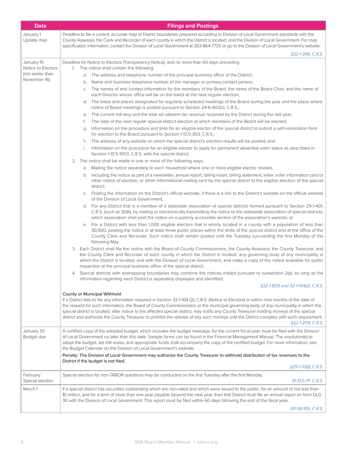| <b>Date</b>                      | <b>Filings and Postings</b>                                                                                                                                                                                                                                                                                                                                                                                                                                                                                                                                                                           |
|----------------------------------|-------------------------------------------------------------------------------------------------------------------------------------------------------------------------------------------------------------------------------------------------------------------------------------------------------------------------------------------------------------------------------------------------------------------------------------------------------------------------------------------------------------------------------------------------------------------------------------------------------|
| January 1<br>Update map          | Deadline to file a current, accurate map of District boundaries prepared according to Division of Local Government standards with the<br>County Assessor, the Clerk and Recorder of each county in which the District is located, and the Division of Local Government. For map<br>specification information, contact the Division of Local Government at 303-864-7720 or go to the Division of Local Government's website.                                                                                                                                                                           |
|                                  | §32-1-306, C.R.S.                                                                                                                                                                                                                                                                                                                                                                                                                                                                                                                                                                                     |
| January 15<br>Notice to Electors | Deadline for Notice to Electors (Transparency Notice), and no more than 60 days preceding.<br>The notice shall contain the following:<br>1.                                                                                                                                                                                                                                                                                                                                                                                                                                                           |
| (not earlier than                | a. The address and telephone number of the principal business office of the District;                                                                                                                                                                                                                                                                                                                                                                                                                                                                                                                 |
| November 16)                     | Name and business telephone number of the manager or primary contact person;<br>b.                                                                                                                                                                                                                                                                                                                                                                                                                                                                                                                    |
|                                  | The names of and contact information for the members of the Board, the name of the Board Chair, and the name of<br>C.<br>each Director whose office will be on the ballot at the next regular election;                                                                                                                                                                                                                                                                                                                                                                                               |
|                                  | The times and places designated for regularly scheduled meetings of the Board during the year and the place where<br>d.<br>notice of Board meetings is posted pursuant to Section 24-6-402(c), C.R.S.;                                                                                                                                                                                                                                                                                                                                                                                                |
|                                  | The current mill levy and the total ad valorem tax revenue received by the District during the last year;<br>е.                                                                                                                                                                                                                                                                                                                                                                                                                                                                                       |
|                                  | The date of the next regular special district election at which members of the Board will be elected;<br>f.                                                                                                                                                                                                                                                                                                                                                                                                                                                                                           |
|                                  | Information on the procedure and time for an eligible elector of the special district to submit a self-nomination form<br>g.<br>for election to the Board pursuant to Section 1-13.5-303, C.R.S.;                                                                                                                                                                                                                                                                                                                                                                                                     |
|                                  | The address of any website on which the special district's election results will be posted; and<br>h.                                                                                                                                                                                                                                                                                                                                                                                                                                                                                                 |
|                                  | Information on the procedure for an eligible elector to apply for permanent absentee voter status as described in<br>i.<br>Section 1-13.5-1003, C.R.S. with the special district.                                                                                                                                                                                                                                                                                                                                                                                                                     |
|                                  | 2. The notice shall be made in one or more of the following ways:                                                                                                                                                                                                                                                                                                                                                                                                                                                                                                                                     |
|                                  | a. Mailing the notice separately to each household where one or more eligible elector resides;                                                                                                                                                                                                                                                                                                                                                                                                                                                                                                        |
|                                  | b. Including the notice as part of a newsletter, annual report, billing insert, billing statement, letter, voter information card or<br>other notice of election, or other informational mailing sent by the special district to the eligible electors of the special<br>district;                                                                                                                                                                                                                                                                                                                    |
|                                  | Posting the information on the District's official website, if there is a link to the District's website on the official website<br>C.<br>of the Division of Local Government;                                                                                                                                                                                                                                                                                                                                                                                                                        |
|                                  | d. For any District that is a member of a statewide association of special districts formed pursuant to Section 29-1-401,<br>C.R.S. (such as SDA), by mailing or electronically transmitting the notice to the statewide association of special districts,<br>which association shall post the notice on a publicly accessible section of the association's website; or                                                                                                                                                                                                                               |
|                                  | For a District with less than 1,000 eligible electors that is wholly located in a county with a population of less than<br>е.<br>30,000, posting the notice in at least three public places within the limits of the special district and at the office of the<br>County Clerk and Recorder. Such notice shall remain posted until the Tuesday succeeding the first Monday of the<br>following May.                                                                                                                                                                                                   |
|                                  | 3. Each District shall file the notice with the Board of County Commissioners, the County Assessor, the County Treasurer, and<br>the County Clerk and Recorder of each county in which the District is located, any governing body of any municipality in<br>which the District is located, and with the Division of Local Government, and make a copy of the notice available for public<br>inspection at the principal business office of the special district.                                                                                                                                     |
|                                  | 4. Special districts with overlapping boundaries may combine the notices mailed pursuant to subsection 2(a), so long as the<br>information regarding each District is separately displayed and identified.                                                                                                                                                                                                                                                                                                                                                                                            |
|                                  | §32-1-809 and 32-1-104(2), C.R.S.                                                                                                                                                                                                                                                                                                                                                                                                                                                                                                                                                                     |
|                                  | County or Municipal Withhold                                                                                                                                                                                                                                                                                                                                                                                                                                                                                                                                                                          |
|                                  | If a District fails to file any information required in Section 32-1-104 (2), C.R.S. (Notice to Electors) or within nine months of the date of<br>the request for such information, the Board of County Commissioners or the municipal governing body of any municipality in which the<br>special district is located, after notice to the affected special district, may notify any County Treasurer holding moneys of the special<br>district and authorize the County Treasurer to prohibit the release of any such moneys until the District complies with such requirement.<br>§32-1-209, C.R.S. |
| January 30<br>Budget due         | A certified copy of the adopted budget, which includes the budget message, for the current fiscal year, must be filed with the Division<br>of Local Government no later than this date. Sample forms can be found in the Financial Management Manual. The resolution(s) to<br>adopt the budget, set mill levies, and appropriate funds shall accompany the copy of the certified budget. For more information, see<br>the Budget Calendar on the Division of Local Government's website.                                                                                                              |
|                                  | Penalty: The Division of Local Government may authorize the County Treasurer to withhold distribution of tax revenues to the                                                                                                                                                                                                                                                                                                                                                                                                                                                                          |
|                                  | District if the budget is not filed.<br>§29-1-113(1), C.R.S.                                                                                                                                                                                                                                                                                                                                                                                                                                                                                                                                          |
| February<br>Special election     | Special election for non-TABOR questions may be conducted on the first Tuesday after the first Monday.<br>§1-13.5-111, C.R.S.                                                                                                                                                                                                                                                                                                                                                                                                                                                                         |
| March 1                          | If a special district has securities outstanding which are non-rated and which were issued to the public, for an amount of not less than<br>\$1 million, and for a term of more than one year payable beyond the next year, then that District must file an annual report on form DLG<br>30 with the Division of Local Government. This report must be filed within 60 days following the end of the fiscal year.                                                                                                                                                                                     |
|                                  | §11-58-105, C.R.S.                                                                                                                                                                                                                                                                                                                                                                                                                                                                                                                                                                                    |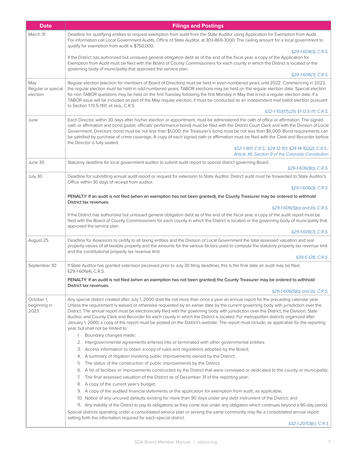| <b>Date</b>                           | <b>Filings and Postings</b>                                                                                                                                                                                                                                                                                                                                                                                                                                                                                                                                                                                                                                                                                                                                                      |
|---------------------------------------|----------------------------------------------------------------------------------------------------------------------------------------------------------------------------------------------------------------------------------------------------------------------------------------------------------------------------------------------------------------------------------------------------------------------------------------------------------------------------------------------------------------------------------------------------------------------------------------------------------------------------------------------------------------------------------------------------------------------------------------------------------------------------------|
| March 31                              | Deadline for qualifying entities to request exemption from audit from the State Auditor using Application for Exemption from Audit.<br>For information call Local Government Audits, Office of State Auditor, at 303-869-3000. The ceiling amount for a local government to<br>qualify for exemption from audit is \$750,000.                                                                                                                                                                                                                                                                                                                                                                                                                                                    |
|                                       | §29-1-604(3), C.R.S.<br>If the District has authorized but unissued general obligation debt as of the end of the fiscal year, a copy of the Application for<br>Exemption from Audit must be filed with the Board of County Commissioners for each county in which the District is located or the<br>governing body of municipality that approved the service plan.                                                                                                                                                                                                                                                                                                                                                                                                               |
|                                       | §29-1-606(7), C.R.S.                                                                                                                                                                                                                                                                                                                                                                                                                                                                                                                                                                                                                                                                                                                                                             |
| May<br>Regular or special<br>election | Regular election (election for members of Board of Directors) must be held in even-numbered years until 2022. Commencing in 2023,<br>the regular election must be held in odd-numbered years. TABOR elections may be held on the regular election date. Special election<br>for non-TABOR questions may be held on the first Tuesday following the first Monday in May that is not a regular election date. If a<br>TABOR issue will be included as part of the May regular election, it must be conducted as an independent mail ballot election pursuant<br>to Section 1-13.5-1101, et seq., C.R.S.                                                                                                                                                                            |
|                                       | §32-1-103(17),(21); §1-13.5-111, C.R.S.                                                                                                                                                                                                                                                                                                                                                                                                                                                                                                                                                                                                                                                                                                                                          |
| June                                  | Each Director, within 30 days after his/her election or appointment, must be administered the oath of office or affirmation. The signed<br>oath or affirmation and bond (public officials' performance bond) must be filed with the District Court Clerk and with the Division of Local<br>Government. Directors' bond must be not less than \$1,000; the Treasurer's bond must be not less than \$5,000. Bond requirements can<br>be satisfied by purchase of crime coverage. A copy of each signed oath or affirmation must be filed with the Clerk and Recorder before<br>the Director is fully seated.<br>§32-1-901, C.R.S.; §24-12-101; §24-14-102(2), C.R.S.;                                                                                                              |
|                                       | Article XII, Section 9 of the Colorado Constitution                                                                                                                                                                                                                                                                                                                                                                                                                                                                                                                                                                                                                                                                                                                              |
| June 30                               | Statutory deadline for local government auditor to submit audit report to special district governing Board.<br>$$29-1-606(1)(a)$ , C.R.S.                                                                                                                                                                                                                                                                                                                                                                                                                                                                                                                                                                                                                                        |
| July 30                               | Deadline for submitting annual audit report or request for extension to State Auditor. District audit must be forwarded to State Auditor's                                                                                                                                                                                                                                                                                                                                                                                                                                                                                                                                                                                                                                       |
|                                       | Office within 30 days of receipt from auditor.<br>§29-1-606(3), C.R.S.                                                                                                                                                                                                                                                                                                                                                                                                                                                                                                                                                                                                                                                                                                           |
|                                       | PENALTY: If an audit is not filed (when an exemption has not been granted), the County Treasurer may be ordered to withhold<br>District tax revenues.                                                                                                                                                                                                                                                                                                                                                                                                                                                                                                                                                                                                                            |
|                                       | $$29-1-606(5)(a)$ and (b), C.R.S.                                                                                                                                                                                                                                                                                                                                                                                                                                                                                                                                                                                                                                                                                                                                                |
|                                       | If the District has authorized but unissued general obligation debt as of the end of the fiscal year, a copy of the audit report must be<br>filed with the Board of County Commissioners for each county in which the District is located or the governing body of municipality that<br>approved the service plan.                                                                                                                                                                                                                                                                                                                                                                                                                                                               |
|                                       | §29-1-606(7), C.R.S.                                                                                                                                                                                                                                                                                                                                                                                                                                                                                                                                                                                                                                                                                                                                                             |
| August 25                             | Deadline for Assessors to certify to all taxing entities and the Division of Local Government the total assessed valuation and real<br>property values of all taxable property and the amounts for the various factors used to compute the statutory property tax revenue limit<br>and the constitutional property tax revenue limit.                                                                                                                                                                                                                                                                                                                                                                                                                                            |
|                                       | §39-5-128, C.R.S.                                                                                                                                                                                                                                                                                                                                                                                                                                                                                                                                                                                                                                                                                                                                                                |
| September 30                          | If State Auditor has granted extension (received prior to July 30 filing deadline), this is the final date an audit may be filed.<br>§29-1-606(4), C.R.S.                                                                                                                                                                                                                                                                                                                                                                                                                                                                                                                                                                                                                        |
|                                       | PENALTY: If an audit is not filed (when an exemption has not been granted) the County Treasurer may be ordered to withhold<br>District tax revenues.                                                                                                                                                                                                                                                                                                                                                                                                                                                                                                                                                                                                                             |
|                                       | §29-1-606(5)(a) and (b), C.R.S.                                                                                                                                                                                                                                                                                                                                                                                                                                                                                                                                                                                                                                                                                                                                                  |
| October 1,<br>beginning in<br>2023    | Any special district created after July 1, 2000 shall file not more than once a year an annual report for the preceding calendar year.<br>Unless the requirement is waived or otherwise requested by an earlier date by the current governing body with jurisdiction over the<br>District. The annual report must be electronically filed with the governing body with jurisdiction over the District, the Division, State<br>Auditor, and County Clerk and Recorder for each county in which the District is located. For metropolitan districts organized after<br>January 1, 2000, a copy of the report must be posted on the District's website. The report must include, as applicable for the reporting<br>year, but shall not be limited to:<br>1. Boundary changes made; |
|                                       | 2. Intergovernmental agreements entered into or terminated with other governmental entities;                                                                                                                                                                                                                                                                                                                                                                                                                                                                                                                                                                                                                                                                                     |
|                                       | 3. Access information to obtain a copy of rules and regulations adopted by the Board;                                                                                                                                                                                                                                                                                                                                                                                                                                                                                                                                                                                                                                                                                            |
|                                       | 4. A summary of litigation involving public improvements owned by the District;                                                                                                                                                                                                                                                                                                                                                                                                                                                                                                                                                                                                                                                                                                  |
|                                       | 5. The status of the construction of public improvements by the District;<br>6. A list of facilities or improvements constructed by the District that were conveyed or dedicated to the county or municipality;                                                                                                                                                                                                                                                                                                                                                                                                                                                                                                                                                                  |
|                                       | 7. The final assessed valuation of the District as of December 31 of the reporting year;                                                                                                                                                                                                                                                                                                                                                                                                                                                                                                                                                                                                                                                                                         |
|                                       | 8. A copy of the current year's budget;                                                                                                                                                                                                                                                                                                                                                                                                                                                                                                                                                                                                                                                                                                                                          |
|                                       | 9. A copy of the audited financial statements or the application for exemption from audit, as applicable;<br>10. Notice of any uncured defaults existing for more than 90 days under any debt instrument of the District; and                                                                                                                                                                                                                                                                                                                                                                                                                                                                                                                                                    |
|                                       | 11. Any inability of the District to pay its obligations as they come due under any obligation which continues beyond a 90-day period.<br>Special districts operating under a consolidated service plan or serving the same community may file a consolidated annual report                                                                                                                                                                                                                                                                                                                                                                                                                                                                                                      |
|                                       | setting forth the information required for each special district.<br>5221207/21/1000                                                                                                                                                                                                                                                                                                                                                                                                                                                                                                                                                                                                                                                                                             |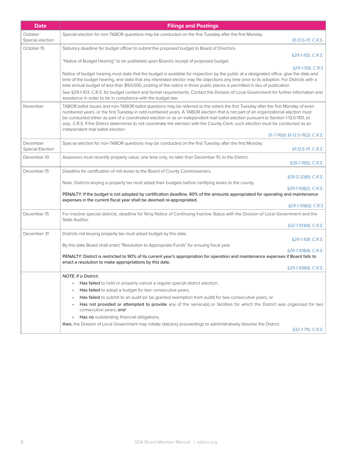| <b>Date</b>                  | <b>Filings and Postings</b>                                                                                                                                                                                                                                                                                                                                                                                                                                                                                                                                                                                                     |
|------------------------------|---------------------------------------------------------------------------------------------------------------------------------------------------------------------------------------------------------------------------------------------------------------------------------------------------------------------------------------------------------------------------------------------------------------------------------------------------------------------------------------------------------------------------------------------------------------------------------------------------------------------------------|
| October<br>Special election  | Special election for non-TABOR questions may be conducted on the first Tuesday after the first Monday.<br>§1-13.5-111, C.R.S.                                                                                                                                                                                                                                                                                                                                                                                                                                                                                                   |
| October 15                   | Statutory deadline for budget officer to submit the proposed budget to Board of Directors.                                                                                                                                                                                                                                                                                                                                                                                                                                                                                                                                      |
|                              | §29-1-105, C.R.S.<br>"Notice of Budget Hearing" to be published upon Board's receipt of proposed budget.                                                                                                                                                                                                                                                                                                                                                                                                                                                                                                                        |
|                              | §29-1-106, C.R.S                                                                                                                                                                                                                                                                                                                                                                                                                                                                                                                                                                                                                |
|                              | Notice of budget hearing must state that the budget is available for inspection by the public at a designated office, give the date and<br>time of the budget hearing, and state that any interested elector may file objections any time prior to its adoption. For Districts with a<br>total annual budget of less than \$50,000, posting of the notice in three public places is permitted in lieu of publication.                                                                                                                                                                                                           |
|                              | See §29-1-103, C.R.S. for budget content and format requirements. Contact the Division of Local Government for further information and<br>assistance in order to be in compliance with the budget law.                                                                                                                                                                                                                                                                                                                                                                                                                          |
| November                     | TABOR ballot issues and non-TABOR ballot questions may be referred to the voters the first Tuesday after the first Monday of even<br>numbered years, or the first Tuesday in odd-numbered years. A TABOR election that is not part of an organizational election must<br>be conducted either as part of a coordinated election or as an independent mail ballot election pursuant to Section 1-13.5-1101, et<br>seq., C.R.S. If the District determines to not coordinate the election with the County Clerk, such election must be conducted as an<br>independent mail ballot election.<br>§1-7-116(1); §1-13.5-111(2), C.R.S. |
|                              |                                                                                                                                                                                                                                                                                                                                                                                                                                                                                                                                                                                                                                 |
| December<br>Special Election | Special election for non-TABOR questions may be conducted on the first Tuesday after the first Monday.<br>§1-13.5-111, C.R.S.                                                                                                                                                                                                                                                                                                                                                                                                                                                                                                   |
| December 10                  | Assessors must recertify property value, one time only, no later than December 10, to the District.<br>§39-1-111(5), C.R.S.                                                                                                                                                                                                                                                                                                                                                                                                                                                                                                     |
| December 15                  | Deadline for certification of mill levies to the Board of County Commissioners.<br>§39-5-128(1), C.R.S.                                                                                                                                                                                                                                                                                                                                                                                                                                                                                                                         |
|                              | Note: Districts levying a property tax must adopt their budgets before certifying levies to the county.<br>§29-1-108(2), C.R.S.                                                                                                                                                                                                                                                                                                                                                                                                                                                                                                 |
|                              | PENALTY: If the budget is not adopted by certification deadline, 90% of the amounts appropriated for operating and maintenance<br>expenses in the current fiscal year shall be deemed re-appropriated.                                                                                                                                                                                                                                                                                                                                                                                                                          |
|                              | §29-1-108(3), C.R.S                                                                                                                                                                                                                                                                                                                                                                                                                                                                                                                                                                                                             |
| December 15                  | For inactive special districts, deadline for filing Notice of Continuing Inactive Status with the Division of Local Government and the<br>State Auditor.                                                                                                                                                                                                                                                                                                                                                                                                                                                                        |
|                              | §32-1-104(4), C.R.S.                                                                                                                                                                                                                                                                                                                                                                                                                                                                                                                                                                                                            |
| December 31                  | Districts not levying property tax must adopt budget by this date.<br>§29-1-108, C.R.S.                                                                                                                                                                                                                                                                                                                                                                                                                                                                                                                                         |
|                              | By this date Board shall enact "Resolution to Appropriate Funds" for ensuing fiscal year.                                                                                                                                                                                                                                                                                                                                                                                                                                                                                                                                       |
|                              | §29-1-108(4), C.R.S.<br>PENALTY: District is restricted to 90% of its current year's appropriation for operation and maintenance expenses if Board fails to                                                                                                                                                                                                                                                                                                                                                                                                                                                                     |
|                              | enact a resolution to make appropriations by this date.<br>§29-1-108(4), C.R.S.                                                                                                                                                                                                                                                                                                                                                                                                                                                                                                                                                 |
|                              | <b>NOTE: If a District:</b>                                                                                                                                                                                                                                                                                                                                                                                                                                                                                                                                                                                                     |
|                              | Has failed to hold or properly cancel a regular special district election,                                                                                                                                                                                                                                                                                                                                                                                                                                                                                                                                                      |
|                              | Has failed to adopt a budget for two consecutive years,                                                                                                                                                                                                                                                                                                                                                                                                                                                                                                                                                                         |
|                              | Has failed to submit to an audit (or be granted exemption from audit) for two consecutive years; or                                                                                                                                                                                                                                                                                                                                                                                                                                                                                                                             |
|                              | Has not provided or attempted to provide any of the service(s) or facilities for which the District was organized for two<br>consecutive years; and                                                                                                                                                                                                                                                                                                                                                                                                                                                                             |
|                              | Has no outstanding financial obligations,                                                                                                                                                                                                                                                                                                                                                                                                                                                                                                                                                                                       |
|                              | then, the Division of Local Government may initiate statutory proceedings to administratively dissolve the District.<br>§32-1-710, C.R.S.                                                                                                                                                                                                                                                                                                                                                                                                                                                                                       |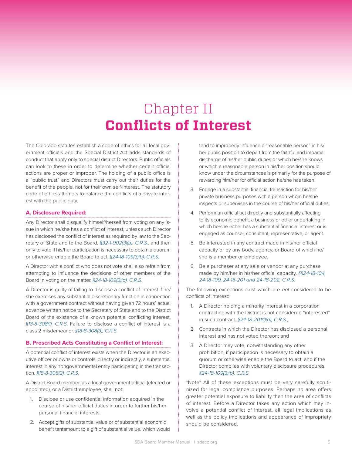# Chapter II **Conflicts of Interest**

The Colorado statutes establish a code of ethics for all local government officials and the Special District Act adds standards of conduct that apply only to special district Directors. Public officials can look to these in order to determine whether certain official actions are proper or improper. The holding of a public office is a "public trust" and Directors must carry out their duties for the benefit of the people, not for their own self-interest. The statutory code of ethics attempts to balance the conflicts of a private interest with the public duty.

#### **A. Disclosure Required:**

Any Director shall disqualify himself/herself from voting on any issue in which he/she has a conflict of interest, unless such Director has disclosed the conflict of interest as required by law to the Secretary of State and to the Board, *§32-1-902(3)(b), C.R.S.,* and then only to vote if his/her participation is necessary to obtain a quorum or otherwise enable the Board to act. *§24-18-109(3)(b), C.R.S.*

A Director with a conflict who does not vote shall also refrain from attempting to influence the decisions of other members of the Board in voting on the matter. *§24-18-109(3)(a), C.R.S.*

A Director is guilty of failing to disclose a conflict of interest if he/ she exercises any substantial discretionary function in connection with a government contract without having given 72 hours' actual advance written notice to the Secretary of State and to the District Board of the existence of a known potential conflicting interest. *§18-8-308(1), C.R.S.* Failure to disclose a conflict of interest is a class 2 misdemeanor. *§18-8-308(3), C.R.S.*

#### **B. Proscribed Acts Constituting a Conflict of Interest:**

A potential conflict of interest exists when the Director is an executive officer or owns or controls, directly or indirectly, a substantial interest in any nongovernmental entity participating in the transaction. *§18-8-308(2), C.R.S.*

A District Board member, as a local government official (elected or appointed), or a District employee, shall not:

- 1. Disclose or use confidential information acquired in the course of his/her official duties in order to further his/her personal financial interests.
- 2. Accept gifts of substantial value or of substantial economic benefit tantamount to a gift of substantial value, which would

tend to improperly influence a "reasonable person" in his/ her public position to depart from the faithful and impartial discharge of his/her public duties or which he/she knows or which a reasonable person in his/her position should know under the circumstances is primarily for the purpose of rewarding him/her for official action he/she has taken.

- 3. Engage in a substantial financial transaction for his/her private business purposes with a person whom he/she inspects or supervises in the course of his/her official duties.
- 4. Perform an official act directly and substantially affecting to its economic benefit, a business or other undertaking in which he/she either has a substantial financial interest or is engaged as counsel, consultant, representative, or agent.
- 5. Be interested in any contract made in his/her official capacity or by any body, agency, or Board of which he/ she is a member or employee.
- 6. Be a purchaser at any sale or vendor at any purchase made by him/her in his/her official capacity. *§§24-18-104, 24-18-109, 24-18-201 and 24-18-202, C.R.S.*

The following exceptions exist which are *not* considered to be conflicts of interest:

- 1. A Director holding a minority interest in a corporation contracting with the District is not considered "interested" in such contract. *§24-18-201(1)(a), C.R.S.;*
- 2. Contracts in which the Director has disclosed a personal interest and has not voted thereon; and
- 3. A Director may vote, notwithstanding any other prohibition, if participation is necessary to obtain a quorum or otherwise enable the Board to act, and if the Director complies with voluntary disclosure procedures. *§24-18-109(3)(b), C.R.S.*

\*Note\* All of these exceptions must be very carefully scrutinized for legal compliance purposes. Perhaps no area offers greater potential exposure to liability than the area of conflicts of interest. Before a Director takes any action which may involve a potential conflict of interest, all legal implications as well as the policy implications and appearance of impropriety should be considered.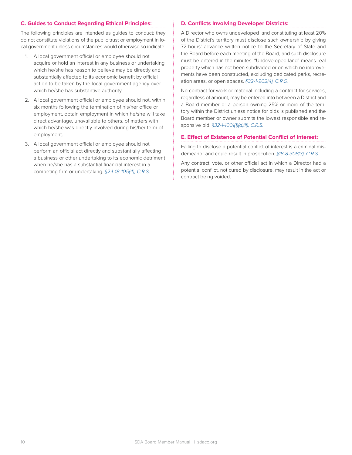#### **C. Guides to Conduct Regarding Ethical Principles:**

The following principles are intended as guides to conduct; they do not constitute violations of the public trust or employment in local government unless circumstances would otherwise so indicate:

- 1. A local government official or employee should not acquire or hold an interest in any business or undertaking which he/she has reason to believe may be directly and substantially affected to its economic benefit by official action to be taken by the local government agency over which he/she has substantive authority.
- 2. A local government official or employee should not, within six months following the termination of his/her office or employment, obtain employment in which he/she will take direct advantage, unavailable to others, of matters with which he/she was directly involved during his/her term of employment.
- 3. A local government official or employee should not perform an official act directly and substantially affecting a business or other undertaking to its economic detriment when he/she has a substantial financial interest in a competing firm or undertaking. *§24-18-105(4), C.R.S.*

#### **D. Conflicts Involving Developer Districts:**

A Director who owns undeveloped land constituting at least 20% of the District's territory must disclose such ownership by giving 72-hours' advance written notice to the Secretary of State and the Board before each meeting of the Board, and such disclosure must be entered in the minutes. "Undeveloped land" means real property which has not been subdivided or on which no improvements have been constructed, excluding dedicated parks, recreation areas, or open spaces. *§32-1-902(4), C.R.S.*

No contract for work or material including a contract for services, regardless of amount, may be entered into between a District and a Board member or a person owning 25% or more of the territory within the District unless notice for bids is published and the Board member or owner submits the lowest responsible and responsive bid. *§32-1-1001(1)(d)(II), C.R.S.*

#### **E. Effect of Existence of Potential Conflict of Interest:**

Failing to disclose a potential conflict of interest is a criminal misdemeanor and could result in prosecution. *§18-8-308(3), C.R.S.*

Any contract, vote, or other official act in which a Director had a potential conflict, not cured by disclosure, may result in the act or contract being voided.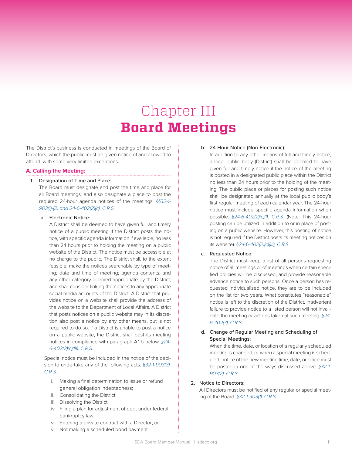# Chapter III **Board Meetings**

The District's business is conducted in meetings of the Board of Directors, which the public must be given notice of and allowed to attend, with some very limited exceptions.

#### **A. Calling the Meeting:**

#### 1. Designation of Time and Place:

The Board must designate and post the time and place for all Board meetings, and also designate a place to post the required 24-hour agenda notices of the meetings. *§§32-1- 903(1)-(2) and 24-6-402(2)(c), C.R.S.*

#### a. Electronic Notice:

A District shall be deemed to have given full and timely notice of a public meeting if the District posts the notice, with specific agenda information if available, no less than 24 hours prior to holding the meeting on a public website of the District. The notice must be accessible at no charge to the public. The District shall, to the extent feasible, make the notices searchable by type of meeting; date and time of meeting; agenda contents; and any other category deemed appropriate by the District, and shall consider linking the notices to any appropriate social media accounts of the District. A District that provides notice on a website shall provide the address of the website to the Department of Local Affairs. A District that posts notices on a public website may in its discretion also post a notice by any other means, but is not required to do so. If a District is unable to post a notice on a public website, the District shall post its meeting notices in compliance with paragraph A.1.b below. *§24- 6-402(2)(c)(III), C.R.S.*

Special notice must be included in the notice of the decision to undertake any of the following acts: *§32-1-903(3), C.R.S.*

- i. Making a final determination to issue or refund general obligation indebtedness;
- ii. Consolidating the District;
- iii. Dissolving the District;
- iv. Filing a plan for adjustment of debt under federal bankruptcy law;
- v. Entering a private contract with a Director; or
- vi. Not making a scheduled bond payment.

#### b. 24-Hour Notice (Non-Electronic):

In addition to any other means of full and timely notice, a local public body (District) shall be deemed to have given full and timely notice if the notice of the meeting is posted in a designated public place within the District no less than 24 hours prior to the holding of the meeting. The public place or places for posting such notice shall be designated annually at the local public body's first regular meeting of each calendar year. The 24-hour notice must include specific agenda information when possible. *§24-6-402(2)(c)(I), C.R.S.* (Note: This 24-hour posting can be utilized in addition to or in place of posting on a public website. However, this posting of notice is not required if the District posts its meeting notices on its website). *§24-6-402(2)(c)(III), C.R.S.*

#### c. Requested Notice:

The District must keep a list of all persons requesting notice of all meetings or of meetings when certain specified policies will be discussed, and provide reasonable advance notice to such persons. Once a person has requested individualized notice, they are to be included on the list for two years. What constitutes "reasonable" notice is left to the discretion of the District. Inadvertent failure to provide notice to a listed person will not invalidate the meeting or actions taken at such meeting. *§24- 6-402(7), C.R.S.*

#### d. Change of Regular Meeting and Scheduling of Special Meetings:

When the time, date, or location of a regularly scheduled meeting is changed, or when a special meeting is scheduled, notice of the new meeting time, date, or place must be posted in one of the ways discussed above. *§32-1- 903(2), C.R.S.*

#### 2. Notice to Directors:

All Directors must be notified of any regular or special meeting of the Board. *§32-1-903(1), C.R.S.*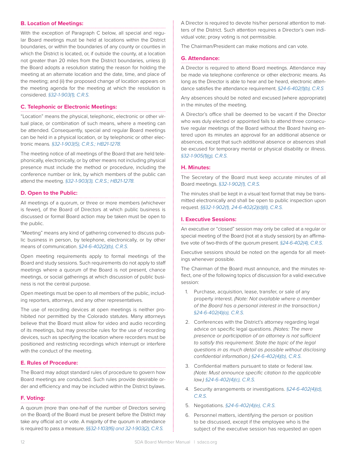#### **B. Location of Meetings:**

With the exception of Paragraph C below, all special and regular Board meetings must be held at locations within the District boundaries, or within the boundaries of any county or counties in which the District is located, or, if outside the county, at a location not greater than 20 miles from the District boundaries, unless (i) the Board adopts a resolution stating the reason for holding the meeting at an alternate location and the date, time, and place of the meeting; and (ii) the proposed change of location appears on the meeting agenda for the meeting at which the resolution is considered. *§32-1-903(1), C.R.S.*

#### **C. Telephonic or Electronic Meetings:**

"Location" means the physical, telephonic, electronic or other virtual place, or combination of such means, where a meeting can be attended. Consequently, special and regular Board meetings can be held in a physical location, or by telephonic or other electronic means*. §32-1-903(5), C.R.S.; HB21-1278.*

The meeting notice of all meetings of the Board that are held telephonically, electronically, or by other means not including physical presence must include the method or procedure, including the conference number or link, by which members of the public can attend the meeting. *§32-1-903(3), C.R.S.; HB21-1278.*

#### **D. Open to the Public:**

All meetings of a quorum, or three or more members (whichever is fewer), of the Board of Directors at which public business is discussed or formal Board action may be taken must be open to the public.

"Meeting" means any kind of gathering convened to discuss public business in person, by telephone, electronically, or by other means of communication. *§24-6-402(2)(b), C.R.S.* 

Open meeting requirements apply to formal meetings of the Board and study sessions. Such requirements do not apply to staff meetings where a quorum of the Board is not present, chance meetings, or social gatherings at which discussion of public business is not the central purpose.

Open meetings must be open to all members of the public, including reporters, attorneys, and any other representatives.

The use of recording devices at open meetings is neither prohibited nor permitted by the Colorado statutes. Many attorneys believe that the Board must allow for video and audio recording of its meetings, but may prescribe rules for the use of recording devices, such as specifying the location where recorders must be positioned and restricting recordings which interrupt or interfere with the conduct of the meeting.

#### **E. Rules of Procedure:**

The Board may adopt standard rules of procedure to govern how Board meetings are conducted. Such rules provide desirable order and efficiency and may be included within the District bylaws.

#### **F. Voting:**

A quorum (more than one-half of the number of Directors serving on the Board) of the Board must be present before the District may take any official act or vote. A majority of the quorum in attendance is required to pass a measure. *§§32-1-103(16) and 32-1-903(2), C.R.S.* 

A Director is required to devote his/her personal attention to matters of the District. Such attention requires a Director's own individual vote; proxy voting is not permissible.

The Chairman/President can make motions and can vote.

#### **G. Attendance:**

A Director is required to attend Board meetings. Attendance may be made via telephone conference or other electronic means. As long as the Director is able to hear and be heard, electronic attendance satisfies the attendance requirement. *§24-6-402(1)(b), C.R.S*

Any absences should be noted and excused (where appropriate) in the minutes of the meeting.

A Director's office shall be deemed to be vacant if the Director who was duly elected or appointed fails to attend three consecutive regular meetings of the Board without the Board having entered upon its minutes an approval for an additional absence or absences, except that such additional absence or absences shall be excused for temporary mental or physical disability or illness. *§32-1-905(1)(g), C.R.S.*

#### **H. Minutes:**

The Secretary of the Board must keep accurate minutes of all Board meetings. *§32-1-902(1), C.R.S.*

The minutes shall be kept in a visual text format that may be transmitted electronically and shall be open to public inspection upon request. *§§32-1-902(1), 24-6-402(2)(d)(II), C.R.S.*

#### **I. Executive Sessions:**

An executive or "closed" session may only be called at a regular or special meeting of the Board (not at a study session) by an affirmative vote of two-thirds of the quorum present. *§24-6-402(4), C.R.S.*

Executive sessions should be noted on the agenda for all meetings whenever possible.

The Chairman of the Board must announce, and the minutes reflect, one of the following topics of discussion for a valid executive session:

- 1. Purchase, acquisition, lease, transfer, or sale of any property interest. *(Note: Not available where a member of the Board has a personal interest in the transaction.) §24-6-402(4)(a), C.R.S.*
- 2. Conferences with the District's attorney regarding legal advice on specific legal questions. *(Notes: The mere presence or participation of an attorney is not sufficient to satisfy this requirement. State the topic of the legal questions in as much detail as possible without disclosing confidential information.) §24-6-402(4)(b), C.R.S.*
- 3. Confidential matters pursuant to state or federal law. *(Note: Must announce specific citation to the applicable law.) §24-6-402(4)(c), C.R.S.*
- 4. Security arrangements or investigations. *§24-6-402(4)(d), C.R.S.*
- 5. Negotiations. *§24-6-402(4)(e), C.R.S.*
- 6. Personnel matters, identifying the person or position to be discussed, except if the employee who is the subject of the executive session has requested an open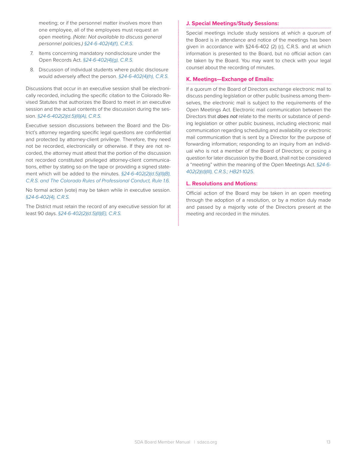meeting; or if the personnel matter involves more than one employee, all of the employees must request an open meeting. *(Note: Not available to discuss general personnel policies.) §24-6-402(4)(f), C.R.S.*

- 7. Items concerning mandatory nondisclosure under the Open Records Act. *§24-6-402(4)(g), C.R.S.*
- 8. Discussion of individual students where public disclosure would adversely affect the person. *§24-6-402(4)(h), C.R.S.*

Discussions that occur in an executive session shall be electronically recorded, including the specific citation to the Colorado Revised Statutes that authorizes the Board to meet in an executive session and the actual contents of the discussion during the session. *§24-6-402(2)(d.5)(II)(A), C.R.S.*

Executive session discussions between the Board and the District's attorney regarding specific legal questions are confidential and protected by attorney-client privilege. Therefore, they need not be recorded, electronically or otherwise. If they are not recorded, the attorney must attest that the portion of the discussion not recorded constituted privileged attorney-client communications, either by stating so on the tape or providing a signed statement which will be added to the minutes. *§24-6-402(2)(d.5)(II)(B), C.R.S. and The Colorado Rules of Professional Conduct, Rule 1.6.*

No formal action (vote) may be taken while in executive session. *§24-6-402(4), C.R.S.*

The District must retain the record of any executive session for at least 90 days. *§24-6-402(2)(d.5)(II)(E), C.R.S.*

#### **J. Special Meetings/Study Sessions:**

Special meetings include study sessions at which a quorum of the Board is in attendance and notice of the meetings has been given in accordance with §24-6-402 (2) (c), C.R.S. and at which information is presented to the Board, but no official action can be taken by the Board. You may want to check with your legal counsel about the recording of minutes.

#### **K. Meetings—Exchange of Emails:**

If a quorum of the Board of Directors exchange electronic mail to discuss pending legislation or other public business among themselves, the electronic mail is subject to the requirements of the Open Meetings Act. Electronic mail communication between the Directors that *does not* relate to the merits or substance of pending legislation or other public business, including electronic mail communication regarding scheduling and availability or electronic mail communication that is sent by a Director for the purpose of forwarding information; responding to an inquiry from an individual who is not a member of the Board of Directors; or posing a question for later discussion by the Board, shall not be considered a "meeting" within the meaning of the Open Meetings Act. *§24-6- 402(2)(d)(III), C.R.S.; HB21-1025.*

#### **L. Resolutions and Motions:**

Official action of the Board may be taken in an open meeting through the adoption of a resolution, or by a motion duly made and passed by a majority vote of the Directors present at the meeting and recorded in the minutes.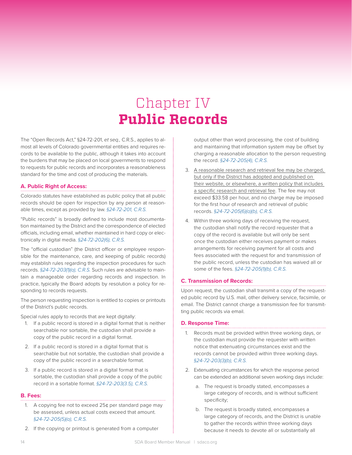# Chapter IV **Public Records**

The "Open Records Act," §24-72-201, *et seq.,* C.R.S., applies to almost all levels of Colorado governmental entities and requires records to be available to the public, although it takes into account the burdens that may be placed on local governments to respond to requests for public records and incorporates a reasonableness standard for the time and cost of producing the materials.

#### **A. Public Right of Access:**

Colorado statutes have established as public policy that all public records should be open for inspection by any person at reasonable times, except as provided by law. *§24-72-201, C.R.S.*

"Public records" is broadly defined to include most documentation maintained by the District and the correspondence of elected officials, including email, whether maintained in hard copy or electronically in digital media. *§24-72-202(6), C.R.S.*

The "official custodian" (the District officer or employee responsible for the maintenance, care, and keeping of public records) may establish rules regarding the inspection procedures for such records. *§24-72-203(1)(a), C.R.S.* Such rules are advisable to maintain a manageable order regarding records and inspection. In practice, typically the Board adopts by resolution a policy for responding to records requests.

The person requesting inspection is entitled to copies or printouts of the District's public records.

Special rules apply to records that are kept digitally:

- 1. If a public record is stored in a digital format that is neither searchable nor sortable, the custodian shall provide a copy of the public record in a digital format.
- 2. If a public record is stored in a digital format that is searchable but not sortable, the custodian shall provide a copy of the public record in a searchable format.
- 3. If a public record is stored in a digital format that is sortable, the custodian shall provide a copy of the public record in a sortable format. *§24-72-203(3.5), C.R.S.*

#### **B. Fees:**

- 1. A copying fee not to exceed 25¢ per standard page may be assessed, unless actual costs exceed that amount. *§24-72-205(5)(a), C.R.S.*
- 2. If the copying or printout is generated from a computer

output other than word processing, the cost of building and maintaining that information system may be offset by charging a reasonable allocation to the person requesting the record. *§24-72-205(4), C.R.S.* 

- 3. A reasonable research and retrieval fee may be charged, but only if the District has adopted and published on their website, or elsewhere, a written policy that includes a specific research and retrieval fee. The fee may not exceed \$33.58 per hour, and no charge may be imposed for the first hour of research and retrieval of public records. *§24-72-205(6)(a)(b), C.R.S.*
- 4. Within three working days of receiving the request, the custodian shall notify the record requester that a copy of the record is available but will only be sent once the custodian either receives payment or makes arrangements for receiving payment for all costs and fees associated with the request for and transmission of the public record, unless the custodian has waived all or some of the fees. *§24-72-205(1)(b), C.R.S.*

#### **C. Transmission of Records:**

Upon request, the custodian shall transmit a copy of the requested public record by U.S. mail, other delivery service, facsimile, or email. The District cannot charge a transmission fee for transmitting public records via email.

#### **D. Response Time:**

- 1. Records must be provided within three working days, or the custodian must provide the requester with written notice that extenuating circumstances exist and the records cannot be provided within three working days. *§24-72-203(3)(b), C.R.S.*
- 2. Extenuating circumstances for which the response period can be extended an additional seven working days include:
	- a. The request is broadly stated, encompasses a large category of records, and is without sufficient specificity;
	- b. The request is broadly stated, encompasses a large category of records, and the District is unable to gather the records within three working days because it needs to devote all or substantially all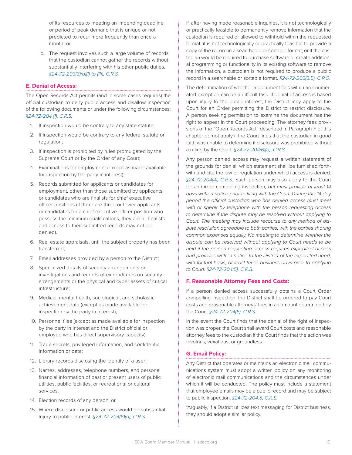of its resources to meeting an impending deadline or period of peak demand that is unique or not predicted to recur more frequently than once a month; or

c. The request involves such a large volume of records that the custodian cannot gather the records without substantially interfering with his other public duties. *§24-72-203(3)(b)(I) to (III), C.R.S.*

#### **E. Denial of Access:**

The Open Records Act permits (and in some cases requires) the official custodian to deny public access and disallow inspection of the following documents or under the following circumstances: *§24-72-204 (1), C.R.S.*

- 1. If inspection would be contrary to any state statute;
- 2. If inspection would be contrary to any federal statute or regulation;
- 3. If inspection is prohibited by rules promulgated by the Supreme Court or by the Order of any Court;
- 4. Examinations for employment (except as made available for inspection by the party in interest);
- 5. Records submitted for applicants or candidates for employment, other than those submitted by applicants or candidates who are finalists for chief executive officer positions (if there are three or fewer applicants or candidates for a chief executive officer position who possess the minimum qualifications, they are all finalists and access to their submitted records may not be denied).
- 6. Real estate appraisals, until the subject property has been transferred;
- 7. Email addresses provided by a person to the District;
- 8. Specialized details of security arrangements or investigations and records of expenditures on security arrangements or the physical and cyber assets of critical infrastructure;
- 9. Medical, mental health, sociological, and scholastic achievement data (except as made available for inspection by the party in interest);
- 10. Personnel files (except as made available for inspection by the party in interest and the District official or employee who has direct supervisory capacity);
- 11. Trade secrets, privileged information, and confidential information or data;
- 12. Library records disclosing the identity of a user;
- 13. Names, addresses, telephone numbers, and personal financial information of past or present users of public utilities, public facilities, or recreational or cultural services;
- 14. Election records of any person; or
- 15. Where disclosure or public access would do substantial injury to public interest. *§24-72-204(6)(a), C.R.S.*

If, after having made reasonable inquiries, it is not technologically or practically feasible to permanently remove information that the custodian is required or allowed to withhold within the requested format; it is not technologically or practically feasible to provide a copy of the record in a searchable or sortable format; or if the custodian would be required to purchase software or create additional programming or functionality in its existing software to remove the information, a custodian is not required to produce a public record in a searchable or sortable format. *§24-72-203(3.5), C.R.S.*

The determination of whether a document falls within an enumerated exception can be a difficult task. If denial of access is based upon injury to the public interest, the District may apply to the Court for an Order permitting the District to restrict disclosure. A person seeking permission to examine the document has the right to appear in the Court proceeding. The attorney fees provisions of the "Open Records Act" described in Paragraph F of this chapter do not apply if the Court finds that the custodian in good faith was unable to determine if disclosure was prohibited without a ruling by the Court. *§24-72-204(6)(a), C.R.S.*

Any person denied access may request a written statement of the grounds for denial, which statement shall be furnished forthwith and cite the law or regulation under which access is denied. *§24-72-204(4), C.R.S.* Such person may also apply to the Court for an Order compelling inspection*, but must provide at least 14 days written notice prior to filing with the Court. During this 14 day period the official custodian who has denied access must meet with or speak by telephone with the person requesting access to determine if the dispute may be resolved without applying to Court. The meeting may include recourse to any method of dispute resolution agreeable to both parties, with the parties sharing common expenses equally. No meeting to determine whether the dispute can be resolved without applying to Court needs to be held if the person requesting access requires expedited access and provides written notice to the District of the expedited need, with factual basis, at least three business days prior to applying to Court. §24-72-204(5), C.R.S.*

#### **F. Reasonable Attorney Fees and Costs:**

If a person denied access successfully obtains a Court Order compelling inspection, the District shall be ordered to pay Court costs and reasonable attorneys' fees in an amount determined by the Court. *§24-72-204(5), C.R.S.*

In the event the Court finds that the denial of the right of inspection was proper, the Court shall award Court costs and reasonable attorney fees to the custodian if the Court finds that the action was frivolous, vexatious, or groundless.

#### **G. Email Policy:**

Any District that operates or maintains an electronic mail communications system must adopt a written policy on any monitoring of electronic mail communications and the circumstances under which it will be conducted. The policy must include a statement that employee emails may be a public record and may be subject to public inspection. *§24-72-204.5, C.R.S.*

\*Arguably, if a District utilizes text messaging for District business, they should adopt a similar policy.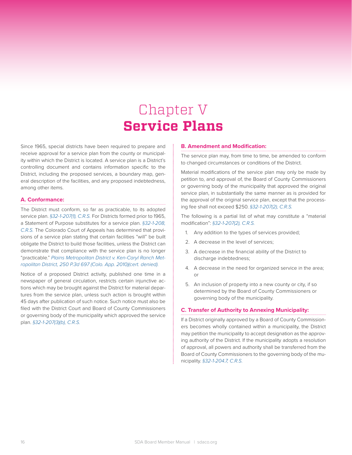# Chapter V **Service Plans**

Since 1965, special districts have been required to prepare and receive approval for a service plan from the county or municipality within which the District is located. A service plan is a District's controlling document and contains information specific to the District, including the proposed services, a boundary map, general description of the facilities, and any proposed indebtedness, among other items.

#### **A. Conformance:**

The District must conform, so far as practicable, to its adopted service plan. *§32-1-207(1), C.R.S.* For Districts formed prior to 1965, a Statement of Purpose substitutes for a service plan. *§32-1-208, C.R.S.* The Colorado Court of Appeals has determined that provisions of a service plan stating that certain facilities "will" be built obligate the District to build those facilities, unless the District can demonstrate that compliance with the service plan is no longer "practicable." *Plains Metropolitan District v. Ken-Caryl Ranch Metropolitan District, 250 P.3d 697 (Colo. App. 2010)(cert. denied).*

Notice of a proposed District activity, published one time in a newspaper of general circulation, restricts certain injunctive actions which may be brought against the District for material departures from the service plan, unless such action is brought within 45 days after publication of such notice. Such notice must also be filed with the District Court and Board of County Commissioners or governing body of the municipality which approved the service plan. *§32-1-207(3)(b), C.R.S.*

#### **B. Amendment and Modification:**

The service plan may, from time to time, be amended to conform to changed circumstances or conditions of the District.

Material modifications of the service plan may only be made by petition to, and approval of, the Board of County Commissioners or governing body of the municipality that approved the original service plan, in substantially the same manner as is provided for the approval of the original service plan, except that the processing fee shall not exceed \$250. *§32-1-207(2), C.R.S.*

The following is a partial list of what may constitute a "material modification": *§32-1-207(2), C.R.S.*

- 1. Any addition to the types of services provided;
- 2. A decrease in the level of services;
- 3. A decrease in the financial ability of the District to discharge indebtedness;
- 4. A decrease in the need for organized service in the area; or
- 5. An inclusion of property into a new county or city, if so determined by the Board of County Commissioners or governing body of the municipality.

#### **C. Transfer of Authority to Annexing Municipality:**

If a District originally approved by a Board of County Commissioners becomes wholly contained within a municipality, the District may petition the municipality to accept designation as the approving authority of the District. If the municipality adopts a resolution of approval, all powers and authority shall be transferred from the Board of County Commissioners to the governing body of the municipality. *§32-1-204.7, C.R.S.*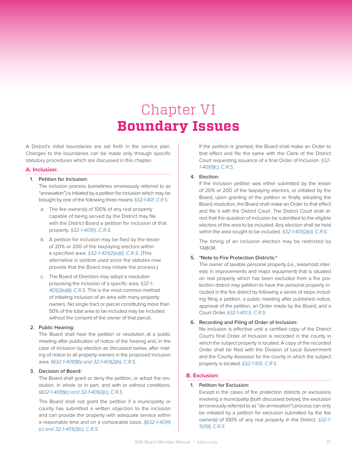# Chapter VI **Boundary Issues**

A District's initial boundaries are set forth in the service plan. Changes to the boundaries can be made only through specific statutory procedures which are discussed in this chapter.

#### **A. Inclusion:**

#### 1. Petition for Inclusion:

The inclusion process (sometimes erroneously referred to as "annexation") is initiated by a petition for inclusion which may be brought by one of the following three means: *§32-1-401, C.R.S.*

- a. The fee owner(s) of 100% of any real property capable of being served by the District may file with the District Board a petition for inclusion of that property. *§32-1-401(1), C.R.S.*
- b. A petition for inclusion may be filed by the lesser of 20% or 200 of the taxpaying electors within a specified area. *§32-1-401(2)(a)(I), C.R.S.* (This alternative is seldom used since the statutes now provide that the Board may initiate the process.)
- c. The Board of Directors may adopt a resolution proposing the inclusion of a specific area. *§32-1- 401(2)(a)(II), C.R.S.* This is the most common method of initiating inclusion of an area with many property owners. No single tract or parcel constituting more than 50% of the total area to be included may be included without the consent of the owner of that parcel.

#### 2. Public Hearing:

The Board shall hear the petition or resolution at a public meeting after publication of notice of the hearing and, in the case of inclusion by election as discussed below, after mailing of notice to all property owners in the proposed inclusion area. *§§32-1-401(1)(b) and 32-1-401(2)(b), C.R.S.*

#### 3. Decision of Board:

The Board shall grant or deny the petition, or adopt the resolution, in whole or in part, and with or without conditions. *§§32-1-401(1)(c) and 32-1-401(2)(c), C.R.S.*

The Board shall not grant the petition if a municipality or county has submitted a written objection to the inclusion and can provide the property with adequate service within a reasonable time and on a comparable basis. *§§32-1-401(1) (c) and 32-1-401(2)(c), C.R.S.*

If the petition is granted, the Board shall make an Order to that effect and file the same with the Clerk of the District Court requesting issuance of a final Order of Inclusion. *§32- 1-401(1)(c), C.R.S.*

#### 4. Election:

If the inclusion petition was either submitted by the lesser of 20% or 200 of the taxpaying electors, or initiated by the Board, upon granting of the petition or finally adopting the Board resolution, the Board shall make an Order to that effect and file it with the District Court. The District Court shall direct that the question of inclusion be submitted to the eligible electors of the area to be included. Any election shall be held within the area sought to be included. *§32-1-401(2)(d), C.R.S.*

The timing of an inclusion election may be restricted by TABOR.

#### 5. \*Note to Fire Protection Districts:\*

The owner of taxable personal property (i.e., leasehold interests in improvements and major equipment) that is situated on real property which has been excluded from a fire protection district may petition to have the personal property included in the fire district by following a series of steps including filing a petition, a public meeting after published notice, approval of the petition, an Order made by the Board, and a Court Order. *§32-1-401.5, C.R.S.*

#### 6. Recording and Filing of Order of Inclusion:

No inclusion is effective until a certified copy of the District Court's final Order of Inclusion is recorded in the county in which the subject property is located. A copy of the recorded Order shall be filed with the Division of Local Government and the County Assessor for the county in which the subject property is located. *§32-1-105, C.R.S.*

#### **B. Exclusion:**

#### 1. Petition for Exclusion:

Except in the cases of fire protection districts or exclusions involving a municipality (both discussed below), the exclusion (erroneously referred to as "de-annexation") process can only be initiated by a petition for exclusion submitted by the fee owner(s) of 100% of any real property in the District. *§32-1- 501(1), C.R.S.*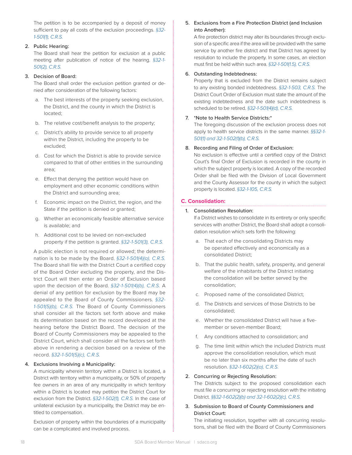The petition is to be accompanied by a deposit of money sufficient to pay all costs of the exclusion proceedings. *§32- 1-501(1), C.R.S.*

#### 2. Public Hearing:

The Board shall hear the petition for exclusion at a public meeting after publication of notice of the hearing. *§32-1- 501(2), C.R.S.*

#### 3. Decision of Board:

The Board shall order the exclusion petition granted or denied after consideration of the following factors:

- a. The best interests of the property seeking exclusion, the District, and the county in which the District is located;
- b. The relative cost/benefit analysis to the property;
- c. District's ability to provide service to all property within the District, including the property to be excluded;
- d. Cost for which the District is able to provide service compared to that of other entities in the surrounding area;
- e. Effect that denying the petition would have on employment and other economic conditions within the District and surrounding area;
- f. Economic impact on the District, the region, and the State if the petition is denied or granted;
- g. Whether an economically feasible alternative service is available; and
- h. Additional cost to be levied on non-excluded property if the petition is granted. *§32-1-501(3), C.R.S.*

A public election is not required or allowed; the determination is to be made by the Board. *§32-1-501(4)(a), C.R.S.* The Board shall file with the District Court a certified copy of the Board Order excluding the property, and the District Court will then enter an Order of Exclusion based upon the decision of the Board. *§32-1-501(4)(b), C.R.S.* A denial of any petition for exclusion by the Board may be appealed to the Board of County Commissioners. *§32- 1-501(5)(b), C.R.S.* The Board of County Commissioners shall consider all the factors set forth above and make its determination based on the record developed at the hearing before the District Board. The decision of the Board of County Commissioners may be appealed to the District Court, which shall consider all the factors set forth above in rendering a decision based on a review of the record. *§32-1-501(5)(c), C.R.S.*

#### 4. Exclusions Involving a Municipality:

A municipality wherein territory within a District is located, a District with territory within a municipality, or 50% of property fee owners in an area of any municipality in which territory within a District is located may petition the District Court for exclusion from the District. *§32-1-502(1), C.R.S.* In the case of unilateral exclusion by a municipality, the District may be entitled to compensation.

Exclusion of property within the boundaries of a municipality can be a complicated and involved process.

#### 5. Exclusions from a Fire Protection District (and Inclusion into Another):

A fire protection district may alter its boundaries through exclusion of a specific area if the area will be provided with the same service by another fire district and that District has agreed by resolution to include the property. In some cases, an election must first be held within such area. *§32-1-501(1.5), C.R.S.*

#### 6. Outstanding Indebtedness:

Property that is excluded from the District remains subject to any existing bonded indebtedness. *§32-1-503, C.R.S.* The District Court Order of Exclusion must state the amount of the existing indebtedness and the date such indebtedness is scheduled to be retired. *§32-1-501(4)(d), C.R.S.*

#### 7. \*Note to Health Service Districts:\*

The foregoing discussion of the exclusion process does not apply to health service districts in the same manner. *§§32-1- 501(1) and 32-1-502(1)(b), C.R.S.*

#### 8. Recording and Filing of Order of Exclusion:

No exclusion is effective until a certified copy of the District Court's final Order of Exclusion is recorded in the county in which the subject property is located. A copy of the recorded Order shall be filed with the Division of Local Government and the County Assessor for the county in which the subject property is located. *§32-1-105, C.R.S.*

#### **C. Consolidation:**

#### 1. Consolidation Resolution:

If a District wishes to consolidate in its entirety or only specific services with another District, the Board shall adopt a consolidation resolution which sets forth the following:

- a. That each of the consolidating Districts may be operated effectively and economically as a consolidated District;
- b. That the public health, safety, prosperity, and general welfare of the inhabitants of the District initiating the consolidation will be better served by the consolidation;
- c. Proposed name of the consolidated District;
- d. The Districts and services of those Districts to be consolidated;
- e. Whether the consolidated District will have a fivemember or seven-member Board;
- f. Any conditions attached to consolidation; and
- g. The time limit within which the included Districts must approve the consolidation resolution, which must be no later than six months after the date of such resolution. *§32-1-602(2)(a), C.R.S.*

#### 2. Concurring or Rejecting Resolution:

The Districts subject to the proposed consolidation each must file a concurring or rejecting resolution with the initiating District. *§§32-1-602(2)(b) and 32-1-602(2)(c), C.R.S.*

3. Submission to Board of County Commissioners and District Court:

The initiating resolution, together with all concurring resolutions, shall be filed with the Board of County Commissioners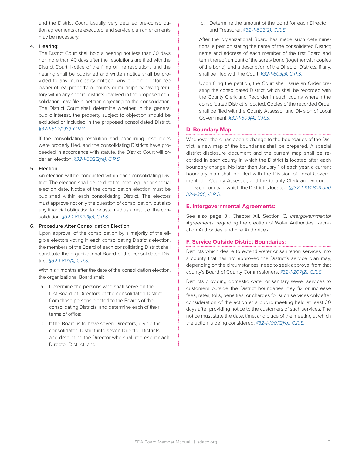and the District Court. Usually, very detailed pre-consolidation agreements are executed, and service plan amendments may be necessary.

#### 4. Hearing:

The District Court shall hold a hearing not less than 30 days nor more than 40 days after the resolutions are filed with the District Court. Notice of the filing of the resolutions and the hearing shall be published and written notice shall be provided to any municipality entitled. Any eligible elector, fee owner of real property, or county or municipality having territory within any special districts involved in the proposed consolidation may file a petition objecting to the consolidation. The District Court shall determine whether, in the general public interest, the property subject to objection should be excluded or included in the proposed consolidated District. *§32-1-602(2)(d), C.R.S.*

If the consolidating resolution and concurring resolutions were properly filed, and the consolidating Districts have proceeded in accordance with statute, the District Court will order an election. *§32-1-602(2)(e), C.R.S.*

#### 5. Election:

An election will be conducted within each consolidating District. The election shall be held at the next regular or special election date. Notice of the consolidation election must be published within each consolidating District. The electors must approve not only the question of consolidation, but also any financial obligation to be assumed as a result of the consolidation. *§32-1-602(2)(e), C.R.S.*

#### 6. Procedure After Consolidation Election:

Upon approval of the consolidation by a majority of the eligible electors voting in each consolidating District's election, the members of the Board of each consolidating District shall constitute the organizational Board of the consolidated District. *§32-1-603(1), C.R.S.*

Within six months after the date of the consolidation election. the organizational Board shall:

- a. Determine the persons who shall serve on the first Board of Directors of the consolidated District from those persons elected to the Boards of the consolidating Districts, and determine each of their terms of office;
- b. If the Board is to have seven Directors, divide the consolidated District into seven Director Districts and determine the Director who shall represent each Director District; and

c. Determine the amount of the bond for each Director and Treasurer. *§32-1-603(2), C.R.S.*

After the organizational Board has made such determinations, a petition stating the name of the consolidated District; name and address of each member of the first Board and term thereof; amount of the surety bond (together with copies of the bond); and a description of the Director Districts, if any, shall be filed with the Court. *§32-1-603(3), C.R.S.*

Upon filing the petition, the Court shall issue an Order creating the consolidated District, which shall be recorded with the County Clerk and Recorder in each county wherein the consolidated District is located. Copies of the recorded Order shall be filed with the County Assessor and Division of Local Government. *§32-1-603(4), C.R.S.*

#### **D. Boundary Map:**

Whenever there has been a change to the boundaries of the District, a new map of the boundaries shall be prepared. A special district disclosure document and the current map shall be recorded in each county in which the District is located after each boundary change. No later than January 1 of each year, a current boundary map shall be filed with the Division of Local Government, the County Assessor, and the County Clerk and Recorder for each county in which the District is located. *§§32-1-104.8(2) and 32-1-306, C.R.S.*

#### **E. Intergovernmental Agreements:**

See also page 31, Chapter XII, Section C, *Intergovernmental Agreements,* regarding the creation of Water Authorities, Recreation Authorities, and Fire Authorities.

#### **F. Service Outside District Boundaries:**

Districts which desire to extend water or sanitation services into a county that has not approved the District's service plan may, depending on the circumstances, need to seek approval from that county's Board of County Commissioners. *§32-1-207(2), C.R.S.*

Districts providing domestic water or sanitary sewer services to customers outside the District boundaries may fix or increase fees, rates, tolls, penalties, or charges for such services only after consideration of the action at a public meeting held at least 30 days after providing notice to the customers of such services. The notice must state the date, time, and place of the meeting at which the action is being considered. *§32-1-1001(2)(a), C.R.S.*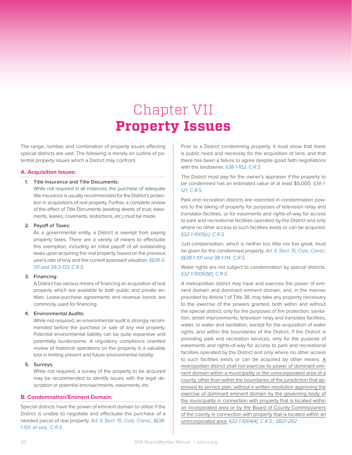# Chapter VII **Property Issues**

The range, number, and combination of property issues affecting special districts are vast. The following is merely an outline of potential property issues which a District may confront.

#### **A. Acquisition Issues:**

#### 1. Title Insurance and Title Documents:

While not required in all instances, the purchase of adequate title insurance is usually recommended for the District's protection in acquisitions of real property. Further, a complete review of the effect of Title Documents (existing deeds of trust, easements, leases, covenants, restrictions, etc.) must be made.

#### 2. Payoff of Taxes:

As a governmental entity, a District is exempt from paying property taxes. There are a variety of means to effectuate this exemption, including an initial payoff of all outstanding taxes upon acquiring the real property, based on the previous year's rate of levy and the current assessed valuation. *§§39-3- 131 and 39-3-133, C.R.S.*

#### 3. Financing:

A District has various means of financing an acquisition of real property which are available to both public and private entities. Lease-purchase agreements and revenue bonds are commonly used for financing.

#### 4. Environmental Audits:

While not required, an environmental audit is strongly recommended before the purchase or sale of any real property. Potential environmental liability can be quite expansive and potentially burdensome. A regulatory compliance oriented review of historical operations on the property is a valuable tool in limiting present and future environmental liability.

#### 5. Surveys:

While not required, a survey of the property to be acquired may be recommended to identify issues with the legal description or potential encroachments, easements, etc.

#### **B. Condemnation/Eminent Domain:**

Special districts have the power of eminent domain to utilize if the District is unable to negotiate and effectuate the purchase of a needed parcel of real property. *Art. II, Sect. 15, Colo. Const.; §§38- 1-101, et seq., C.R.S.*

Prior to a District condemning property, it must show that there is public need and necessity for the acquisition of land, and that there has been a failure to agree despite good faith negotiations with the landowner. *§38-1-102, C.R.S.*

The District must pay for the owner's appraiser if the property to be condemned has an estimated value of at least \$5,000. *§38-1- 121, C.R.S.*

Park and recreation districts are restricted in condemnation powers to the taking of property for purposes of television relay and translator facilities, or for easements and rights-of-way for access to park and recreational facilities operated by the District and only where no other access to such facilities exists or can be acquired. *§32-1-1005(c), C.R.S.*

Just compensation, which is neither too little nor too great, must be given for the condemned property. *Art. II, Sect. 15, Colo. Const.; §§38-1-101 and 38-1-114, C.R.S.*

Water rights are not subject to condemnation by special districts. *§32-1-1006(1)(f), C.R.S.*

A metropolitan district may have and exercise the power of eminent domain and dominant eminent domain, and, in the manner provided by Article 1 of Title 38, may take any property necessary to the exercise of the powers granted, both within and without the special district, only for the purposes of fire protection, sanitation, street improvements, television relay and translator facilities, water, or water and sanitation, except for the acquisition of water rights, and within the boundaries of the District, if the District is providing park and recreation services, only for the purpose of easements and rights-of-way for access to park and recreational facilities operated by the District and only where no other access to such facilities exists or can be acquired by other means. A metropolitan district shall not exercise its power of dominant eminent domain within a municipality or the unincorporated area of a county, other than within the boundaries of the jurisdiction that approved its service plan, without a written resolution approving the exercise of dominant eminent domain by the governing body of the municipality in connection with property that is located within an incorporated area or by the Board of County Commissioners of the county in connection with property that is located within an unincorporated area. *§32-1-1004(4), C.R.S.; SB21-262*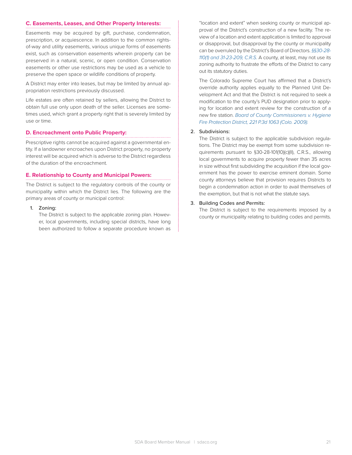#### **C. Easements, Leases, and Other Property Interests:**

Easements may be acquired by gift, purchase, condemnation, prescription, or acquiescence. In addition to the common rightsof-way and utility easements, various unique forms of easements exist, such as conservation easements wherein property can be preserved in a natural, scenic, or open condition. Conservation easements or other use restrictions may be used as a vehicle to preserve the open space or wildlife conditions of property.

A District may enter into leases, but may be limited by annual appropriation restrictions previously discussed.

Life estates are often retained by sellers, allowing the District to obtain full use only upon death of the seller. Licenses are sometimes used, which grant a property right that is severely limited by use or time.

#### **D. Encroachment onto Public Property:**

Prescriptive rights cannot be acquired against a governmental entity. If a landowner encroaches upon District property, no property interest will be acquired which is adverse to the District regardless of the duration of the encroachment.

#### **E. Relationship to County and Municipal Powers:**

The District is subject to the regulatory controls of the county or municipality within which the District lies. The following are the primary areas of county or municipal control:

1. Zoning:

The District is subject to the applicable zoning plan. However, local governments, including special districts, have long been authorized to follow a separate procedure known as "location and extent" when seeking county or municipal approval of the District's construction of a new facility. The review of a location and extent application is limited to approval or disapproval, but disapproval by the county or municipality can be overruled by the District's Board of Directors. *§§30-28- 110(1) and 31-23-209, C.R.S.* A county, at least, may not use its zoning authority to frustrate the efforts of the District to carry out its statutory duties.

The Colorado Supreme Court has affirmed that a District's override authority applies equally to the Planned Unit Development Act and that the District is not required to seek a modification to the county's PUD designation prior to applying for location and extent review for the construction of a new fire station. *Board of County Commissioners v. Hygiene Fire Protection District, 221 P.3d 1063 (Colo. 2009).*

#### 2. Subdivisions:

The District is subject to the applicable subdivision regulations. The District may be exempt from some subdivision requirements pursuant to §30-28-101(10)(c)(II), C.R.S., allowing local governments to acquire property fewer than 35 acres in size without first subdividing the acquisition if the local government has the power to exercise eminent domain. Some county attorneys believe that provision requires Districts to begin a condemnation action in order to avail themselves of the exemption, but that is not what the statute says.

#### 3. Building Codes and Permits:

The District is subject to the requirements imposed by a county or municipality relating to building codes and permits.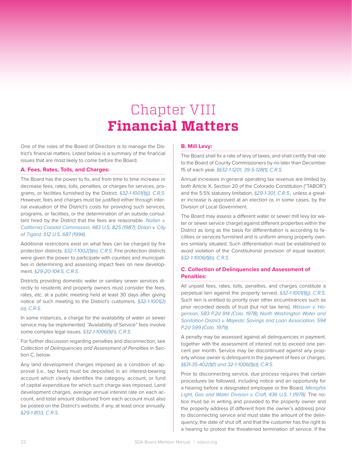# Chapter VIII **Financial Matters**

One of the roles of the Board of Directors is to manage the District's financial matters. Listed below is a summary of the financial issues that are most likely to come before the Board.

#### **A. Fees, Rates, Tolls, and Charges:**

The Board has the power to fix, and from time to time increase or decrease fees, rates, tolls, penalties, or charges for services, programs, or facilities furnished by the District. *§32-1-1001(1)(j), C.R.S.*  However, fees and charges must be justified either through internal evaluation of the District's costs for providing such services, programs, or facilities, or the determination of an outside consultant hired by the District that the fees are reasonable. *Nollan v. California Coastal Commission, 483 U.S. 825 (1987); Dolan v. City of Tigard, 512 U.S. 687 (1994).* 

Additional restrictions exist on what fees can be charged by fire protection districts. *§32-1-1002(1)(e), C.R.S.* Fire protection districts were given the power to participate with counties and municipalities in determining and assessing impact fees on new development. *§29-20-104.5, C.R.S.*

Districts providing domestic water or sanitary sewer services directly to residents and property owners must consider the fees, rates, etc. at a public meeting held at least 30 days after giving notice of such meeting to the District's customers. *§32-1-1001(2) (a), C.R.S.*

In some instances, a charge for the availability of water or sewer service may be implemented. "Availability of Service" fees involve some complex legal issues. *§32-1-1006(1)(h), C.R.S.*

For further discussion regarding penalties and disconnection, see *Collection of Delinquencies and Assessment of Penalties* in Section C, below.

Any land development charges imposed as a condition of approval (i.e., tap fees) must be deposited in an interest-bearing account which clearly identifies the category, account, or fund of capital expenditure for which such charge was imposed. Land development charges, average annual interest rate on each account, and total amount disbursed from each account must also be posted on the District's website, if any, at least once annually. *§29-1-803, C.R.S.* 

#### **B. Mill Levy:**

The Board shall fix a rate of levy of taxes, and shall certify that rate to the Board of County Commissioners by no later than December 15 of each year. *§§32-1-1201, 39-5-128(1), C.R.S.*

Annual increases in general operating tax revenue are limited by both Article X, Section 20 of the Colorado Constitution ("TABOR") and the 5.5% statutory limitation, *§29-1-301, C.R.S.,* unless a greater increase is approved at an election or, in some cases, by the Division of Local Government.

The Board may assess a different water or sewer mill levy (or water or sewer service charge) against different properties within the District as long as the basis for differentiation is according to facilities or services furnished and is uniform among property owners similarly situated. Such differentiation must be established to avoid violation of the Constitutional provision of equal taxation. *§32-1-1006(1)(b), C.R.S.*

#### **C. Collection of Delinquencies and Assessment of Penalties:**

All unpaid fees, rates, tolls, penalties, and charges constitute a perpetual lien against the property served. *§32-1-1001(1)(j), C.R.S.*  Such lien is entitled to priority over other encumbrances such as prior recorded deeds of trust (but not tax liens). *Wasson v. Hogenson, 583 P.2d 914 (Colo. 1978); North Washington Water and Sanitation District v. Majestic Savings and Loan Association, 594 P.2d 599 (Colo. 1979).*

A penalty may be assessed against all delinquencies in payment, together with the assessment of interest not to exceed one percent per month. Service may be discontinued against any property whose owner is delinquent in the payment of fees or charges. *§§31-35-402(1)(f) and 32-1-1006(1)(d), C.R.S.* 

Prior to disconnecting service, due process requires that certain procedures be followed, including notice and an opportunity for a hearing before a designated employee or the Board. *Memphis Light, Gas and Water Division v. Craft, 436 U.S. 1 (1978).* The notice must be in writing and provided to the property owner and the property address (if different from the owner's address) prior to disconnecting service and must state the amount of the delinquency, the date of shut off, and that the customer has the right to a hearing to protest the threatened termination of service. If the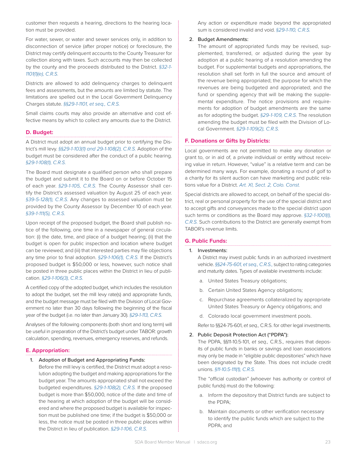customer then requests a hearing, directions to the hearing location must be provided.

For water, sewer, or water and sewer services only, in addition to disconnection of service (after proper notice) or foreclosure, the District may certify delinquent accounts to the County Treasurer for collection along with taxes. Such accounts may then be collected by the county and the proceeds distributed to the District. *§32-1- 1101(1)(e), C.R.S.* 

Districts are allowed to add delinquency charges to delinquent fees and assessments, but the amounts are limited by statute. The limitations are spelled out in the Local Government Delinquency Charges statute. *§§29-1-1101, et seq., C.R.S.*

Small claims courts may also provide an alternative and cost effective means by which to collect any amounts due to the District.

#### **D. Budget:**

A District must adopt an annual budget prior to certifying the District's mill levy. *§§29-1-103(1) and 29-1-108(2), C.R.S.* Adoption of the budget must be considered after the conduct of a public hearing. *§29-1-108(1), C.R.S.*

The Board must designate a qualified person who shall prepare the budget and submit it to the Board on or before October 15 of each year. *§29-1-105, C.R.S.* The County Assessor shall certify the District's assessed valuation by August 25 of each year. *§39-5-128(1), C.R.S.* Any changes to assessed valuation must be provided by the County Assessor by December 10 of each year. *§39-1-111(5), C.R.S.*

Upon receipt of the proposed budget, the Board shall publish notice of the following, one time in a newspaper of general circulation: (i) the date, time, and place of a budget hearing; (ii) that the budget is open for public inspection and location where budget can be reviewed; and (iii) that interested parties may file objections any time prior to final adoption. *§29-1-106(1), C.R.S.* If the District's proposed budget is \$50,000 or less, however, such notice shall be posted in three public places within the District in lieu of publication. *§29-1-106(3), C.R.S.*

A certified copy of the adopted budget, which includes the resolution to adopt the budget, set the mill levy rate(s) and appropriate funds, and the budget message must be filed with the Division of Local Government no later than 30 days following the beginning of the fiscal year of the budget (i.e. no later than January 30). *§29-1-113, C.R.S.*

Analyses of the following components (both short and long term) will be useful in preparation of the District's budget under TABOR: growth calculation, spending, revenues, emergency reserves, and refunds.

#### **E. Appropriation:**

#### 1. Adoption of Budget and Appropriating Funds:

Before the mill levy is certified, the District must adopt a resolution adopting the budget and making appropriations for the budget year. The amounts appropriated shall not exceed the budgeted expenditures. *§29-1-108(2), C.R.S.* If the proposed budget is more than \$50,000, notice of the date and time of the hearing at which adoption of the budget will be considered and where the proposed budget is available for inspection must be published one time; if the budget is \$50,000 or less, the notice must be posted in three public places within the District in lieu of publication. *§29-1-106, C.R.S.* 

Any action or expenditure made beyond the appropriated sum is considered invalid and void. *§29-1-110, C.R.S.* 

#### 2. Budget Amendments:

The amount of appropriated funds may be revised, supplemented, transferred, or adjusted during the year by adoption at a public hearing of a resolution amending the budget. For supplemental budgets and appropriations, the resolution shall set forth in full the source and amount of the revenue being appropriated; the purpose for which the revenues are being budgeted and appropriated; and the fund or spending agency that will be making the supplemental expenditure. The notice provisions and requirements for adoption of budget amendments are the same as for adopting the budget. *§29-1-109, C.R.S.* The resolution amending the budget must be filed with the Division of Local Government. *§29-1-109(2), C.R.S.*

#### **F. Donations or Gifts by Districts:**

Local governments are not permitted to make any donation or grant to, or in aid of, a private individual or entity without receiving value in return. However, "value" is a relative term and can be determined many ways. For example, donating a round of golf to a charity for its silent auction can have marketing and public relations value for a District. *Art. XI, Sect. 2, Colo. Const.*

Special districts are allowed to accept, on behalf of the special district, real or personal property for the use of the special district and to accept gifts and conveyances made to the special district upon such terms or conditions as the Board may approve. *§32-1-1001(l), C.R.S.* Such contributions to the District are generally exempt from TABOR's revenue limits.

#### **G. Public Funds:**

#### 1. Investments:

A District may invest public funds in an authorized investment vehicle. *§§24-75-601, et seq., C.R.S.,* subject to rating categories and maturity dates. Types of available investments include:

- a. United States Treasury obligations;
- b. Certain United States Agency obligations;
- c. Repurchase agreements collateralized by appropriate United States Treasury or Agency obligations; and
- d. Colorado local government investment pools.

Refer to §§24-75-601, *et seq.,* C.R.S. for other legal investments.

#### 2. Public Deposit Protection Act ("PDPA"):

The PDPA, §§11-10.5-101, *et seq.,* C.R.S., requires that deposits of public funds in banks or savings and loan associations may only be made in "eligible public depositories" which have been designated by the State. This does not include credit unions. *§11-10.5-111(1), C.R.S.*

The "official custodian" (whoever has authority or control of public funds) must do the following:

- a. Inform the depository that District funds are subject to the PDPA;
- b. Maintain documents or other verification necessary to identify the public funds which are subject to the PDPA; and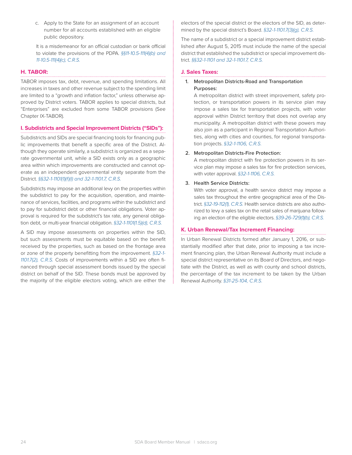c. Apply to the State for an assignment of an account number for all accounts established with an eligible public depository.

It is a misdemeanor for an official custodian or bank official to violate the provisions of the PDPA. *§§11-10.5-111(4)(b) and 11-10.5-111(4)(c), C.R.S.*

#### **H. TABOR:**

TABOR imposes tax, debt, revenue, and spending limitations. All increases in taxes and other revenue subject to the spending limit are limited to a "growth and inflation factor," unless otherwise approved by District voters. TABOR applies to special districts, but "Enterprises" are excluded from some TABOR provisions (See Chapter IX-TABOR).

#### **I. Subdistricts and Special Improvement Districts ("SIDs"):**

Subdistricts and SIDs are special financing tools for financing public improvements that benefit a specific area of the District. Although they operate similarly, a subdistrict is organized as a separate governmental unit, while a SID exists only as a geographic area within which improvements are constructed and cannot operate as an independent governmental entity separate from the District. *§§32-1-1101(1)(f)(I) and 32-1-1101.7, C.R.S.*

Subdistricts may impose an additional levy on the properties within the subdistrict to pay for the acquisition, operation, and maintenance of services, facilities, and programs within the subdistrict and to pay for subdistrict debt or other financial obligations. Voter approval is required for the subdistrict's tax rate, any general obligation debt, or multi-year financial obligation. *§32-1-1101(1.5)(d), C.R.S.* 

A SID may impose assessments on properties within the SID, but such assessments must be equitable based on the benefit received by the properties, such as based on the frontage area or zone of the property benefitting from the improvement. *§32-1- 1101.7(2), C.R.S.* Costs of improvements within a SID are often financed through special assessment bonds issued by the special district on behalf of the SID. These bonds must be approved by the majority of the eligible electors voting, which are either the electors of the special district or the electors of the SID, as determined by the special district's Board. *§32-1-1101.7(3)(g), C.R.S.*

The name of a subdistrict or a special improvement district established after August 5, 2015 must include the name of the special district that established the subdistrict or special improvement district. *§§32-1-1101 and 32-1-1101.7, C.R.S.* 

#### **J. Sales Taxes:**

#### 1. Metropolitan Districts-Road and Transportation Purposes:

A metropolitan district with street improvement, safety protection, or transportation powers in its service plan may impose a sales tax for transportation projects, with voter approval within District territory that does not overlap any municipality. A metropolitan district with these powers may also join as a participant in Regional Transportation Authorities, along with cities and counties, for regional transportation projects. *§32-1-1106, C.R.S.*

#### 2. Metropolitan Districts-Fire Protection:

A metropolitan district with fire protection powers in its service plan may impose a sales tax for fire protection services, with voter approval. *§32-1-1106, C.R.S.*

#### 3. Health Service Districts:

With voter approval, a health service district may impose a sales tax throughout the entire geographical area of the District. *§32-19-112(1), C.R.S.* Health service districts are also authorized to levy a sales tax on the retail sales of marijuana following an election of the eligible electors. *§39-26-729(1)(b), C.R.S.*

#### **K. Urban Renewal/Tax Increment Financing:**

In Urban Renewal Districts formed after January 1, 2016, or substantially modified after that date, prior to imposing a tax increment financing plan, the Urban Renewal Authority must include a special district representative on its Board of Directors, and negotiate with the District, as well as with county and school districts, the percentage of the tax increment to be taken by the Urban Renewal Authority. *§31-25-104, C.R.S.*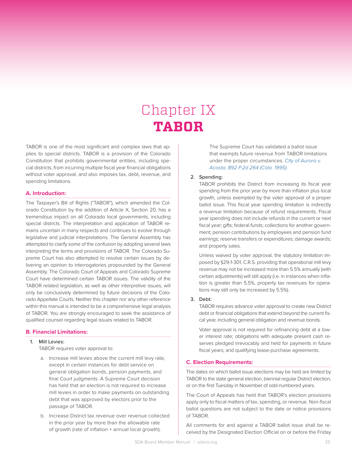# Chapter IX **TABOR**

TABOR is one of the most significant and complex laws that applies to special districts. TABOR is a provision of the Colorado Constitution that prohibits governmental entities, including special districts, from incurring multiple fiscal year financial obligations without voter approval, and also imposes tax, debt, revenue, and spending limitations.

#### **A. Introduction:**

The Taxpayer's Bill of Rights ("TABOR"), which amended the Colorado Constitution by the addition of Article X, Section 20, has a tremendous impact on all Colorado local governments, including special districts. The interpretation and application of TABOR remains uncertain in many respects and continues to evolve through legislative and judicial interpretations. The General Assembly has attempted to clarify some of the confusion by adopting several laws interpreting the terms and provisions of TABOR. The Colorado Supreme Court has also attempted to resolve certain issues by delivering an opinion to interrogatories propounded by the General Assembly. The Colorado Court of Appeals and Colorado Supreme Court have determined certain TABOR issues. The validity of the TABOR related legislation, as well as other interpretive issues, will only be conclusively determined by future decisions of the Colorado Appellate Courts. Neither this chapter nor any other reference within this manual is intended to be a comprehensive legal analysis of TABOR. You are strongly encouraged to seek the assistance of qualified counsel regarding legal issues related to TABOR.

#### **B. Financial Limitations:**

#### 1. Mill Levies:

TABOR requires voter approval to:

- a. Increase mill levies above the current mill levy rate, except in certain instances for debt service on general obligation bonds, pension payments, and final Court judgments. A Supreme Court decision has held that an election is not required to increase mill levies in order to make payments on outstanding debt that was approved by electors prior to the passage of TABOR.
- b. Increase District tax revenue over revenue collected in the prior year by more than the allowable rate of growth (rate of inflation + annual local growth).

The Supreme Court has validated a ballot issue that exempts future revenue from TABOR limitations under the proper circumstances. *City of Aurora v. Acosta, 892 P.2d 264 (Colo. 1995).*

#### 2. Spending:

TABOR prohibits the District from increasing its fiscal year spending from the prior year by more than inflation plus local growth, unless exempted by the voter approval of a proper ballot issue. This fiscal year spending limitation is indirectly a revenue limitation because of refund requirements. Fiscal year spending does not include refunds in the current or next fiscal year; gifts; federal funds; collections for another government; pension contributions by employees and pension fund earnings; reserve transfers or expenditures; damage awards; and property sales.

Unless waived by voter approval, the statutory limitation imposed by §29-1-301, C.R.S. providing that operational mill levy revenue may not be increased more than 5.5% annually (with certain adjustments) will still apply (i.e. in instances when inflation is greater than 5.5%, property tax revenues for operations may still only be increased by 5.5%).

#### 3. Debt:

TABOR requires advance voter approval to create new District debt or financial obligations that extend beyond the current fiscal year, including general obligation and revenue bonds.

Voter approval is not required for refinancing debt at a lower interest rate; obligations with adequate present cash reserves pledged irrevocably and held for payments in future fiscal years; and qualifying lease-purchase agreements.

#### **C. Election Requirements:**

The dates on which ballot issue elections may be held are limited by TABOR to the state general election, biennial regular District election, or on the first Tuesday in November of odd-numbered years.

The Court of Appeals has held that TABOR's election provisions apply only to fiscal matters of tax, spending, or revenue. Non-fiscal ballot questions are not subject to the date or notice provisions of TABOR.

All comments for and against a TABOR ballot issue shall be received by the Designated Election Official on or before the Friday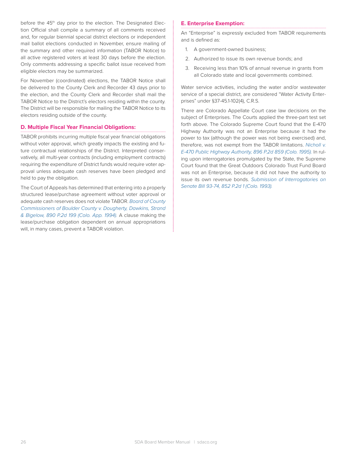before the 45<sup>th</sup> day prior to the election. The Designated Election Official shall compile a summary of all comments received and, for regular biennial special district elections or independent mail ballot elections conducted in November, ensure mailing of the summary and other required information (TABOR Notice) to all active registered voters at least 30 days before the election. Only comments addressing a specific ballot issue received from eligible electors may be summarized.

For November (coordinated) elections, the TABOR Notice shall be delivered to the County Clerk and Recorder 43 days prior to the election, and the County Clerk and Recorder shall mail the TABOR Notice to the District's electors residing within the county. The District will be responsible for mailing the TABOR Notice to its electors residing outside of the county.

#### **D. Multiple Fiscal Year Financial Obligations:**

TABOR prohibits incurring multiple fiscal year financial obligations without voter approval, which greatly impacts the existing and future contractual relationships of the District. Interpreted conservatively, all multi-year contracts (including employment contracts) requiring the expenditure of District funds would require voter approval unless adequate cash reserves have been pledged and held to pay the obligation.

The Court of Appeals has determined that entering into a properly structured lease/purchase agreement without voter approval or adequate cash reserves does not violate TABOR. *Board of County Commissioners of Boulder County v. Dougherty, Dawkins, Strand & Bigelow, 890 P.2d 199 (Colo. App. 1994).* A clause making the lease/purchase obligation dependent on annual appropriations will, in many cases, prevent a TABOR violation.

#### **E. Enterprise Exemption:**

An "Enterprise" is expressly excluded from TABOR requirements and is defined as:

- 1. A government-owned business;
- 2. Authorized to issue its own revenue bonds; and
- 3. Receiving less than 10% of annual revenue in grants from all Colorado state and local governments combined.

Water service activities, including the water and/or wastewater service of a special district, are considered "Water Activity Enterprises" under §37-45.1-102(4), C.R.S.

There are Colorado Appellate Court case law decisions on the subject of Enterprises. The Courts applied the three-part test set forth above. The Colorado Supreme Court found that the E-470 Highway Authority was not an Enterprise because it had the power to tax (although the power was not being exercised) and, therefore, was not exempt from the TABOR limitations. *Nicholl v. E-470 Public Highway Authority, 896 P.2d 859 (Colo. 1995).* In ruling upon interrogatories promulgated by the State, the Supreme Court found that the Great Outdoors Colorado Trust Fund Board was not an Enterprise, because it did not have the authority to issue its own revenue bonds. *Submission of Interrogatories on Senate Bill 93-74, 852 P.2d 1 (Colo. 1993).*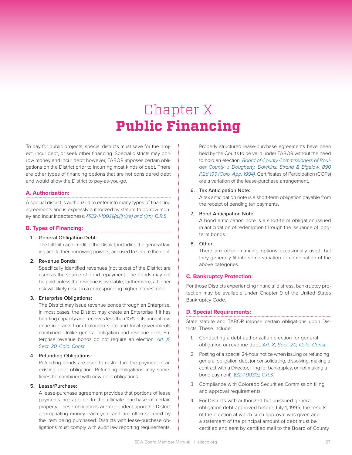# Chapter X **Public Financing**

To pay for public projects, special districts must save for the project, incur debt, or seek other financing. Special districts may borrow money and incur debt; however, TABOR imposes certain obligations on the District prior to incurring most kinds of debt. There are other types of financing options that are not considered debt and would allow the District to pay-as-you-go.

#### **A. Authorization:**

A special district is authorized to enter into many types of financing agreements and is expressly authorized by statute to borrow money and incur indebtedness. *§§32-1-1001(1)(d)(I),(1)(e) and (1)(n), C.R.S.*

#### **B. Types of Financing:**

#### 1. General Obligation Debt:

The full faith and credit of the District, including the general taxing and further borrowing powers, are used to secure the debt.

#### 2. Revenue Bonds:

Specifically identified revenues (not taxes) of the District are used as the source of bond repayment. The bonds may not be paid unless the revenue is available; furthermore, a higher risk will likely result in a corresponding higher interest rate.

#### 3. Enterprise Obligations:

The District may issue revenue bonds through an Enterprise. In most cases, the District may create an Enterprise if it has bonding capacity and receives less than 10% of its annual revenue in grants from Colorado state and local governments combined. Unlike general obligation and revenue debt, Enterprise revenue bonds do not require an election. *Art. X, Sect. 20, Colo. Const.*

#### 4. Refunding Obligations:

Refunding bonds are used to restructure the payment of an existing debt obligation. Refunding obligations may sometimes be combined with new debt obligations.

#### 5. Lease/Purchase:

A lease-purchase agreement provides that portions of lease payments are applied to the ultimate purchase of certain property. These obligations are dependent upon the District appropriating money each year and are often secured by the item being purchased. Districts with lease-purchase obligations must comply with audit law reporting requirements.

Properly structured lease-purchase agreements have been held by the Courts to be valid under TABOR without the need to hold an election. *Board of County Commissioners of Boulder County v. Dougherty, Dawkins, Strand & Bigelow, 890 P.2d 199 (Colo. App. 1994).* Certificates of Participation (COPs) are a variation of the lease-purchase arrangement.

#### 6. Tax Anticipation Note:

A tax anticipation note is a short-term obligation payable from the receipt of pending tax payments.

#### 7. Bond Anticipation Note:

A bond anticipation note is a short-term obligation issued in anticipation of redemption through the issuance of longterm bonds.

#### 8. Other:

There are other financing options occasionally used, but they generally fit into some variation or combination of the above categories.

#### **C. Bankruptcy Protection:**

For those Districts experiencing financial distress, bankruptcy protection may be available under Chapter 9 of the United States Bankruptcy Code.

#### **D. Special Requirements:**

State statute and TABOR impose certain obligations upon Districts. These include:

- 1. Conducting a debt authorization election for general obligation or revenue debt. *Art. X, Sect. 20, Colo. Const.*
- 2. Posting of a special 24-hour notice when issuing or refunding general obligation debt (or consolidating, dissolving, making a contract with a Director, filing for bankruptcy, or not making a bond payment). *§32-1-903(3), C.R.S.*
- 3. Compliance with Colorado Securities Commission filing and approval requirements.
- 4. For Districts with authorized but unissued general obligation debt approved before July 1, 1995, the results of the election at which such approval was given and a statement of the principal amount of debt must be certified and sent by certified mail to the Board of County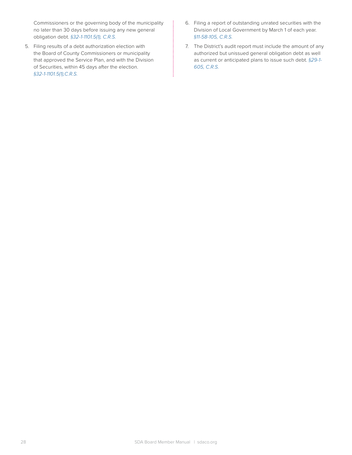Commissioners or the governing body of the municipality no later than 30 days before issuing any new general obligation debt. *§32-1-1101.5(1), C.R.S.*

- 5. Filing results of a debt authorization election with the Board of County Commissioners or municipality that approved the Service Plan, and with the Division of Securities, within 45 days after the election. *§32-1-1101.5(1),C.R.S.*
- 6. Filing a report of outstanding unrated securities with the Division of Local Government by March 1 of each year. *§11-58-105, C.R.S.*
- 7. The District's audit report must include the amount of any authorized but unissued general obligation debt as well as current or anticipated plans to issue such debt. *§29-1- 605, C.R.S.*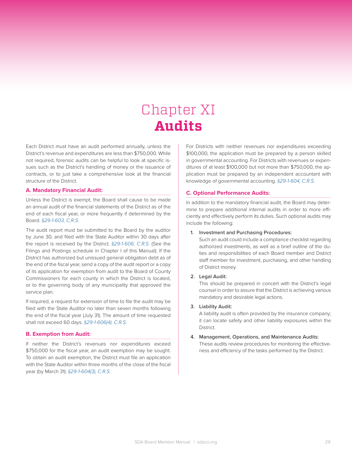# Chapter XI **Audits**

Each District must have an audit performed annually, unless the District's revenue and expenditures are less than \$750,000. While not required, forensic audits can be helpful to look at specific issues such as the District's handling of money or the issuance of contracts, or to just take a comprehensive look at the financial structure of the District.

#### **A. Mandatory Financial Audit:**

Unless the District is exempt, the Board shall cause to be made an annual audit of the financial statements of the District as of the end of each fiscal year, or more frequently if determined by the Board. *§29-1-603, C.R.S.*

The audit report must be submitted to the Board by the auditor by June 30, and filed with the State Auditor within 30 days after the report is received by the District. *§29-1-606, C.R.S.* (See the Filings and Postings schedule in Chapter I of this Manual). If the District has authorized but unissued general obligation debt as of the end of the fiscal year, send a copy of the audit report or a copy of its application for exemption from audit to the Board of County Commissioners for each county in which the District is located, or to the governing body of any municipality that approved the service plan.

If required, a request for extension of time to file the audit may be filed with the State Auditor no later than seven months following the end of the fiscal year (July 31). The amount of time requested shall not exceed 60 days. *§29-1-606(4), C.R.S.*

#### **B. Exemption from Audit:**

If neither the District's revenues nor expenditures exceed \$750,000 for the fiscal year, an audit exemption may be sought. To obtain an audit exemption, the District must file an application with the State Auditor within three months of the close of the fiscal year (by March 31). *§29-1-604(3), C.R.S.*

For Districts with neither revenues nor expenditures exceeding \$100,000, the application must be prepared by a person skilled in governmental accounting. For Districts with revenues or expenditures of at least \$100,000 but not more than \$750,000, the application must be prepared by an independent accountant with knowledge of governmental accounting. *§29-1-604, C.R.S.*

#### **C. Optional Performance Audits:**

In addition to the mandatory financial audit, the Board may determine to prepare additional internal audits in order to more efficiently and effectively perform its duties. Such optional audits may include the following:

#### 1. Investment and Purchasing Procedures:

Such an audit could include a compliance checklist regarding authorized investments, as well as a brief outline of the duties and responsibilities of each Board member and District staff member for investment, purchasing, and other handling of District money.

#### 2. Legal Audit:

This should be prepared in concert with the District's legal counsel in order to assure that the District is achieving various mandatory and desirable legal actions.

#### 3. Liability Audit:

A liability audit is often provided by the insurance company; it can locate safety and other liability exposures within the District.

#### 4. Management, Operations, and Maintenance Audits: These audits review procedures for monitoring the effective-

ness and efficiency of the tasks performed by the District.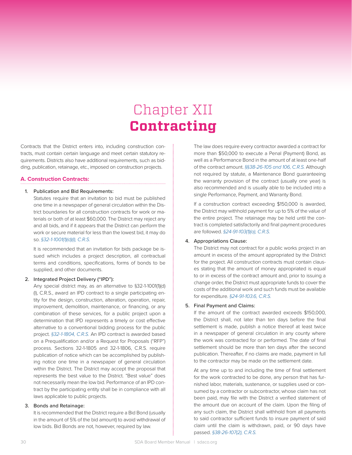# Chapter XII **Contracting**

Contracts that the District enters into, including construction contracts, must contain certain language and meet certain statutory requirements. Districts also have additional requirements, such as bidding, publication, retainage, etc., imposed on construction projects.

#### **A. Construction Contracts:**

#### 1. Publication and Bid Requirements:

Statutes require that an invitation to bid must be published one time in a newspaper of general circulation within the District boundaries for all construction contracts for work or materials or both of at least \$60,000. The District may reject any and all bids, and if it appears that the District can perform the work or secure material for less than the lowest bid, it may do so. *§32-1-1001(1)(d)(I), C.R.S.*

It is recommended that an invitation for bids package be issued which includes a project description, all contractual terms and conditions, specifications, forms of bonds to be supplied, and other documents.

#### 2. Integrated Project Delivery ("IPD"):

Any special district may, as an alternative to §32-1-1001(1)(d) (I), C.R.S., award an IPD contract to a single participating entity for the design, construction, alteration, operation, repair, improvement, demolition, maintenance, or financing, or any combination of these services, for a public project upon a determination that IPD represents a timely or cost effective alternative to a conventional bidding process for the public project. *§32-1-1804, C.R.S.* An IPD contract is awarded based on a Prequalification and/or a Request for Proposals ("RFP") process. Sections 32-1-1805 and 32-1-1806, C.R.S. require publication of notice which can be accomplished by publishing notice one time in a newspaper of general circulation within the District. The District may accept the proposal that represents the best value to the District. "Best value" does not necessarily mean the low bid. Performance of an IPD contract by the participating entity shall be in compliance with all laws applicable to public projects.

#### 3. Bonds and Retainage:

It is recommended that the District require a Bid Bond (usually in the amount of 5% of the bid amount) to avoid withdrawal of low bids. Bid Bonds are not, however, required by law.

The law does require every contractor awarded a contract for more than \$50,000 to execute a Penal (Payment) Bond, as well as a Performance Bond in the amount of at least one-half of the contract amount. *§§38-26-105 and 106, C.R.S.* Although not required by statute, a Maintenance Bond guaranteeing the warranty provision of the contract (usually one year) is also recommended and is usually able to be included into a single Performance, Payment, and Warranty Bond.

If a construction contract exceeding \$150,000 is awarded, the District may withhold payment for up to 5% of the value of the entire project. The retainage may be held until the contract is completed satisfactorily and final payment procedures are followed. *§24-91-103(1)(a), C.R.S.*

#### 4. Appropriations Clause:

The District may not contract for a public works project in an amount in excess of the amount appropriated by the District for the project. All construction contracts must contain clauses stating that the amount of money appropriated is equal to or in excess of the contract amount and, prior to issuing a change order, the District must appropriate funds to cover the costs of the additional work and such funds must be available for expenditure. *§24-91-103.6, C.R.S.*

#### 5. Final Payment and Claims:

If the amount of the contract awarded exceeds \$150,000, the District shall, not later than ten days before the final settlement is made, publish a notice thereof at least twice in a newspaper of general circulation in any county where the work was contracted for or performed. The date of final settlement should be more than ten days after the second publication. Thereafter, if no claims are made, payment in full to the contractor may be made on the settlement date.

At any time up to and including the time of final settlement for the work contracted to be done, any person that has furnished labor, materials, sustenance, or supplies used or consumed by a contractor or subcontractor, whose claim has not been paid, may file with the District a verified statement of the amount due on account of the claim. Upon the filing of any such claim, the District shall withhold from all payments to said contractor sufficient funds to insure payment of said claim until the claim is withdrawn, paid, or 90 days have passed. *§38-26-107(2), C.R.S.*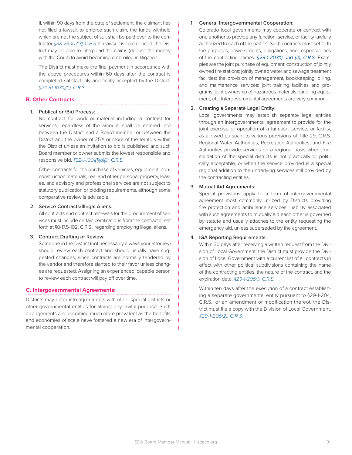If, within 90 days from the date of settlement, the claimant has not filed a lawsuit to enforce such claim, the funds withheld which are not the subject of suit shall be paid over to the contractor. *§38-26-107(3), C.R.S.* If a lawsuit is commenced, the District may be able to interplead the claims (deposit the money with the Court) to avoid becoming embroiled in litigation.

The District must make the final payment in accordance with the above procedures within 60 days after the contract is completed satisfactorily and finally accepted by the District. *§24-91-103(1)(b), C.R.S.*

#### **B. Other Contracts:**

#### 1. Publication/Bid Process:

No contract for work or material including a contract for services, regardless of the amount, shall be entered into between the District and a Board member or between the District and the owner of 25% or more of the territory within the District unless an invitation to bid is published and such Board member or owner submits the lowest responsible and responsive bid. *§32-1-1001(1)(d)(II), C.R.S.*

Other contracts for the purchase of vehicles, equipment, nonconstruction materials, real and other personal property, leases, and advisory and professional services are not subject to statutory publication or bidding requirements, although some comparative review is advisable.

#### 2. Service Contracts/Illegal Aliens:

All contracts and contract renewals for the procurement of services must include certain certifications from the contractor set forth at §8-17.5-102, C.R.S., regarding employing illegal aliens.

#### 3. Contract Drafting or Review:

Someone in the District (not necessarily always your attorney) should review each contract and should usually have suggested changes, since contracts are normally tendered by the vendor and therefore slanted to their favor unless changes are requested. Assigning an experienced, capable person to review each contract will pay off over time.

#### **C. Intergovernmental Agreements:**

Districts may enter into agreements with other special districts or other governmental entities for almost any lawful purpose. Such arrangements are becoming much more prevalent as the benefits and economies of scale have fostered a new era of intergovernmental cooperation.

#### 1. General Intergovernmental Cooperation:

Colorado local governments may cooperate or contract with one another to provide any function, service, or facility lawfully authorized to each of the parties. Such contracts must set forth the purposes, powers, rights, obligations, and responsibilities of the contracting parties. *§29-1-203(1) and (2), C.R.S.* Examples are the joint purchase of equipment; construction of jointly owned fire stations; jointly owned water and sewage treatment facilities; the provision of management, bookkeeping, billing, and maintenance services; joint training facilities and programs; joint ownership of hazardous materials handling equipment; etc. Intergovernmental agreements are very common.

#### 2. Creating a Separate Legal Entity:

Local governments may establish separate legal entities through an intergovernmental agreement to provide for the joint exercise or operation of a function, service, or facility, as allowed pursuant to various provisions of Title 29, C.R.S. Regional Water Authorities, Recreation Authorities, and Fire Authorities provide services on a regional basis when consolidation of the special districts is not practically or politically acceptable, or when the service provided is a special regional addition to the underlying services still provided by the contracting entities.

#### 3. Mutual Aid Agreements:

Special provisions apply to a form of intergovernmental agreement most commonly utilized by Districts providing fire protection and ambulance services. Liability associated with such agreements to mutually aid each other is governed by statute and usually attaches to the entity requesting the emergency aid, unless superseded by the agreement.

#### 4. IGA Reporting Requirements:

Within 30 days after receiving a written request from the Division of Local Government, the District must provide the Division of Local Government with a current list of all contracts in effect with other political subdivisions containing the name of the contracting entities, the nature of the contract, and the expiration date. *§29-1-205(1), C.R.S.*

Within ten days after the execution of a contract establishing a separate governmental entity pursuant to §29-1-204, C.R.S., or an amendment or modification thereof, the District must file a copy with the Division of Local Government. *§29-1-205(2), C.R.S.*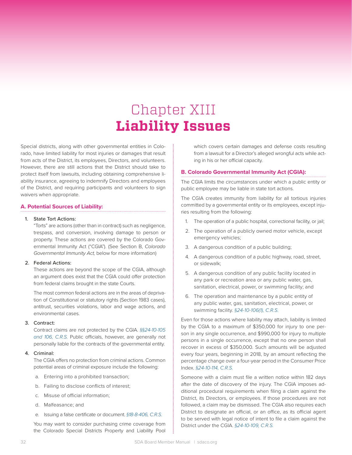# Chapter XIII **Liability Issues**

Special districts, along with other governmental entities in Colorado, have limited liability for most injuries or damages that result from acts of the District, its employees, Directors, and volunteers. However, there are still actions that the District should take to protect itself from lawsuits, including obtaining comprehensive liability insurance, agreeing to indemnify Directors and employees of the District, and requiring participants and volunteers to sign waivers when appropriate.

#### **A. Potential Sources of Liability:**

#### 1. State Tort Actions:

"Torts" are actions (other than in contract) such as negligence, trespass, and conversion, involving damage to person or property. These actions are covered by the Colorado Governmental Immunity Act ("CGIA"). (See Section B, *Colorado Governmental Immunity Act,* below for more information)

#### 2. Federal Actions:

These actions are beyond the scope of the CGIA, although an argument does exist that the CGIA could offer protection from federal claims brought in the state Courts.

The most common federal actions are in the areas of deprivation of Constitutional or statutory rights (Section 1983 cases), antitrust, securities violations, labor and wage actions, and environmental cases.

#### 3. Contract:

Contract claims are not protected by the CGIA. *§§24-10-105 and 106, C.R.S.* Public officials, however, are generally not personally liable for the contracts of the governmental entity.

#### 4. Criminal:

The CGIA offers no protection from criminal actions. Common potential areas of criminal exposure include the following:

- a. Entering into a prohibited transaction;
- b. Failing to disclose conflicts of interest;
- c. Misuse of official information;
- d. Malfeasance; and
- e. Issuing a false certificate or document. *§18-8-406, C.R.S.*

You may want to consider purchasing crime coverage from the Colorado Special Districts Property and Liability Pool which covers certain damages and defense costs resulting from a lawsuit for a Director's alleged wrongful acts while acting in his or her official capacity.

#### **B. Colorado Governmental Immunity Act (CGIA):**

The CGIA limits the circumstances under which a public entity or public employee may be liable in state tort actions.

The CGIA creates immunity from liability for all tortious injuries committed by a governmental entity or its employees, except injuries resulting from the following:

- 1. The operation of a public hospital, correctional facility, or jail;
- 2. The operation of a publicly owned motor vehicle, except emergency vehicles;
- 3. A dangerous condition of a public building;
- 4. A dangerous condition of a public highway, road, street, or sidewalk;
- 5. A dangerous condition of any public facility located in any park or recreation area or any public water, gas, sanitation, electrical, power, or swimming facility; and
- 6. The operation and maintenance by a public entity of any public water, gas, sanitation, electrical, power, or swimming facility. *§24-10-106(1), C.R.S.*

Even for those actions where liability may attach, liability is limited by the CGIA to a maximum of \$350,000 for injury to one person in any single occurrence, and \$990,000 for injury to multiple persons in a single occurrence, except that no one person shall recover in excess of \$350,000. Such amounts will be adjusted every four years, beginning in 2018, by an amount reflecting the percentage change over a four-year period in the Consumer Price Index. *§24-10-114, C.R.S.* 

Someone with a claim must file a written notice within 182 days after the date of discovery of the injury. The CGIA imposes additional procedural requirements when filing a claim against the District, its Directors, or employees. If those procedures are not followed, a claim may be dismissed. The CGIA also requires each District to designate an official, or an office, as its official agent to be served with legal notice of intent to file a claim against the District under the CGIA. *§24-10-109, C.R.S.*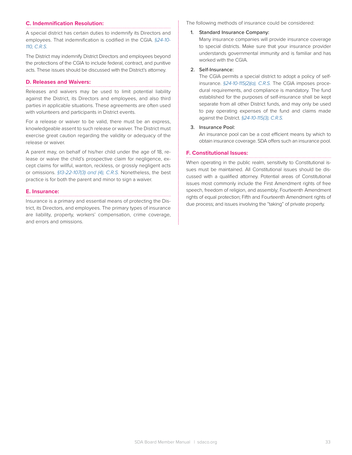#### **C. Indemnification Resolution:**

A special district has certain duties to indemnify its Directors and employees. That indemnification is codified in the CGIA. *§24-10- 110, C.R.S.*

The District may indemnify District Directors and employees beyond the protections of the CGIA to include federal, contract, and punitive acts. These issues should be discussed with the District's attorney.

#### **D. Releases and Waivers:**

Releases and waivers may be used to limit potential liability against the District, its Directors and employees, and also third parties in applicable situations. These agreements are often used with volunteers and participants in District events.

For a release or waiver to be valid, there must be an express, knowledgeable assent to such release or waiver. The District must exercise great caution regarding the validity or adequacy of the release or waiver.

A parent may, on behalf of his/her child under the age of 18, release or waive the child's prospective claim for negligence, except claims for willful, wanton, reckless, or grossly negligent acts or omissions. *§13-22-107(3) and (4), C.R.S.* Nonetheless, the best practice is for both the parent and minor to sign a waiver.

#### **E. Insurance:**

Insurance is a primary and essential means of protecting the District, its Directors, and employees. The primary types of insurance are liability, property, workers' compensation, crime coverage, and errors and omissions.

The following methods of insurance could be considered:

#### 1. Standard Insurance Company:

Many insurance companies will provide insurance coverage to special districts. Make sure that your insurance provider understands governmental immunity and is familiar and has worked with the CGIA.

#### 2. Self-Insurance:

The CGIA permits a special district to adopt a policy of selfinsurance. *§24-10-115(2)(a), C.R.S.* The CGIA imposes procedural requirements, and compliance is mandatory. The fund established for the purposes of self-insurance shall be kept separate from all other District funds, and may only be used to pay operating expenses of the fund and claims made against the District. *§24-10-115(3), C.R.S.*

#### 3. Insurance Pool:

An insurance pool can be a cost efficient means by which to obtain insurance coverage. SDA offers such an insurance pool.

#### **F. Constitutional Issues:**

When operating in the public realm, sensitivity to Constitutional issues must be maintained. All Constitutional issues should be discussed with a qualified attorney. Potential areas of Constitutional issues most commonly include the First Amendment rights of free speech, freedom of religion, and assembly; Fourteenth Amendment rights of equal protection; Fifth and Fourteenth Amendment rights of due process; and issues involving the "taking" of private property.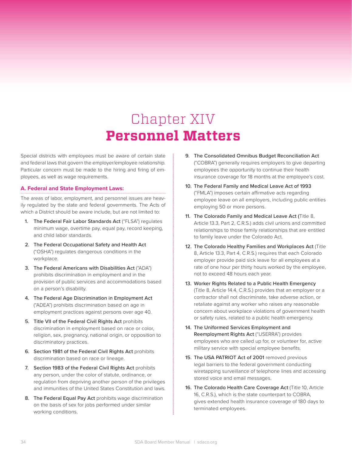# Chapter XIV **Personnel Matters**

Special districts with employees must be aware of certain state and federal laws that govern the employer/employee relationship. Particular concern must be made to the hiring and firing of employees, as well as wage requirements.

#### **A. Federal and State Employment Laws:**

The areas of labor, employment, and personnel issues are heavily regulated by the state and federal governments. The Acts of which a District should be aware include, but are not limited to:

- 1. The Federal Fair Labor Standards Act ("FLSA") regulates minimum wage, overtime pay, equal pay, record keeping, and child labor standards.
- 2. The Federal Occupational Safety and Health Act ("OSHA") regulates dangerous conditions in the workplace.
- 3. The Federal Americans with Disabilities Act ("ADA") prohibits discrimination in employment and in the provision of public services and accommodations based on a person's disability.
- 4. The Federal Age Discrimination in Employment Act ("ADEA") prohibits discrimination based on age in employment practices against persons over age 40.
- 5. Title VII of the Federal Civil Rights Act prohibits discrimination in employment based on race or color, religion, sex, pregnancy, national origin, or opposition to discriminatory practices.
- 6. Section 1981 of the Federal Civil Rights Act prohibits discrimination based on race or lineage.
- 7. Section 1983 of the Federal Civil Rights Act prohibits any person, under the color of statute, ordinance, or regulation from depriving another person of the privileges and immunities of the United States Constitution and laws.
- 8. The Federal Equal Pay Act prohibits wage discrimination on the basis of sex for jobs performed under similar working conditions.
- 9. The Consolidated Omnibus Budget Reconciliation Act ("COBRA") generally requires employers to give departing employees the opportunity to continue their health insurance coverage for 18 months at the employee's cost.
- 10. The Federal Family and Medical Leave Act of 1993 ("FMLA") imposes certain affirmative acts regarding employee leave on all employers, including public entities employing 50 or more persons.
- 11. The Colorado Family and Medical Leave Act (Title 8, Article 13.3, Part 2, C.R.S.) adds civil unions and committed relationships to those family relationships that are entitled to family leave under the Colorado Act.
- 12. The Colorado Healthy Families and Workplaces Act (Title 8, Article 13.3, Part 4, C.R.S.) requires that each Colorado employer provide paid sick leave for all employees at a rate of one hour per thirty hours worked by the employee, not to exceed 48 hours each year.
- 13. Worker Rights Related to a Public Health Emergency (Title 8, Article 14.4, C.R.S.) provides that an employer or a contractor shall not discriminate, take adverse action, or retaliate against any worker who raises any reasonable concern about workplace violations of government health or safety rules, related to a public health emergency.
- 14. The Uniformed Services Employment and Reemployment Rights Act ("USERRA") provides employees who are called up for, or volunteer for, active military service with special employee benefits.
- 15. The USA PATRIOT Act of 2001 removed previous legal barriers to the federal government conducting wiretapping surveillance of telephone lines and accessing stored voice and email messages.
- 16. The Colorado Health Care Coverage Act (Title 10, Article 16, C.R.S.), which is the state counterpart to COBRA, gives extended health insurance coverage of 180 days to terminated employees.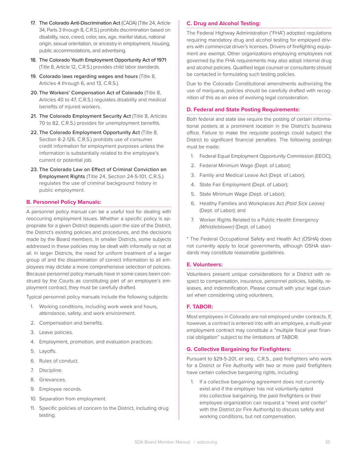- 17. The Colorado Anti-Discrimination Act (CADA) (Title 24, Article 34, Parts 3 through 8, C.R.S.) prohibits discrimination based on disability, race, creed, color, sex, age, marital status, national origin, sexual orientation, or ancestry in employment, housing, public accommodations, and advertising.
- 18. The Colorado Youth Employment Opportunity Act of 1971 (Title 8, Article 12, C.R.S.) provides child labor standards.
- 19. Colorado laws regarding wages and hours (Title 8, Articles 4 through 6, and 13, C.R.S.).
- 20. The Workers' Compensation Act of Colorado (Title 8, Articles 40 to 47, C.R.S*.*) regulates disability and medical benefits of injured workers.
- 21. The Colorado Employment Security Act (Title 8, Articles 70 to 82, C.R.S.) provides for unemployment benefits.
- 22. The Colorado Employment Opportunity Act (Title 8, Section 8-2-126, C.R.S.) prohibits use of consumer credit information for employment purposes unless the information is substantially related to the employee's current or potential job.
- 23. The Colorado Law on Effect of Criminal Conviction on Employment Rights (Title 24, Section 24-5-101, C.R.S.) regulates the use of criminal background history in public employment.

#### **B. Personnel Policy Manuals:**

A personnel policy manual can be a useful tool for dealing with reoccurring employment issues. Whether a specific policy is appropriate for a given District depends upon the size of the District, the District's existing policies and procedures, and the decisions made by the Board members. In smaller Districts, some subjects addressed in these policies may be dealt with informally or not at all. In larger Districts, the need for uniform treatment of a larger group of and the dissemination of correct information to all employees may dictate a more comprehensive selection of policies. Because personnel policy manuals have in some cases been construed by the Courts as constituting part of an employee's employment contract, they must be carefully drafted.

Typical personnel policy manuals include the following subjects:

- 1. Working conditions, including work week and hours, attendance, safety, and work environment.
- 2. Compensation and benefits.
- 3. Leave policies.
- 4. Employment, promotion, and evaluation practices.
- 5. Layoffs.
- 6. Rules of conduct.
- 7. Discipline.
- 8. Grievances.
- 9. Employee records.
- 10. Separation from employment.
- 11. Specific policies of concern to the District, including drug testing.

#### **C. Drug and Alcohol Testing:**

The Federal Highway Administration ("FHA") adopted regulations requiring mandatory drug and alcohol testing for employed drivers with commercial driver's licenses. Drivers of firefighting equipment are exempt. Other organizations employing employees not governed by the FHA requirements may also adopt internal drug and alcohol policies. Qualified legal counsel or consultants should be contacted in formulating such testing policies.

Due to the Colorado Constitutional amendments authorizing the use of marijuana, policies should be carefully drafted with recognition of this as an area of evolving legal consideration.

#### **D. Federal and State Posting Requirements:**

Both federal and state law require the posting of certain informational posters at a prominent location in the District's business office. Failure to make the requisite postings could subject the District to significant financial penalties. The following postings must be made:

- 1. Federal Equal Employment Opportunity Commission (EEOC);
- 2. Federal Minimum Wage (Dept. of Labor);
- 3. Family and Medical Leave Act (Dept. of Labor);
- 4. State Fair Employment (Dept. of Labor);
- 5. State Minimum Wage (Dept. of Labor);
- 6. Healthy Families and Workplaces Act *(Paid Sick Leave)*  (Dept. of Labor); and
- 7. Worker Rights Related to a Public Health Emergency *(Whistleblower)* (Dept. of Labor)

\* The Federal Occupational Safety and Health Act (OSHA) does not currently apply to local governments, although OSHA standards may constitute reasonable guidelines.

#### **E. Volunteers:**

Volunteers present unique considerations for a District with respect to compensation, insurance, personnel policies, liability, releases, and indemnification. Please consult with your legal counsel when considering using volunteers.

#### **F. TABOR:**

Most employees in Colorado are not employed under contracts. If, however, a contract is entered into with an employee, a multi-year employment contract may constitute a "multiple fiscal year financial obligation" subject to the limitations of TABOR.

#### **G. Collective Bargaining for Firefighters:**

Pursuant to §29-5-201, *et seq.,* C.R.S., paid firefighters who work for a District or Fire Authority with two or more paid firefighters have certain collective bargaining rights, including:

1. If a collective bargaining agreement does not currently exist and if the employer has not voluntarily opted into collective bargaining, the paid firefighters or their employee organization can request a "meet and confer" with the District (or Fire Authority) to discuss safety and working conditions, but not compensation.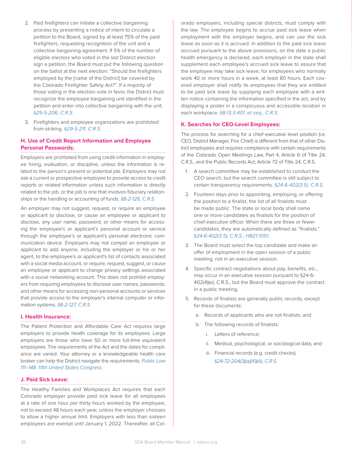- 2. Paid firefighters can initiate a collective bargaining process by presenting a notice of intent to circulate a petition to the Board, signed by at least 75% of the paid firefighters, requesting recognition of the unit and a collective bargaining agreement. If 5% of the number of eligible electors who voted in the last District election sign a petition, the Board must put the following question on the ballot at the next election: "Should the firefighters employed by the [name of the District] be covered by the Colorado Firefighter Safety Act?". If a majority of those voting in the election vote in favor, the District must recognize the employee bargaining unit identified in the petition and enter into collective bargaining with the unit. *§29-5-206, C.R.S.*
- 3. Firefighters and employee organizations are prohibited from striking. *§29-5-211, C.R.S.*

#### **H. Use of Credit Report Information and Employee Personal Passwords:**

Employers are prohibited from using credit information in employee hiring, evaluation, or discipline, unless the information is related to the person's present or potential job. Employers may not ask a current or prospective employee to provide access to credit reports or related information unless such information is directly related to the job, or the job is one that involves fiduciary relationships or the handling or accounting of funds. *§8-2-126, C.R.S.*

An employer may not suggest, request, or require an employee or applicant to disclose, or cause an employee or applicant to disclose, any user name, password, or other means for accessing the employee's or applicant's personal account or service through the employee's or applicant's personal electronic communication device. Employers may not compel an employee or applicant to add anyone, including the employer or his or her agent, to the employee's or applicant's list of contacts associated with a social media account, or require, request, suggest, or cause an employee or applicant to change privacy settings associated with a social networking account. This does not prohibit employers from requiring employees to disclose user names, passwords, and other means for accessing non-personal accounts or services that provide access to the employer's internal computer or information systems. *§8-2-127, C.R.S.*

#### **I. Health Insurance:**

The Patient Protection and Affordable Care Act requires large employers to provide health coverage for its employees. Large employers are those who have 50 or more full-time equivalent employees. The requirements of the Act and the dates for compliance are varied. Your attorney or a knowledgeable health care broker can help the District navigate the requirements. *Public Law 111–148. 111th United States Congress.*

#### **J. Paid Sick Leave:**

The Healthy Families and Workplaces Act requires that each Colorado employer provide paid sick leave for all employees at a rate of one hour per thirty hours worked by the employee, not to exceed 48 hours each year, unless the employer chooses to allow a higher annual limit. Employers with less than sixteen employees are exempt until January 1, 2022. Thereafter, all Colorado employers, including special districts, must comply with the law. The employee begins to accrue paid sick leave when employment with the employer begins, and can use the sick leave as soon as it is accrued. In addition to the paid sick leave accrued pursuant to the above provisions, on the date a public health emergency is declared, each employer in the state shall supplement each employee's accrued sick leave to assure that the employee may take sick leave; for employees who normally work 40 or more hours in a week, at least 80 hours. Each covered employer shall notify its employees that they are entitled to be paid sick leave by supplying each employee with a written notice containing the information specified in the act, and by displaying a poster in a conspicuous and accessible location in each workplace. *§8-13.3-401, et seq., C.R.S.*

#### **K. Searches for CEO-Level Employees:**

The process for searching for a chief executive level position (i.e. CEO, District Manager, Fire Chief) is different from that of other District employees and requires compliance with certain requirements of the Colorado Open Meetings Law, Part 4, Article 6 of Title 24, C.R.S., and the Public Records Act, Article 72 of Title 24, C.R.S.

- 1. A search committee may be established to conduct the CEO search, but the search committee is still subject to certain transparency requirements. *§24-6-402(3.5), C.R.S.*
- 2. Fourteen days prior to appointing, employing, or offering the position to a finalist, the list of all finalists must be made public. The state or local body shall name one or more candidates as finalists for the position of chief executive officer. When there are three or fewer candidates, they are automatically defined as "finalists." *§24-6-402(3.5), C.R.S.; HB21-1051.*
- 3. The Board must select the top candidate and make an offer of employment in the open session of a public meeting, not in an executive session.
- 4. Specific contract negotiations about pay, benefits, etc., may occur in an executive session pursuant to §24-6- 402(4)(e), C.R.S., but the Board must approve the contract in a public meeting.
- 5. Records of finalists are generally public records, except for these documents:
	- a. Records of applicants who are not finalists; and
	- b. The following records of finalists:
		- i. Letters of reference;
		- ii. Medical, psychological, or sociological data; and
		- iii. Financial records (e.g. credit checks). *§24-72-204(3)(a)(XI)(A), C.R.S.*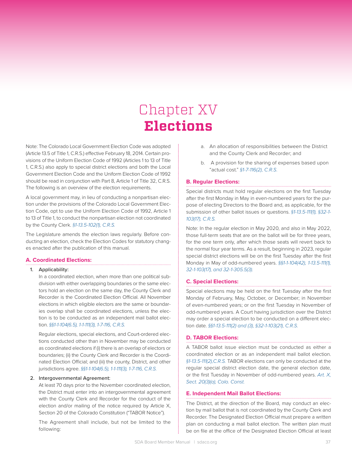# Chapter XV **Elections**

Note: The Colorado Local Government Election Code was adopted (Article 13.5 of Title 1, C.R.S.) effective February 18, 2014. Certain provisions of the Uniform Election Code of 1992 (Articles 1 to 13 of Title 1, C.R.S.) also apply to special district elections and both the Local Government Election Code and the Uniform Election Code of 1992 should be read in conjunction with Part 8, Article 1 of Title 32, C.R.S. The following is an overview of the election requirements.

A local government may, in lieu of conducting a nonpartisan election under the provisions of the Colorado Local Government Election Code, opt to use the Uniform Election Code of 1992, Article 1 to 13 of Title 1, to conduct the nonpartisan election not coordinated by the County Clerk. *§1-13.5-102(1), C.R.S.*

The Legislature amends the election laws regularly. Before conducting an election, check the Election Codes for statutory changes enacted after the publication of this manual.

#### **A. Coordinated Elections:**

#### 1. Applicability:

In a coordinated election, when more than one political subdivision with either overlapping boundaries or the same electors hold an election on the same day, the County Clerk and Recorder is the Coordinated Election Official. All November elections in which eligible electors are the same or boundaries overlap shall be coordinated elections, unless the election is to be conducted as an independent mail ballot election. *§§1-1-104(6.5), 1-1-111(3), 1-7-116, C.R.S.*

Regular elections, special elections, and Court-ordered elections conducted other than in November may be conducted as coordinated elections if (i) there is an overlap of electors or boundaries; (ii) the County Clerk and Recorder is the Coordinated Election Official; and (iii) the county, District, and other jurisdictions agree. *§§1-1-104(6.5), 1-1-111(3), 1-7-116, C.R.S.*

#### 2. Intergovernmental Agreement:

At least 70 days prior to the November coordinated election, the District must enter into an intergovernmental agreement with the County Clerk and Recorder for the conduct of the election and/or mailing of the notice required by Article X, Section 20 of the Colorado Constitution ("TABOR Notice").

The Agreement shall include, but not be limited to the following:

- a. An allocation of responsibilities between the District and the County Clerk and Recorder; and
- b. A provision for the sharing of expenses based upon "actual cost." *§1-7-116(2), C.R.S.*

#### **B. Regular Elections:**

Special districts must hold regular elections on the first Tuesday after the first Monday in May in even-numbered years for the purpose of electing Directors to the Board and, as applicable, for the submission of other ballot issues or questions. *§1-13.5-111(1), §32-1- 103(17), C.R.S.*

Note: In the regular election in May 2020, and also in May 2022, those full-term seats that are on the ballot will be for three years, for the one term only, after which those seats will revert back to the normal four year terms. As a result, beginning in 2023, regular special district elections will be on the first Tuesday after the first Monday in May of odd-numbered years. *§§1-1-104(42), 1-13.5-111(1), 32-1-103(17), and 32-1-305.5(3).*

#### **C. Special Elections:**

Special elections may be held on the first Tuesday after the first Monday of February, May, October, or December; in November of even-numbered years; or on the first Tuesday in November of odd-numbered years. A Court having jurisdiction over the District may order a special election to be conducted on a different election date. *§§1-13.5-111(2) and (3), §32-1-103(21), C.R.S.*

#### **D. TABOR Elections:**

A TABOR ballot issue election must be conducted as either a coordinated election or as an independent mail ballot election. *§1-13.5-111(2),C.R.S.* TABOR elections can only be conducted at the regular special district election date, the general election date, or the first Tuesday in November of odd-numbered years. *Art. X, Sect. 20(3)(a), Colo. Const.*

#### **E. Independent Mail Ballot Elections:**

The District, at the direction of the Board, may conduct an election by mail ballot that is not coordinated by the County Clerk and Recorder. The Designated Election Official must prepare a written plan on conducting a mail ballot election. The written plan must be on file at the office of the Designated Election Official at least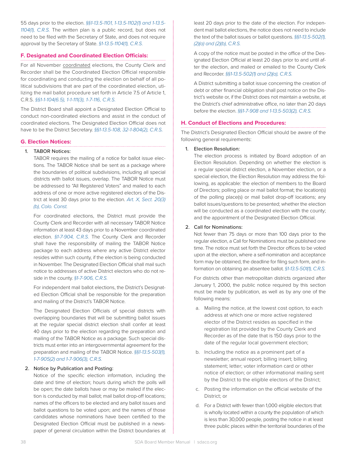55 days prior to the election. *§§1-13.5-1101, 1-13.5-1102(1) and 1-13.5- 1104(1), C.R.S.* The written plan is a public record, but does not need to be filed with the Secretary of State, and does not require approval by the Secretary of State. *§1-13.5-1104(1), C.R.S.*

#### **F. Designated and Coordinated Election Officials:**

For all November coordinated elections, the County Clerk and Recorder shall be the Coordinated Election Official responsible for coordinating and conducting the election on behalf of all political subdivisions that are part of the coordinated election, utilizing the mail ballot procedure set forth in Article 7.5 of Article 1, C.R.S. *§§1-1-104(6.5), 1-1-111(3), 1-7-116, C.R.S.*

The District Board shall appoint a Designated Election Official to conduct non-coordinated elections and assist in the conduct of coordinated elections. The Designated Election Official does not have to be the District Secretary. *§§1-13.5-108, 32-1-804(2), C.R.S.*

#### **G. Election Notices:**

#### 1. TABOR Notices:

TABOR requires the mailing of a notice for ballot issue elections. The TABOR Notice shall be sent as a package where the boundaries of political subdivisions, including all special districts with ballot issues, overlap. The TABOR Notice must be addressed to "All Registered Voters" and mailed to each address of one or more active registered electors of the District at least 30 days prior to the election. *Art. X, Sect. 20(3) (b), Colo. Const.*

For coordinated elections, the District must provide the County Clerk and Recorder with all necessary TABOR Notice information at least 43 days prior to a November coordinated election. *§1-7-904, C.R.S.* The County Clerk and Recorder shall have the responsibility of mailing the TABOR Notice package to each address where any active District elector resides within such county, if the election is being conducted in November. The Designated Election Official shall mail such notice to addresses of active District electors who do not reside in the county. *§1-7-906, C.R.S.*

For independent mail ballot elections, the District's Designated Election Official shall be responsible for the preparation and mailing of the District's TABOR Notice.

The Designated Election Officials of special districts with overlapping boundaries that will be submitting ballot issues at the regular special district election shall confer at least 40 days prior to the election regarding the preparation and mailing of the TABOR Notice as a package. Such special districts must enter into an intergovernmental agreement for the preparation and mailing of the TABOR Notice. *§§1-13.5-503(1), 1-7-905(2) and 1-7-906(3), C.R.S.*

#### 2. Notice by Publication and Posting:

Notice of the specific election information, including the date and time of election; hours during which the polls will be open; the date ballots have or may be mailed if the election is conducted by mail ballot; mail ballot drop-off locations; names of the officers to be elected and any ballot issues and ballot questions to be voted upon; and the names of those candidates whose nominations have been certified to the Designated Election Official must be published in a newspaper of general circulation within the District boundaries at least 20 days prior to the date of the election. For independent mail ballot elections, the notice does not need to include the text of the ballot issues or ballot questions. *§§1-13.5-502(1), (2)(a) and (2)(b), C.R.S.*

A copy of the notice must be posted in the office of the Designated Election Official at least 20 days prior to and until after the election, and mailed or emailed to the County Clerk and Recorder. *§§1-13.5-502(1) and (2)(a), C.R.S.*

A District submitting a ballot issue concerning the creation of debt or other financial obligation shall post notice on the District's website or, if the District does not maintain a website, at the District's chief administrative office, no later than 20 days before the election. *§§1-7-908 and 1-13.5-503(2), C.R.S.*

#### **H. Conduct of Elections and Procedures:**

The District's Designated Election Official should be aware of the following general requirements:

#### 1. Election Resolution:

The election process is initiated by Board adoption of an Election Resolution. Depending on whether the election is a regular special district election, a November election, or a special election, the Election Resolution may address the following, as applicable: the election of members to the Board of Directors; polling place or mail ballot format; the location(s) of the polling place(s) or mail ballot drop-off locations; any ballot issues/questions to be presented; whether the election will be conducted as a coordinated election with the county; and the appointment of the Designated Election Official.

#### 2. Call for Nominations:

Not fewer than 75 days or more than 100 days prior to the regular election, a Call for Nominations must be published one time. The notice must set forth the Director offices to be voted upon at the election, where a self-nomination and acceptance form may be obtained, the deadline for filing such form, and information on obtaining an absentee ballot. *§1-13.5-501(1), C.R.S.* 

For districts other than metropolitan districts organized after January 1, 2000, the public notice required by this section must be made by publication, as well as by any one of the following means:

- a. Mailing the notice, at the lowest cost option, to each address at which one or more active registered elector of the District resides as specified in the registration list provided by the County Clerk and Recorder as of the date that is 150 days prior to the date of the regular local government election;
- b. Including the notice as a prominent part of a newsletter; annual report; billing insert; billing statement; letter; voter information card or other notice of election; or other informational mailing sent by the District to the eligible electors of the District;
- c. Posting the information on the official website of the District; or
- d. For a District with fewer than 1,000 eligible electors that is wholly located within a county the population of which is less than 30,000 people, posting the notice in at least three public places within the territorial boundaries of the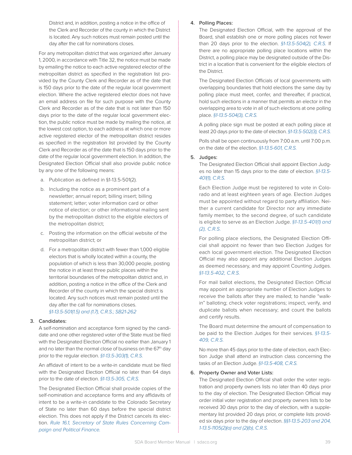District and, in addition, posting a notice in the office of the Clerk and Recorder of the county in which the District is located. Any such notices must remain posted until the day after the call for nominations closes.

For any metropolitan district that was organized after January 1, 2000, in accordance with Title 32, the notice must be made by emailing the notice to each active registered elector of the metropolitan district as specified in the registration list provided by the County Clerk and Recorder as of the date that is 150 days prior to the date of the regular local government election. Where the active registered elector does not have an email address on file for such purpose with the County Clerk and Recorder as of the date that is not later than 150 days prior to the date of the regular local government election, the public notice must be made by mailing the notice, at the lowest cost option, to each address at which one or more active registered elector of the metropolitan district resides as specified in the registration list provided by the County Clerk and Recorder as of the date that is 150 days prior to the date of the regular local government election. In addition, the Designated Election Official shall also provide public notice by any one of the following means:

- a. Publication as defined in §1-13.5-501(2).
- b. Including the notice as a prominent part of a newsletter; annual report; billing insert; billing statement; letter; voter information card or other notice of election; or other informational mailing sent by the metropolitan district to the eligible electors of the metropolitan district;
- c. Posting the information on the official website of the metropolitan district; or
- d. For a metropolitan district with fewer than 1,000 eligible electors that is wholly located within a county, the population of which is less than 30,000 people, posting the notice in at least three public places within the territorial boundaries of the metropolitan district and, in addition, posting a notice in the office of the Clerk and Recorder of the county in which the special district is located. Any such notices must remain posted until the day after the call for nominations closes. *§1-13.5-501(1.5) and (1.7), C.R.S.; SB21-262*

#### 3. Candidates:

A self-nomination and acceptance form signed by the candidate and one other registered voter of the State must be filed with the Designated Election Official no earlier than January 1 and no later than the normal close of business on the 67<sup>th</sup> day prior to the regular election. *§1-13.5-303(1), C.R.S.*

An affidavit of intent to be a write-in candidate must be filed with the Designated Election Official no later than 64 days prior to the date of election. *§1-13.5-305, C.R.S.*

The Designated Election Official shall provide copies of the self-nomination and acceptance forms and any affidavits of intent to be a write-in candidate to the Colorado Secretary of State no later than 60 days before the special district election. This does not apply if the District cancels its election. *Rule 16.1, Secretary of State Rules Concerning Campaign and Political Finance.*

#### 4. Polling Places:

The Designated Election Official, with the approval of the Board, shall establish one or more polling places not fewer than 20 days prior to the election. *§1-13.5-504(2), C.R.S.* If there are no appropriate polling place locations within the District, a polling place may be designated outside of the District in a location that is convenient for the eligible electors of the District.

The Designated Election Officials of local governments with overlapping boundaries that hold elections the same day by polling place must meet, confer, and thereafter, if practical, hold such elections in a manner that permits an elector in the overlapping area to vote in all of such elections at one polling place. *§1-13.5-504(3), C.R.S.*

A polling place sign must be posted at each polling place at least 20 days prior to the date of election. *§1-13.5-502(3), C.R.S.*

Polls shall be open continuously from 7:00 a.m. until 7:00 p.m. on the date of the election. *§1-13.5-601, C.R.S.*

#### 5. Judges:

The Designated Election Official shall appoint Election Judges no later than 15 days prior to the date of election. *§1-13.5- 401(1), C.R.S.*

Each Election Judge must be registered to vote in Colorado and at least eighteen years of age. Election Judges must be appointed without regard to party affiliation. Neither a current candidate for Director nor any immediate family member, to the second degree, of such candidate is eligible to serve as an Election Judge. *§1-13.5-401(1) and (2), C.R.S.*

For polling place elections, the Designated Election Official shall appoint no fewer than two Election Judges for each local government election. The Designated Election Official may also appoint any additional Election Judges as deemed necessary, and may appoint Counting Judges. *§1-13.5-402, C.R.S.*

For mail ballot elections, the Designated Election Official may appoint an appropriate number of Election Judges to receive the ballots after they are mailed; to handle "walkin" balloting; check voter registrations; inspect, verify, and duplicate ballots when necessary; and count the ballots and certify results.

The Board must determine the amount of compensation to be paid to the Election Judges for their services. *§1-13.5- 409, C.R.S.*

No more than 45 days prior to the date of election, each Election Judge shall attend an instruction class concerning the tasks of an Election Judge. *§1-13.5-408, C.R.S.*

#### 6. Property Owner and Voter Lists:

The Designated Election Official shall order the voter registration and property owners lists no later than 40 days prior to the day of election. The Designated Election Official may order initial voter registration and property owners lists to be received 30 days prior to the day of election, with a supplementary list provided 20 days prior, or complete lists provided six days prior to the day of election. *§§1-13.5-203 and 204, 1-13.5-1105(2)(a) and (2)(b), C.R.S.*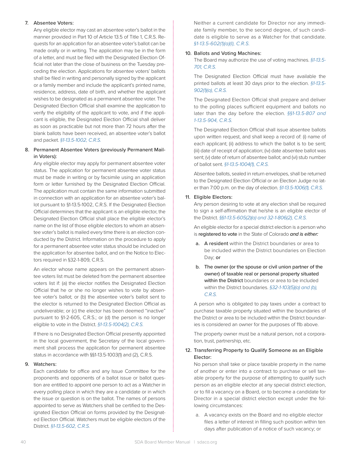#### 7. Absentee Voters:

Any eligible elector may cast an absentee voter's ballot in the manner provided in Part 10 of Article 13.5 of Title 1, C.R.S. Requests for an application for an absentee voter's ballot can be made orally or in writing. The application may be in the form of a letter, and must be filed with the Designated Election Official not later than the close of business on the Tuesday preceding the election. Applications for absentee voters' ballots shall be filed in writing and personally signed by the applicant or a family member and include the applicant's printed name, residence, address, date of birth, and whether the applicant wishes to be designated as a permanent absentee voter. The Designated Election Official shall examine the application to verify the eligibility of the applicant to vote, and if the applicant is eligible, the Designated Election Official shall deliver as soon as practicable but not more than 72 hours after the blank ballots have been received, an absentee voter's ballot and packet. *§1-13.5-1002, C.R.S.*

#### 8. Permanent Absentee Voters (previously Permanent Mailin Voters):

Any eligible elector may apply for permanent absentee voter status. The application for permanent absentee voter status must be made in writing or by facsimile using an application form or letter furnished by the Designated Election Official. The application must contain the same information submitted in connection with an application for an absentee voter's ballot pursuant to §1-13.5-1002, C.R.S. If the Designated Election Official determines that the applicant is an eligible elector, the Designated Election Official shall place the eligible elector's name on the list of those eligible electors to whom an absentee voter's ballot is mailed every time there is an election conducted by the District. Information on the procedure to apply for a permanent absentee voter status should be included on the application for absentee ballot, and on the Notice to Electors required in §32-1-809, C.R.S.

An elector whose name appears on the permanent absentee voters list must be deleted from the permanent absentee voters list if: (a) the elector notifies the Designated Election Official that he or she no longer wishes to vote by absentee voter's ballot; or (b) the absentee voter's ballot sent to the elector is returned to the Designated Election Official as undeliverable; or (c) the elector has been deemed "inactive" pursuant to §1-2-605, C.R.S.; or (d) the person is no longer eligible to vote in the District. *§1-13.5-1004(2), C.R.S.*

If there is no Designated Election Official presently appointed in the local government, the Secretary of the local government shall process the application for permanent absentee status in accordance with §§1-13.5-1003(1) and (2), C.R.S.

#### 9. Watchers:

Each candidate for office and any Issue Committee for the proponents and opponents of a ballot issue or ballot question are entitled to appoint one person to act as a Watcher in every polling place in which they are a candidate or in which the issue or question is on the ballot. The names of persons appointed to serve as Watchers shall be certified to the Designated Election Official on forms provided by the Designated Election Official. Watchers must be eligible electors of the District. *§1-13.5-602, C.R.S.*

Neither a current candidate for Director nor any immediate family member, to the second degree, of such candidate is eligible to serve as a Watcher for that candidate. *§1-13.5-602(1)(a)(I), C.R.S.*

#### 10. Ballots and Voting Machines:

The Board may authorize the use of voting machines. *§1-13.5- 701, C.R.S.*

The Designated Election Official must have available the printed ballots at least 30 days prior to the election. *§1-13.5- 902(1)(a), C.R.S.*

The Designated Election Official shall prepare and deliver to the polling places sufficient equipment and ballots no later than the day before the election. *§§1-13.5-807 and 1-13.5-904, C.R.S.*

The Designated Election Official shall issue absentee ballots upon written request, and shall keep a record of: (i) name of each applicant; (ii) address to which the ballot is to be sent; (iii) date of receipt of application; (iv) date absentee ballot was sent; (v) date of return of absentee ballot; and (vi) stub number of ballot sent. *§1-13.5-1004(1), C.R.S.* 

Absentee ballots, sealed in return envelopes, shall be returned to the Designated Election Official or an Election Judge no later than 7:00 p.m. on the day of election. *§1-13.5-1006(1), C.R.S.*

#### 11. Eligible Electors:

Any person desiring to vote at any election shall be required to sign a self-affirmation that he/she is an eligible elector of the District. *§§1-13.5-605(2)(a) and 32-1-806(2), C.R.S.*

An eligible elector for a special district election is a person who is registered to vote in the State of Colorado *and is either:*

- a. A resident within the District boundaries or area to be included within the District boundaries on Election Day; or
- b. The owner (or the spouse or civil union partner of the owner) of taxable real or personal property situated within the District boundaries or area to be included within the District boundaries. *§32-1-103(5)(a) and (b), C.R.S.*

A person who is obligated to pay taxes under a contract to purchase taxable property situated within the boundaries of the District or area to be included within the District boundaries is considered an owner for the purposes of 11b above.

The property owner must be a natural person, not a corporation, trust, partnership, etc.

#### 12. Transferring Property to Qualify Someone as an Eligible Elector:

No person shall take or place taxable property in the name of another or enter into a contract to purchase or sell taxable property for the purpose of attempting to qualify such person as an eligible elector at any special district election, or to fill a vacancy on a Board, or to become a candidate for Director in a special district election except under the following circumstances:

a. A vacancy exists on the Board and no eligible elector files a letter of interest in filling such position within ten days after publication of a notice of such vacancy; or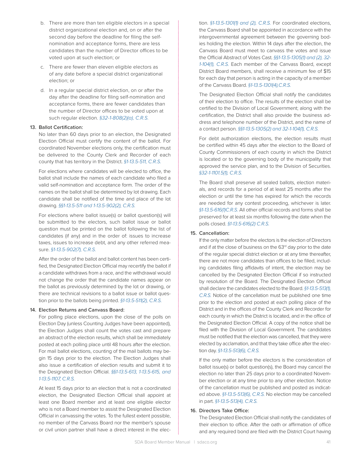- b. There are more than ten eligible electors in a special district organizational election and, on or after the second day before the deadline for filing the selfnomination and acceptance forms, there are less candidates than the number of Director offices to be voted upon at such election; or
- c. There are fewer than eleven eligible electors as of any date before a special district organizational election; or
- d. In a regular special district election, on or after the day after the deadline for filing self-nomination and acceptance forms, there are fewer candidates than the number of Director offices to be voted upon at such regular election. *§32-1-808(2)(a), C.R.S.*

#### 13. Ballot Certification:

No later than 60 days prior to an election, the Designated Election Official must certify the content of the ballot. For coordinated November elections only, the certification must be delivered to the County Clerk and Recorder of each county that has territory in the District. *§1-13.5-511, C.R.S.*

For elections where candidates will be elected to office, the ballot shall include the names of each candidate who filed a valid self-nomination and acceptance form. The order of the names on the ballot shall be determined by lot drawing. Each candidate shall be notified of the time and place of the lot drawing. *§§1-13.5-511 and 1-13.5-902(2), C.R.S.*

For elections where ballot issue(s) or ballot question(s) will be submitted to the electors, such ballot issue or ballot question must be printed on the ballot following the list of candidates (if any) and in the order of: issues to increase taxes, issues to increase debt, and any other referred measure. *§1-13.5-902(7), C.R.S.*

After the order of the ballot and ballot content has been certified, the Designated Election Official may recertify the ballot if a candidate withdraws from a race, and the withdrawal would not change the order that the candidate names appear on the ballot as previously determined by the lot or drawing, or there are technical revisions to a ballot issue or ballot question prior to the ballots being printed. *§1-13.5-511(2), C.R.S.*

#### 14. Election Returns and Canvass Board:

For polling place elections, upon the close of the polls on Election Day (unless Counting Judges have been appointed), the Election Judges shall count the votes cast and prepare an abstract of the election results, which shall be immediately posted at each polling place until 48 hours after the election. For mail ballot elections, counting of the mail ballots may begin 15 days prior to the election. The Election Judges shall also issue a certification of election results and submit it to the Designated Election Official. *§§1-13.5-613, 1-13.5-615, and 1-13.5-1107, C.R.S.* 

At least 15 days prior to an election that is not a coordinated election, the Designated Election Official shall appoint at least one Board member and at least one eligible elector who is not a Board member to assist the Designated Election Official in canvassing the votes. To the fullest extent possible, no member of the Canvass Board nor the member's spouse or civil union partner shall have a direct interest in the election. *§1-13.5-1301(1) and (2), C.R.S.* For coordinated elections, the Canvass Board shall be appointed in accordance with the intergovernmental agreement between the governing bodies holding the election. Within 14 days after the election, the Canvass Board must meet to canvass the votes and issue the Official Abstract of Votes Cast. *§§1-13.5-1305(1) and (2), 32- 1-104(1), C.R.S.* Each member of the Canvass Board, except District Board members, shall receive a minimum fee of \$15 for each day that person is acting in the capacity of a member of the Canvass Board. *§1-13.5-1301(4),C.R.S.*

The Designated Election Official shall notify the candidates of their election to office. The results of the election shall be certified to the Division of Local Government; along with the certification, the District shall also provide the business address and telephone number of the District, and the name of a contact person. *§§1-13.5-1305(2) and 32-1-104(1), C.R.S.*

For debt authorization elections, the election results must be certified within 45 days after the election to the Board of County Commissioners of each county in which the District is located or to the governing body of the municipality that approved the service plan, and to the Division of Securities. *§32-1-1101.5(1), C.R.S.*

The Board shall preserve all sealed ballots, election materials, and records for a period of at least 25 months after the election or until the time has expired for which the records are needed for any contest proceeding, whichever is later. *§1-13.5-616(1)C.R.S.* All other official records and forms shall be preserved for at least six months following the date when the polls closed. *§1-13.5-616(2) C.R.S.*

#### 15. Cancellation:

If the only matter before the electors is the election of Directors and if at the close of business on the 63<sup>rd</sup> day prior to the date of the regular special district election or at any time thereafter, there are not more candidates than offices to be filled, including candidates filing affidavits of intent, the election may be cancelled by the Designated Election Official if so instructed by resolution of the Board. The Designated Election Official shall declare the candidates elected to the Board. *§1-13.5-513(1), C.R.S.* Notice of the cancellation must be published one time prior to the election and posted at each polling place of the District and in the offices of the County Clerk and Recorder for each county in which the District is located, and in the office of the Designated Election Official. A copy of the notice shall be filed with the Division of Local Government. The candidates must be notified that the election was cancelled, that they were elected by acclamation, and that they take office after the election day. *§1-13.5-513(6), C.R.S.*

If the only matter before the electors is the consideration of ballot issue(s) or ballot question(s), the Board may cancel the election no later than 25 days prior to a coordinated November election or at any time prior to any other election. Notice of the cancellation must be published and posted as indicated above. *§1-13.5-513(6), C.R.S.* No election may be cancelled in part. *§1-13.5-513(4), C.R.S.*

#### 16. Directors Take Office:

The Designated Election Official shall notify the candidates of their election to office. After the oath or affirmation of office and any required bond are filed with the District Court having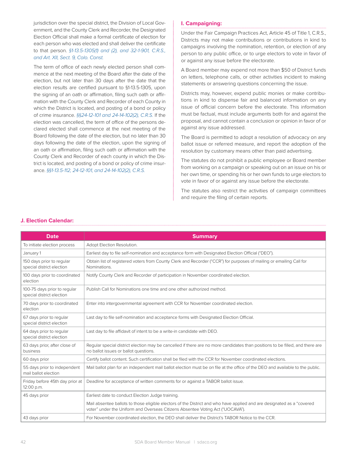jurisdiction over the special district, the Division of Local Government, and the County Clerk and Recorder, the Designated Election Official shall make a formal certificate of election for each person who was elected and shall deliver the certificate to that person. *§1-13.5-1305(1) and (2), and 32-1-901, C.R.S., and Art. XII, Sect. 9, Colo. Const.*

The term of office of each newly elected person shall commence at the next meeting of the Board after the date of the election, but not later than 30 days after the date that the election results are certified pursuant to §1-13.5-1305, upon the signing of an oath or affirmation, filing such oath or affirmation with the County Clerk and Recorder of each County in which the District is located, and posting of a bond or policy of crime insurance. *§§24-12-101 and 24-14-102(2), C.R.S.* If the election was cancelled, the term of office of the persons declared elected shall commence at the next meeting of the Board following the date of the election, but no later than 30 days following the date of the election, upon the signing of an oath or affirmation, filing such oath or affirmation with the County Clerk and Recorder of each county in which the District is located, and posting of a bond or policy of crime insurance. *§§1-13.5-112, 24-12-101, and 24-14-102(2), C.R.S.* 

#### **I. Campaigning:**

Under the Fair Campaign Practices Act, Article 45 of Title 1, C.R.S., Districts may not make contributions or contributions in kind to campaigns involving the nomination, retention, or election of any person to any public office, or to urge electors to vote in favor of or against any issue before the electorate.

A Board member may expend not more than \$50 of District funds on letters, telephone calls, or other activities incident to making statements or answering questions concerning the issue.

Districts may, however, expend public monies or make contributions in kind to dispense fair and balanced information on any issue of official concern before the electorate. This information must be factual, must include arguments both for and against the proposal, and cannot contain a conclusion or opinion in favor of or against any issue addressed.

The Board is permitted to adopt a resolution of advocacy on any ballot issue or referred measure, and report the adoption of the resolution by customary means other than paid advertising.

The statutes do not prohibit a public employee or Board member from working on a campaign or speaking out on an issue on his or her own time, or spending his or her own funds to urge electors to vote in favor of or against any issue before the electorate.

The statutes also restrict the activities of campaign committees and require the filing of certain reports.

| <b>Date</b>                                               | <b>Summary</b>                                                                                                                                                                                           |
|-----------------------------------------------------------|----------------------------------------------------------------------------------------------------------------------------------------------------------------------------------------------------------|
| To initiate election process                              | Adopt Election Resolution.                                                                                                                                                                               |
| January 1                                                 | Earliest day to file self-nomination and acceptance form with Designated Election Official ("DEO").                                                                                                      |
| 150 days prior to regular<br>special district election    | Obtain list of registered voters from County Clerk and Recorder ("CCR") for purposes of mailing or emailing Call for<br>Nominations.                                                                     |
| 100 days prior to coordinated<br>election                 | Notify County Clerk and Recorder of participation in November coordinated election.                                                                                                                      |
| 100-75 days prior to regular<br>special district election | Publish Call for Nominations one time and one other authorized method.                                                                                                                                   |
| 70 days prior to coordinated<br>election                  | Enter into intergovernmental agreement with CCR for November coordinated election.                                                                                                                       |
| 67 days prior to regular<br>special district election     | Last day to file self-nomination and acceptance forms with Designated Election Official.                                                                                                                 |
| 64 days prior to regular<br>special district election     | Last day to file affidavit of intent to be a write-in candidate with DEO.                                                                                                                                |
| 63 days prior, after close of<br>business                 | Regular special district election may be cancelled if there are no more candidates than positions to be filled, and there are<br>no ballot issues or ballot questions.                                   |
| 60 days prior                                             | Certify ballot content. Such certification shall be filed with the CCR for November coordinated elections.                                                                                               |
| 55 days prior to independent<br>mail ballot election      | Mail ballot plan for an independent mail ballot election must be on file at the office of the DEO and available to the public.                                                                           |
| Friday before 45th day prior at<br>12:00 p.m.             | Deadline for acceptance of written comments for or against a TABOR ballot issue.                                                                                                                         |
| 45 days prior                                             | Earliest date to conduct Election Judge training.                                                                                                                                                        |
|                                                           | Mail absentee ballots to those eligible electors of the District and who have applied and are designated as a "covered<br>voter" under the Uniform and Overseas Citizens Absentee Voting Act ("UOCAVA"). |
| 43 days prior                                             | For November coordinated election, the DEO shall deliver the District's TABOR Notice to the CCR.                                                                                                         |

#### **J. Election Calendar:**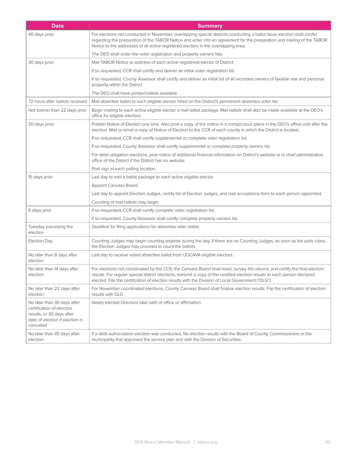| <b>Date</b>                                                                                                                           | <b>Summary</b>                                                                                                                                                                                                                                                                                                                                                 |
|---------------------------------------------------------------------------------------------------------------------------------------|----------------------------------------------------------------------------------------------------------------------------------------------------------------------------------------------------------------------------------------------------------------------------------------------------------------------------------------------------------------|
| 40 days prior                                                                                                                         | For elections not conducted in November, overlapping special districts conducting a ballot issue election shall confer<br>regarding the preparation of the TABOR Notice and enter into an agreement for the preparation and mailing of the TABOR<br>Notice to the addresses of all active registered electors in the overlapping area.                         |
|                                                                                                                                       | The DEO shall order the voter registration and property owners lists.                                                                                                                                                                                                                                                                                          |
| 30 days prior                                                                                                                         | Mail TABOR Notice to address of each active registered elector of District.                                                                                                                                                                                                                                                                                    |
|                                                                                                                                       | If so requested, CCR shall certify and deliver an initial voter registration list.                                                                                                                                                                                                                                                                             |
|                                                                                                                                       | If so requested, County Assessor shall certify and deliver an initial list of all recorded owners of taxable real and personal<br>property within the District.                                                                                                                                                                                                |
|                                                                                                                                       | The DEO shall have printed ballots available.                                                                                                                                                                                                                                                                                                                  |
| 72 hours after ballots received                                                                                                       | Mail absentee ballot to each eligible elector listed on the District's permanent absentee voter list.                                                                                                                                                                                                                                                          |
| Not sooner than 22 days prior                                                                                                         | Begin mailing to each active eligible elector a mail ballot package. Mail ballots shall also be made available at the DEO's<br>office for eligible electors.                                                                                                                                                                                                   |
| 20 days prior                                                                                                                         | Publish Notice of Election one time. Also post a copy of the notice in a conspicuous place in the DEO's office until after the<br>election. Mail or email a copy of Notice of Election to the CCR of each county in which the District is located.                                                                                                             |
|                                                                                                                                       | If so requested, CCR shall certify supplemental or complete voter registration list.                                                                                                                                                                                                                                                                           |
|                                                                                                                                       | If so requested, County Assessor shall certify supplemental or complete property owners list.                                                                                                                                                                                                                                                                  |
|                                                                                                                                       | For debt obligation elections, post notice of additional financial information on District's website or in chief administrative<br>office of the District if the District has no website.                                                                                                                                                                      |
|                                                                                                                                       | Post sign at each polling location.                                                                                                                                                                                                                                                                                                                            |
| 15 days prior                                                                                                                         | Last day to mail a ballot package to each active eligible elector.                                                                                                                                                                                                                                                                                             |
|                                                                                                                                       | Appoint Canvass Board.                                                                                                                                                                                                                                                                                                                                         |
|                                                                                                                                       | Last day to appoint Election Judges, certify list of Election Judges, and mail acceptance form to each person appointed.                                                                                                                                                                                                                                       |
|                                                                                                                                       | Counting of mail ballots may begin.                                                                                                                                                                                                                                                                                                                            |
| 6 days prior                                                                                                                          | If so requested, CCR shall certify complete voter registration list.                                                                                                                                                                                                                                                                                           |
|                                                                                                                                       | If so requested, County Assessor shall certify complete property owners list.                                                                                                                                                                                                                                                                                  |
| Tuesday preceding the<br>election                                                                                                     | Deadline for filing applications for absentee voter ballot.                                                                                                                                                                                                                                                                                                    |
| Election Day                                                                                                                          | Counting Judges may begin counting anytime during the day. If there are no Counting Judges, as soon as the polls close,<br>the Election Judges may proceed to count the ballots.                                                                                                                                                                               |
| No later than 8 days after<br>election                                                                                                | Last day to receive voted absentee ballot from UOCAVA eligible electors.                                                                                                                                                                                                                                                                                       |
| No later than 14 days after<br>election                                                                                               | For elections not coordinated by the CCR, the Canvass Board shall meet, survey the returns, and certify the final election<br>results. For regular special district elections, transmit a copy of the certified election results to each person declared<br>elected. File the certification of election results with the Division of Local Government ("DLG"). |
| No later than 22 days after<br>election                                                                                               | For November coordinated elections, County Canvass Board shall finalize election results. File the certification of election<br>results with DLG.                                                                                                                                                                                                              |
| No later than 30 days after<br>certification of election<br>results, or 30 days after<br>date of election if election is<br>cancelled | Newly elected Directors take oath of office or affirmation.                                                                                                                                                                                                                                                                                                    |
| No later than 45 days after<br>election                                                                                               | If a debt authorization election was conducted, file election results with the Board of County Commissioners or the<br>municipality that approved the service plan and with the Division of Securities.                                                                                                                                                        |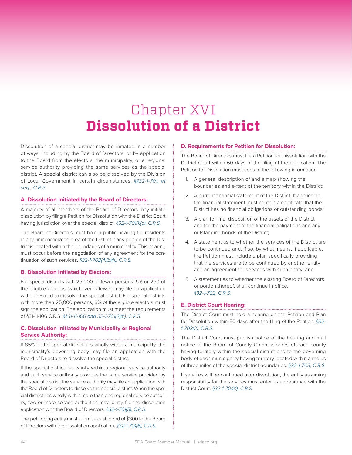# Chapter XVI **Dissolution of a District**

Dissolution of a special district may be initiated in a number of ways, including by the Board of Directors, or by application to the Board from the electors, the municipality, or a regional service authority providing the same services as the special district. A special district can also be dissolved by the Division of Local Government in certain circumstances. *§§32-1-701, et seq., C.R.S.*

#### **A. Dissolution Initiated by the Board of Directors:**

A majority of all members of the Board of Directors may initiate dissolution by filing a Petition for Dissolution with the District Court having jurisdiction over the special district. *§32-1-701(1)(a), C.R.S.* 

The Board of Directors must hold a public hearing for residents in any unincorporated area of the District if any portion of the District is located within the boundaries of a municipality. This hearing must occur before the negotiation of any agreement for the continuation of such services. *§32-1-702(4)(b)(II), C.R.S.* 

#### **B. Dissolution Initiated by Electors:**

For special districts with 25,000 or fewer persons, 5% or 250 of the eligible electors (whichever is fewer) may file an application with the Board to dissolve the special district. For special districts with more than 25,000 persons, 3% of the eligible electors must sign the application. The application must meet the requirements of §31-11-106 C.R.S. *§§31-11-106 and 32-1-701(2)(b), C.R.S.* 

#### **C. Dissolution Initiated by Municipality or Regional Service Authority:**

If 85% of the special district lies wholly within a municipality, the municipality's governing body may file an application with the Board of Directors to dissolve the special district.

If the special district lies wholly within a regional service authority and such service authority provides the same service provided by the special district, the service authority may file an application with the Board of Directors to dissolve the special district. When the special district lies wholly within more than one regional service authority, two or more service authorities may jointly file the dissolution application with the Board of Directors. *§32-1-701(5), C.R.S.*

The petitioning entity must submit a cash bond of \$300 to the Board of Directors with the dissolution application. *§32-1-701(6), C.R.S.*

#### **D. Requirements for Petition for Dissolution:**

The Board of Directors must file a Petition for Dissolution with the District Court within 60 days of the filing of the application. The Petition for Dissolution must contain the following information:

- 1. A general description of and a map showing the boundaries and extent of the territory within the District;
- 2. A current financial statement of the District. If applicable, the financial statement must contain a certificate that the District has no financial obligations or outstanding bonds;
- 3. A plan for final disposition of the assets of the District and for the payment of the financial obligations and any outstanding bonds of the District;
- 4. A statement as to whether the services of the District are to be continued and, if so, by what means. If applicable, the Petition must include a plan specifically providing that the services are to be continued by another entity and an agreement for services with such entity; and
- 5. A statement as to whether the existing Board of Directors, or portion thereof, shall continue in office. *§32-1-702, C.R.S.*

#### **E. District Court Hearing:**

The District Court must hold a hearing on the Petition and Plan for Dissolution within 50 days after the filing of the Petition. *§32- 1-703(2), C.R.S.* 

The District Court must publish notice of the hearing and mail notice to the Board of County Commissioners of each county having territory within the special district and to the governing body of each municipality having territory located within a radius of three miles of the special district boundaries. *§32-1-703, C.R.S.* 

If services will be continued after dissolution, the entity assuming responsibility for the services must enter its appearance with the District Court. *§32-1-704(1), C.R.S.*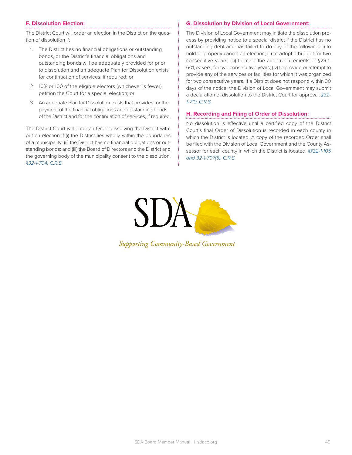#### **F. Dissolution Election:**

The District Court will order an election in the District on the question of dissolution if:

- 1. The District has no financial obligations or outstanding bonds, or the District's financial obligations and outstanding bonds will be adequately provided for prior to dissolution and an adequate Plan for Dissolution exists for continuation of services, if required; or
- 2. 10% or 100 of the eligible electors (whichever is fewer) petition the Court for a special election; or
- 3. An adequate Plan for Dissolution exists that provides for the payment of the financial obligations and outstanding bonds of the District and for the continuation of services, if required.

The District Court will enter an Order dissolving the District without an election if (i) the District lies wholly within the boundaries of a municipality; (ii) the District has no financial obligations or outstanding bonds; and (iii) the Board of Directors and the District and the governing body of the municipality consent to the dissolution. *§32-1-704, C.R.S.* 

#### **G. Dissolution by Division of Local Government:**

The Division of Local Government may initiate the dissolution process by providing notice to a special district if the District has no outstanding debt and has failed to do any of the following: (i) to hold or properly cancel an election; (ii) to adopt a budget for two consecutive years; (iii) to meet the audit requirements of §29-1- 601, *et seq.,* for two consecutive years; (iv) to provide or attempt to provide any of the services or facilities for which it was organized for two consecutive years. If a District does not respond within 30 days of the notice, the Division of Local Government may submit a declaration of dissolution to the District Court for approval. *§32- 1-710, C.R.S.* 

#### **H. Recording and Filing of Order of Dissolution:**

No dissolution is effective until a certified copy of the District Court's final Order of Dissolution is recorded in each county in which the District is located. A copy of the recorded Order shall be filed with the Division of Local Government and the County Assessor for each county in which the District is located. *§§32-1-105 and 32-1-707(5), C.R.S.* 



**Supporting Community-Based Government**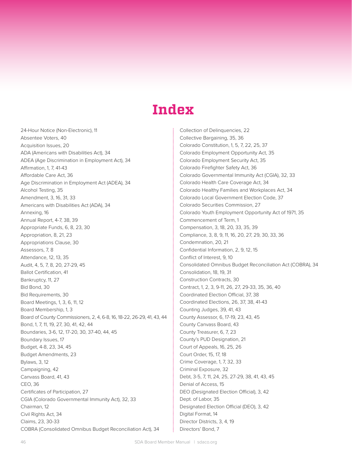### **Index**

24-Hour Notice (Non-Electronic), 11 Absentee Voters, 40 Acquisition Issues, 20 ADA (Americans with Disabilities Act), 34 ADEA (Age Discrimination in Employment Act), 34 Affirmation, 1, 7, 41-43 Affordable Care Act, 36 Age Discrimination in Employment Act (ADEA), 34 Alcohol Testing, 35 Amendment, 3, 16, 31, 33 Americans with Disabilities Act (ADA), 34 Annexing, 16 Annual Report, 4-7, 38, 39 Appropriate Funds, 6, 8, 23, 30 Appropriation, 8, 21, 23 Appropriations Clause, 30 Assessors, 7, 8 Attendance, 12, 13, 35 Audit, 4, 5, 7, 8, 20, 27-29, 45 Ballot Certification, 41 Bankruptcy, 11, 27 Bid Bond, 30 Bid Requirements, 30 Board Meetings, 1, 3, 6, 11, 12 Board Membership, 1, 3 Board of County Commissioners, 2, 4, 6-8, 16, 18-22, 26-29, 41, 43, 44 Bond, 1, 7, 11, 19, 27, 30, 41, 42, 44 Boundaries, 3-6, 12, 17-20, 30, 37-40, 44, 45 Boundary Issues, 17 Budget, 4-8, 23, 34, 45 Budget Amendments, 23 Bylaws, 3, 12 Campaigning, 42 Canvass Board, 41, 43 CEO, 36 Certificates of Participation, 27 CGIA (Colorado Governmental Immunity Act), 32, 33 Chairman, 12 Civil Rights Act, 34 Claims, 23, 30-33 COBRA (Consolidated Omnibus Budget Reconciliation Act), 34

Collection of Delinquencies, 22 Collective Bargaining, 35, 36 Colorado Constitution, 1, 5, 7, 22, 25, 37 Colorado Employment Opportunity Act, 35 Colorado Employment Security Act, 35 Colorado Firefighter Safety Act, 36 Colorado Governmental Immunity Act (CGIA), 32, 33 Colorado Health Care Coverage Act, 34 Colorado Healthy Families and Workplaces Act, 34 Colorado Local Government Election Code, 37 Colorado Securities Commission, 27 Colorado Youth Employment Opportunity Act of 1971, 35 Commencement of Term, 1 Compensation, 3, 18, 20, 33, 35, 39 Compliance, 3, 8, 9, 11, 16, 20, 27, 29, 30, 33, 36 Condemnation, 20, 21 Confidential Information, 2, 9, 12, 15 Conflict of Interest, 9, 10 Consolidated Omnibus Budget Reconciliation Act (COBRA), 34 Consolidation, 18, 19, 31 Construction Contracts, 30 Contract, 1, 2, 3, 9-11, 26, 27, 29-33, 35, 36, 40 Coordinated Election Official, 37, 38 Coordinated Elections, 26, 37, 38, 41-43 Counting Judges, 39, 41, 43 County Assessor, 6, 17-19, 23, 43, 45 County Canvass Board, 43 County Treasurer, 6, 7, 23 County's PUD Designation, 21 Court of Appeals, 16, 25, 26 Court Order, 15, 17, 18 Crime Coverage, 1, 7, 32, 33 Criminal Exposure, 32 Debt, 3-5, 7, 11, 24, 25, 27-29, 38, 41, 43, 45 Denial of Access, 15 DEO (Designated Election Official), 3, 42 Dept. of Labor, 35 Designated Election Official (DEO), 3, 42 Digital Format, 14 Director Districts, 3, 4, 19 Directors' Bond, 7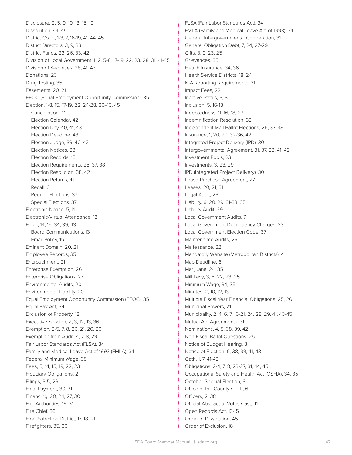Disclosure, 2, 5, 9, 10, 13, 15, 19 Dissolution, 44, 45 District Court, 1-3, 7, 16-19, 41, 44, 45 District Directors, 3, 9, 33 District Funds, 23, 26, 33, 42 Division of Local Government, 1, 2, 5-8, 17-19, 22, 23, 28, 31, 41-45 Division of Securities, 28, 41, 43 Donations, 23 Drug Testing, 35 Easements, 20, 21 EEOC (Equal Employment Opportunity Commission), 35 Election, 1-8, 15, 17-19, 22, 24-28, 36-43, 45 Cancellation, 41 Election Calendar, 42 Election Day, 40, 41, 43 Election Deadline, 43 Election Judge, 39, 40, 42 Election Notices, 38 Election Records, 15 Election Requirements, 25, 37, 38 Election Resolution, 38, 42 Election Returns, 41 Recall, 3 Regular Elections, 37 Special Elections, 37 Electronic Notice, 5, 11 Electronic/Virtual Attendance, 12 Email, 14, 15, 34, 39, 43 Board Communications, 13 Email Policy, 15 Eminent Domain, 20, 21 Employee Records, 35 Encroachment, 21 Enterprise Exemption, 26 Enterprise Obligations, 27 Environmental Audits, 20 Environmental Liability, 20 Equal Employment Opportunity Commission (EEOC), 35 Equal Pay Act, 34 Exclusion of Property, 18 Executive Session, 2, 3, 12, 13, 36 Exemption, 3-5, 7, 8, 20, 21, 26, 29 Exemption from Audit, 4, 7, 8, 29 Fair Labor Standards Act (FLSA), 34 Family and Medical Leave Act of 1993 (FMLA), 34 Federal Minimum Wage, 35 Fees, 5, 14, 15, 19, 22, 23 Fiduciary Obligations, 2 Filings, 3-5, 29 Final Payment, 30, 31 Financing, 20, 24, 27, 30 Fire Authorities, 19, 31 Fire Chief, 36 Fire Protection District, 17, 18, 21 Firefighters, 35, 36

FLSA (Fair Labor Standards Act), 34 FMLA (Family and Medical Leave Act of 1993), 34 General Intergovernmental Cooperation, 31 General Obligation Debt, 7, 24, 27-29 Gifts, 3, 9, 23, 25 Grievances, 35 Health Insurance, 34, 36 Health Service Districts, 18, 24 IGA Reporting Requirements, 31 Impact Fees, 22 Inactive Status, 3, 8 Inclusion, 5, 16-18 Indebtedness, 11, 16, 18, 27 Indemnification Resolution, 33 Independent Mail Ballot Elections, 26, 37, 38 Insurance, 1, 20, 29, 32-36, 42 Integrated Project Delivery (IPD), 30 Intergovernmental Agreement, 31, 37, 38, 41, 42 Investment Pools, 23 Investments, 3, 23, 29 IPD (Integrated Project Delivery), 30 Lease-Purchase Agreement, 27 Leases, 20, 21, 31 Legal Audit, 29 Liability, 9, 20, 29, 31-33, 35 Liability Audit, 29 Local Government Audits, 7 Local Government Delinquency Charges, 23 Local Government Election Code, 37 Maintenance Audits, 29 Malfeasance, 32 Mandatory Website (Metropolitan Districts), 4 Map Deadline, 6 Marijuana, 24, 35 Mill Levy, 3, 6, 22, 23, 25 Minimum Wage, 34, 35 Minutes, 2, 10, 12, 13 Multiple Fiscal Year Financial Obligations, 25, 26 Municipal Powers, 21 Municipality, 2, 4, 6, 7, 16-21, 24, 28, 29, 41, 43-45 Mutual Aid Agreements, 31 Nominations, 4, 5, 38, 39, 42 Non-Fiscal Ballot Questions, 25 Notice of Budget Hearing, 8 Notice of Election, 6, 38, 39, 41, 43 Oath, 1, 7, 41-43 Obligations, 2-4, 7, 8, 23-27, 31, 44, 45 Occupational Safety and Health Act (OSHA), 34, 35 October Special Election, 8 Office of the County Clerk, 6 Officers, 2, 38 Official Abstract of Votes Cast, 41 Open Records Act, 13-15 Order of Dissolution, 45 Order of Exclusion, 18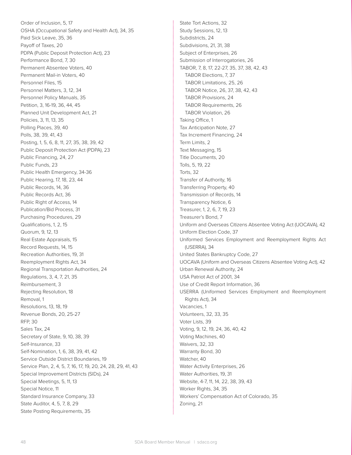Order of Inclusion, 5, 17 OSHA (Occupational Safety and Health Act), 34, 35 Paid Sick Leave, 35, 36 Payoff of Taxes, 20 PDPA (Public Deposit Protection Act), 23 Performance Bond, 7, 30 Permanent Absentee Voters, 40 Permanent Mail-in Voters, 40 Personnel Files, 15 Personnel Matters, 3, 12, 34 Personnel Policy Manuals, 35 Petition, 3, 16-19, 36, 44, 45 Planned Unit Development Act, 21 Policies, 3, 11, 13, 35 Polling Places, 39, 40 Polls, 38, 39, 41, 43 Posting, 1, 5, 6, 8, 11, 27, 35, 38, 39, 42 Public Deposit Protection Act (PDPA), 23 Public Financing, 24, 27 Public Funds, 23 Public Health Emergency, 34-36 Public Hearing, 17, 18, 23, 44 Public Records, 14, 36 Public Records Act, 36 Public Right of Access, 14 Publication/Bid Process, 31 Purchasing Procedures, 29 Qualifications, 1, 2, 15 Quorum, 9, 12, 13 Real Estate Appraisals, 15 Record Requests, 14, 15 Recreation Authorities, 19, 31 Reemployment Rights Act, 34 Regional Transportation Authorities, 24 Regulations, 3, 4, 7, 21, 35 Reimbursement, 3 Rejecting Resolution, 18 Removal, 1 Resolutions, 13, 18, 19 Revenue Bonds, 20, 25-27 RFP, 30 Sales Tax, 24 Secretary of State, 9, 10, 38, 39 Self-Insurance, 33 Self-Nomination, 1, 6, 38, 39, 41, 42 Service Outside District Boundaries, 19 Service Plan, 2, 4, 5, 7, 16, 17, 19, 20, 24, 28, 29, 41, 43 Special Improvement Districts (SIDs), 24 Special Meetings, 5, 11, 13 Special Notice, 11 Standard Insurance Company, 33 State Auditor, 4, 5, 7, 8, 29 State Posting Requirements, 35

State Tort Actions, 32 Study Sessions, 12, 13 Subdistricts, 24 Subdivisions, 21, 31, 38 Subject of Enterprises, 26 Submission of Interrogatories, 26 TABOR, 7, 8, 17, 22-27, 35, 37, 38, 42, 43 TABOR Elections, 7, 37 TABOR Limitations, 25, 26 TABOR Notice, 26, 37, 38, 42, 43 TABOR Provisions, 24 TABOR Requirements, 26 TABOR Violation, 26 Taking Office, 1 Tax Anticipation Note, 27 Tax Increment Financing, 24 Term Limits, 2 Text Messaging, 15 Title Documents, 20 Tolls, 5, 19, 22 Torts, 32 Transfer of Authority, 16 Transferring Property, 40 Transmission of Records, 14 Transparency Notice, 6 Treasurer, 1, 2, 6, 7, 19, 23 Treasurer's Bond, 7 Uniform and Overseas Citizens Absentee Voting Act (UOCAVA), 42 Uniform Election Code, 37 Uniformed Services Employment and Reemployment Rights Act (USERRA), 34 United States Bankruptcy Code, 27 UOCAVA (Uniform and Overseas Citizens Absentee Voting Act), 42 Urban Renewal Authority, 24 USA Patriot Act of 2001, 34 Use of Credit Report Information, 36 USERRA (Uniformed Services Employment and Reemployment Rights Act), 34 Vacancies, 1 Volunteers, 32, 33, 35 Voter Lists, 39 Voting, 9, 12, 19, 24, 36, 40, 42 Voting Machines, 40 Waivers, 32, 33 Warranty Bond, 30 Watcher, 40 Water Activity Enterprises, 26 Water Authorities, 19, 31 Website, 4-7, 11, 14, 22, 38, 39, 43 Worker Rights, 34, 35 Workers' Compensation Act of Colorado, 35 Zoning, 21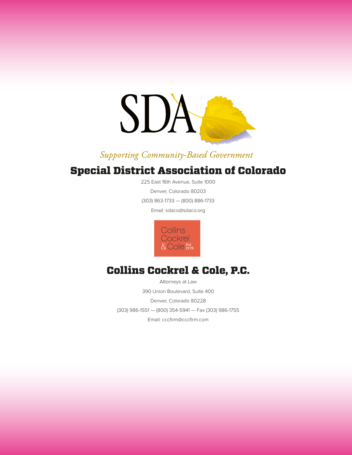

### Supporting Community-Based Government

### Special District Association of Colorado

225 East 16th Avenue, Suite 1000 Denver, Colorado 80203 (303) 863-1733 — (800) 886-1733

Email: sdaco@sdaco.org



### Collins Cockrel & Cole, P.C.

Attorneys at Law 390 Union Boulevard, Suite 400 Denver, Colorado 80228 (303) 986-1551 — (800) 354-5941 — Fax (303) 986-1755 Email: cccfirm@cccfirm.com